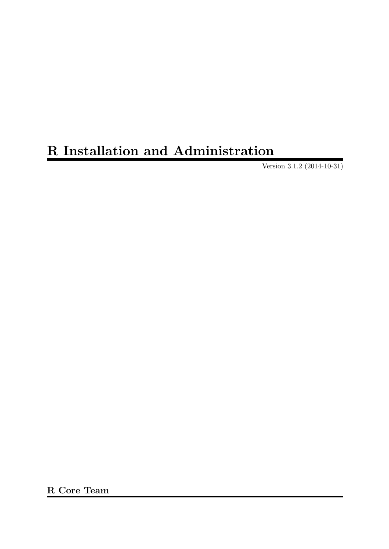# R Installation and Administration

Version 3.1.2 (2014-10-31)

R Core Team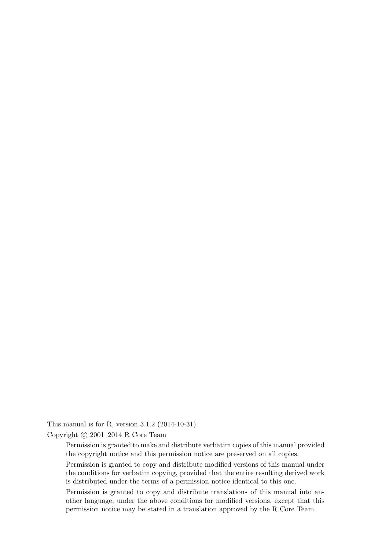This manual is for R, version 3.1.2 (2014-10-31).

Copyright  $\odot$  2001–2014 R Core Team

Permission is granted to make and distribute verbatim copies of this manual provided the copyright notice and this permission notice are preserved on all copies.

Permission is granted to copy and distribute modified versions of this manual under the conditions for verbatim copying, provided that the entire resulting derived work is distributed under the terms of a permission notice identical to this one.

Permission is granted to copy and distribute translations of this manual into another language, under the above conditions for modified versions, except that this permission notice may be stated in a translation approved by the R Core Team.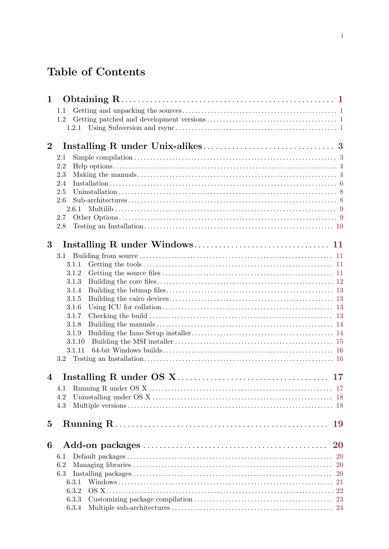# Table of Contents

| 1            |            |    |
|--------------|------------|----|
|              | 1.1        |    |
|              | 1.2        |    |
|              | 1.2.1      |    |
| $\mathbf{2}$ |            |    |
|              |            |    |
|              | 2.1<br>2.2 |    |
|              | 2.3        |    |
|              | 2.4        |    |
|              | 2.5        |    |
|              | 2.6        |    |
|              | 2.6.1      |    |
|              | 2.7        |    |
|              | 2.8        |    |
|              |            |    |
| 3            |            |    |
|              | $3.1\,$    |    |
|              | 3.1.1      |    |
|              | 3.1.2      |    |
|              | 3.1.3      |    |
|              | 3.1.4      |    |
|              | 3.1.5      |    |
|              | 3.1.6      |    |
|              | 3.1.7      |    |
|              | 3.1.8      |    |
|              | 3.1.9      |    |
|              | 3.1.10     |    |
|              | 3.1.11     |    |
|              | $3.2\,$    |    |
| 4            |            |    |
|              | 4.1        |    |
|              | 4.2        |    |
|              | 4.3        |    |
|              |            |    |
| $\bf{5}$     |            | 19 |
|              |            |    |
| 6            |            | 20 |
|              | 6.1        |    |
|              | 6.2        |    |
|              | 6.3        |    |
|              | 6.3.1      | 21 |
|              | 6.3.2      |    |
|              | 6.3.3      |    |
|              | 6.3.4      |    |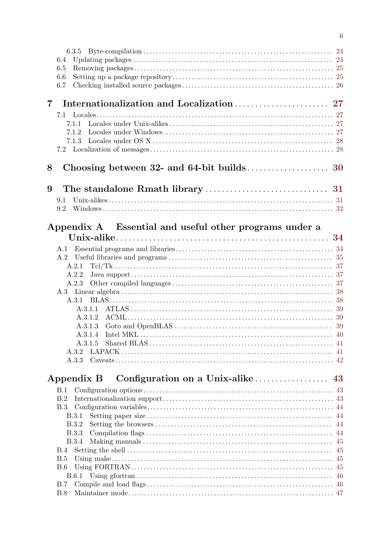|                | 6.4                                                    |    |
|----------------|--------------------------------------------------------|----|
|                | 6.5                                                    |    |
|                | 6.6                                                    |    |
|                | 6.7                                                    |    |
|                |                                                        |    |
| $\overline{7}$ |                                                        |    |
|                |                                                        |    |
|                | 7.1.1                                                  |    |
|                | 7.1.2<br>7.1.3                                         |    |
|                |                                                        |    |
|                |                                                        |    |
| 8              |                                                        |    |
|                |                                                        |    |
| 9              |                                                        |    |
|                | 9.1                                                    |    |
|                | 9.2                                                    |    |
|                |                                                        |    |
|                | Appendix A Essential and useful other programs under a |    |
|                |                                                        |    |
|                |                                                        |    |
|                |                                                        |    |
|                | A.2.1                                                  |    |
|                | A.2.2                                                  |    |
|                | A.2.3                                                  |    |
|                |                                                        |    |
|                |                                                        |    |
|                |                                                        |    |
|                | A 3.1.2                                                |    |
|                | A.3.1.3                                                |    |
|                |                                                        |    |
|                |                                                        |    |
|                | A 3.3                                                  |    |
|                |                                                        |    |
|                | Configuration on a Unix-alike<br>Appendix B            | 43 |
|                | B.1                                                    |    |
|                | B.2                                                    |    |
|                |                                                        |    |
|                | <b>B.3.1</b>                                           |    |
|                | B.3.2                                                  |    |
|                | <b>B.3.3</b>                                           |    |
|                | <b>B.3.4</b>                                           |    |
|                | B.4                                                    |    |
|                | <b>B.5</b>                                             |    |
|                | B.6                                                    |    |
|                | <b>B.7</b>                                             |    |
|                | B.8                                                    |    |
|                |                                                        |    |

 $\ddot{\text{ii}}$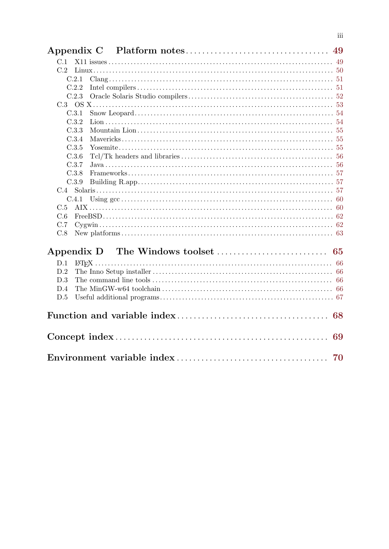| C.1   |  |
|-------|--|
| C.2   |  |
| C.2.1 |  |
| C.2.2 |  |
| C.2.3 |  |
|       |  |
| C.3.1 |  |
| C.3.2 |  |
| C.3.3 |  |
| C.3.4 |  |
| C.3.5 |  |
| C.3.6 |  |
| C.3.7 |  |
| C.3.8 |  |
| C.3.9 |  |
|       |  |
| C.4.1 |  |
| C.5   |  |
| C.6   |  |
| C.7   |  |
| C.8   |  |
|       |  |
| D.1   |  |
| D.2   |  |
| D.3   |  |
| D.4   |  |
| D.5   |  |
|       |  |
| 69    |  |
|       |  |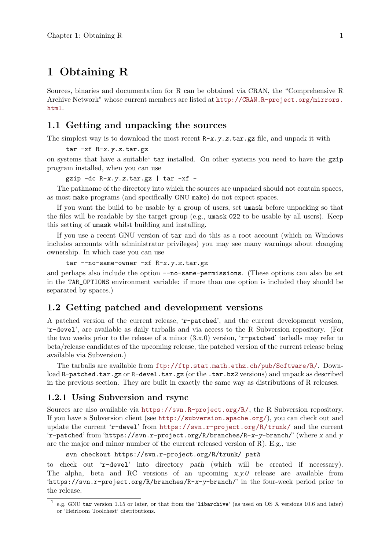# <span id="page-5-0"></span>1 Obtaining R

Sources, binaries and documentation for R can be obtained via CRAN, the "Comprehensive R Archive Network" whose current members are listed at [http://CRAN.R-project.org/mirrors.](http://CRAN.R-project.org/mirrors.html) [html](http://CRAN.R-project.org/mirrors.html).

# 1.1 Getting and unpacking the sources

The simplest way is to download the most recent  $R-x. y. z. \text{tar} . gz$  file, and unpack it with

tar -xf R-x.y.z.tar.gz

on systems that have a suitable<sup>1</sup> tar installed. On other systems you need to have the gzip program installed, when you can use

gzip  $-dc R-x.y.z.tar.gz \mid tar -xf -$ 

The pathname of the directory into which the sources are unpacked should not contain spaces, as most make programs (and specifically GNU make) do not expect spaces.

If you want the build to be usable by a group of users, set umask before unpacking so that the files will be readable by the target group (e.g., umask 022 to be usable by all users). Keep this setting of umask whilst building and installing.

If you use a recent GNU version of tar and do this as a root account (which on Windows includes accounts with administrator privileges) you may see many warnings about changing ownership. In which case you can use

```
tar --no-same-owner -xf R-x. y. z. tar.gz
```
and perhaps also include the option --no-same-permissions. (These options can also be set in the TAR\_OPTIONS environment variable: if more than one option is included they should be separated by spaces.)

## 1.2 Getting patched and development versions

A patched version of the current release, 'r-patched', and the current development version, 'r-devel', are available as daily tarballs and via access to the R Subversion repository. (For the two weeks prior to the release of a minor  $(3.x.0)$  version, 'r-patched' tarballs may refer to beta/release candidates of the upcoming release, the patched version of the current release being available via Subversion.)

The tarballs are available from <ftp://ftp.stat.math.ethz.ch/pub/Software/R/>. Download R-patched.tar.gz or R-devel.tar.gz (or the .tar.bz2 versions) and unpack as described in the previous section. They are built in exactly the same way as distributions of R releases.

#### 1.2.1 Using Subversion and rsync

Sources are also available via <https://svn.R-project.org/R/>, the R Subversion repository. If you have a Subversion client (see <http://subversion.apache.org/>), you can check out and update the current 'r-devel' from <https://svn.r-project.org/R/trunk/> and the current 'r-patched' from 'https://svn.r-project.org/R/branches/R-x-y-branch/' (where x and y are the major and minor number of the current released version of  $R$ ). E.g., use

svn checkout https://svn.r-project.org/R/trunk/ path

to check out 'r-devel' into directory path (which will be created if necessary). The alpha, beta and RC versions of an upcoming x.y.0 release are available from 'https://svn.r-project.org/R/branches/R-x-y-branch/' in the four-week period prior to the release.

<sup>&</sup>lt;sup>1</sup> e.g. GNU tar version 1.15 or later, or that from the 'libarchive' (as used on OS X versions 10.6 and later) or 'Heirloom Toolchest' distributions.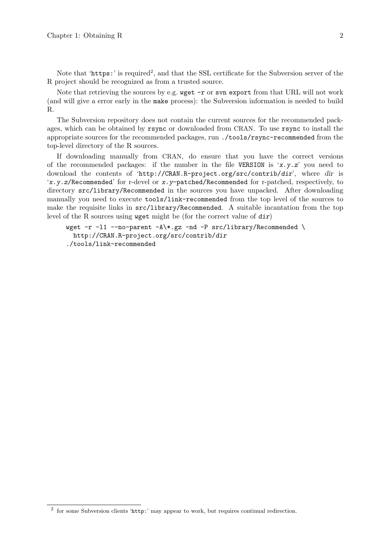Note that 'https:' is required<sup>2</sup>, and that the SSL certificate for the Subversion server of the R project should be recognized as from a trusted source.

Note that retrieving the sources by e.g. wget -r or svn export from that URL will not work (and will give a error early in the make process): the Subversion information is needed to build R.

The Subversion repository does not contain the current sources for the recommended packages, which can be obtained by rsync or downloaded from CRAN. To use rsync to install the appropriate sources for the recommended packages, run ./tools/rsync-recommended from the top-level directory of the R sources.

If downloading manually from CRAN, do ensure that you have the correct versions of the recommended packages: if the number in the file VERSION is 'x.y.z' you need to download the contents of 'http://CRAN.R-project.org/src/contrib/dir', where dir is 'x.y.z/Recommended' for r-devel or x.y-patched/Recommended for r-patched, respectively, to directory src/library/Recommended in the sources you have unpacked. After downloading manually you need to execute tools/link-recommended from the top level of the sources to make the requisite links in src/library/Recommended. A suitable incantation from the top level of the R sources using wget might be (for the correct value of dir)

wget -r -l1 --no-parent -A\\*.gz -nd -P src/library/Recommended \ http://CRAN.R-project.org/src/contrib/dir ./tools/link-recommended

<sup>&</sup>lt;sup>2</sup> for some Subversion clients 'http:' may appear to work, but requires continual redirection.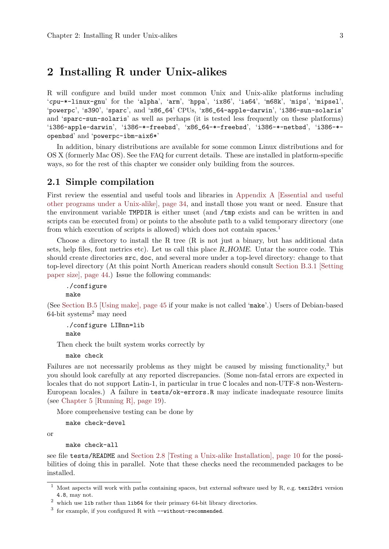# <span id="page-7-0"></span>2 Installing R under Unix-alikes

R will configure and build under most common Unix and Unix-alike platforms including 'cpu-\*-linux-gnu' for the 'alpha', 'arm', 'hppa', 'ix86', 'ia64', 'm68k', 'mips', 'mipsel', 'powerpc', 's390', 'sparc', and 'x86\_64' CPUs, 'x86\_64-apple-darwin', 'i386-sun-solaris' and 'sparc-sun-solaris' as well as perhaps (it is tested less frequently on these platforms) 'i386-apple-darwin', 'i386-\*-freebsd', 'x86\_64-\*-freebsd', 'i386-\*-netbsd', 'i386-\* openbsd' and 'powerpc-ibm-aix6\*'

In addition, binary distributions are available for some common Linux distributions and for OS X (formerly Mac OS). See the FAQ for current details. These are installed in platform-specific ways, so for the rest of this chapter we consider only building from the sources.

# 2.1 Simple compilation

First review the essential and useful tools and libraries in [Appendix A \[Essential and useful](#page-38-0) [other programs under a Unix-alike\], page 34](#page-38-0), and install those you want or need. Ensure that the environment variable TMPDIR is either unset (and /tmp exists and can be written in and scripts can be executed from) or points to the absolute path to a valid temporary directory (one from which execution of scripts is allowed) which does not contain spaces.<sup>1</sup>

Choose a directory to install the R tree  $(R$  is not just a binary, but has additional data sets, help files, font metrics etc). Let us call this place R\_HOME. Untar the source code. This should create directories src, doc, and several more under a top-level directory: change to that top-level directory (At this point North American readers should consult [Section B.3.1 \[Setting](#page-48-1) [paper size\], page 44.](#page-48-1)) Issue the following commands:

```
./configure
make
```
(See [Section B.5 \[Using make\], page 45](#page-49-1) if your make is not called 'make'.) Users of Debian-based  $64$ -bit systems<sup>2</sup> may need

```
./configure LIBnn=lib
make
```
Then check the built system works correctly by

make check

Failures are not necessarily problems as they might be caused by missing functionality,<sup>3</sup> but you should look carefully at any reported discrepancies. (Some non-fatal errors are expected in locales that do not support Latin-1, in particular in true C locales and non-UTF-8 non-Western-European locales.) A failure in tests/ok-errors.R may indicate inadequate resource limits (see [Chapter 5 \[Running R\], page 19\)](#page-23-0).

More comprehensive testing can be done by

make check-devel

or

```
make check-all
```
see file tests/README and [Section 2.8 \[Testing a Unix-alike Installation\], page 10](#page-14-1) for the possibilities of doing this in parallel. Note that these checks need the recommended packages to be installed.

<sup>1</sup> Most aspects will work with paths containing spaces, but external software used by R, e.g. texi2dvi version 4.8, may not.

 $^2\,$  which use 1ib rather than 1ib64 for their primary 64-bit library directories.

 $3$  for example, if you configured R with  $-\text{without-reconnected}.$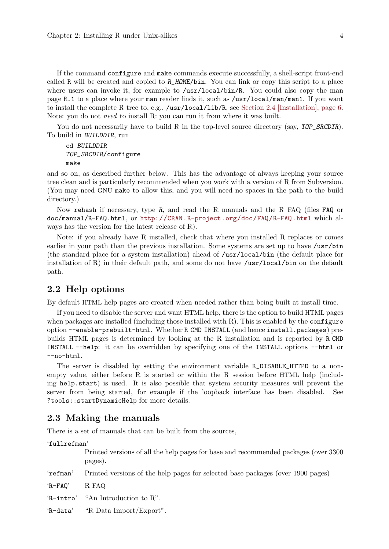<span id="page-8-0"></span>If the command configure and make commands execute successfully, a shell-script front-end called R will be created and copied to  $R$ \_HOME/bin. You can link or copy this script to a place where users can invoke it, for example to /usr/local/bin/R. You could also copy the man page R.1 to a place where your man reader finds it, such as /usr/local/man/man1. If you want to install the complete R tree to, e.g., /usr/local/lib/R, see [Section 2.4 \[Installation\], page 6.](#page-10-1) Note: you do not need to install R: you can run it from where it was built.

You do not necessarily have to build R in the top-level source directory (say, TOP\_SRCDIR). To build in BUILDDIR, run

```
cd BUILDDIR
TOP_SRCDIR/configure
make
```
and so on, as described further below. This has the advantage of always keeping your source tree clean and is particularly recommended when you work with a version of R from Subversion. (You may need GNU make to allow this, and you will need no spaces in the path to the build directory.)

Now rehash if necessary, type R, and read the R manuals and the R FAQ (files FAQ or doc/manual/R-FAQ.html, or <http://CRAN.R-project.org/doc/FAQ/R-FAQ.html> which always has the version for the latest release of R).

Note: if you already have R installed, check that where you installed R replaces or comes earlier in your path than the previous installation. Some systems are set up to have /usr/bin (the standard place for a system installation) ahead of /usr/local/bin (the default place for installation of R) in their default path, and some do not have  $\ell$ usr $\ell$ local $\ell$ bin on the default path.

## 2.2 Help options

By default HTML help pages are created when needed rather than being built at install time.

If you need to disable the server and want HTML help, there is the option to build HTML pages when packages are installed (including those installed with  $R$ ). This is enabled by the configure option --enable-prebuilt-html. Whether R CMD INSTALL (and hence install.packages) prebuilds HTML pages is determined by looking at the R installation and is reported by R CMD INSTALL --help: it can be overridden by specifying one of the INSTALL options --html or --no-html.

The server is disabled by setting the environment variable R\_DISABLE\_HTTPD to a nonempty value, either before R is started or within the R session before HTML help (including help.start) is used. It is also possible that system security measures will prevent the server from being started, for example if the loopback interface has been disabled. See ?tools::startDynamicHelp for more details.

## <span id="page-8-1"></span>2.3 Making the manuals

There is a set of manuals that can be built from the sources,

'fullrefman'

Printed versions of all the help pages for base and recommended packages (over 3300 pages).

'refman' Printed versions of the help pages for selected base packages (over 1900 pages)

'R-FAQ' R FAQ

'R-intro' "An Introduction to R".

'R-data' "R Data Import/Export".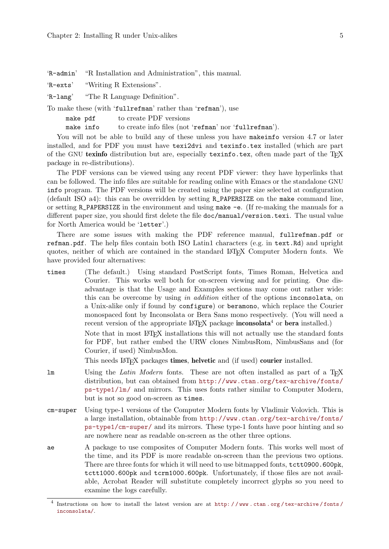'R-admin' "R Installation and Administration", this manual.

'R-exts' "Writing R Extensions".

'R-lang' "The R Language Definition".

To make these (with 'fullrefman' rather than 'refman'), use

| make pdf  | to create PDF versions                                |  |
|-----------|-------------------------------------------------------|--|
| make info | to create info files (not 'refman' nor 'fullrefman'). |  |

You will not be able to build any of these unless you have makeinfo version 4.7 or later installed, and for PDF you must have texi2dvi and texinfo.tex installed (which are part of the GNU texinfo distribution but are, especially texinfo.tex, often made part of the  $T_F X$ package in re-distributions).

The PDF versions can be viewed using any recent PDF viewer: they have hyperlinks that can be followed. The info files are suitable for reading online with Emacs or the standalone GNU info program. The PDF versions will be created using the paper size selected at configuration (default ISO a4): this can be overridden by setting R\_PAPERSIZE on the make command line, or setting R\_PAPERSIZE in the environment and using make -e. (If re-making the manuals for a different paper size, you should first delete the file doc/manual/version.texi. The usual value for North America would be 'letter'.)

There are some issues with making the PDF reference manual, fullrefman.pdf or refman.pdf. The help files contain both ISO Latin1 characters (e.g. in text.Rd) and upright quotes, neither of which are contained in the standard LATEX Computer Modern fonts. We have provided four alternatives:

times (The default.) Using standard PostScript fonts, Times Roman, Helvetica and Courier. This works well both for on-screen viewing and for printing. One disadvantage is that the Usage and Examples sections may come out rather wide: this can be overcome by using in addition either of the options inconsolata, on a Unix-alike only if found by configure) or beramono, which replace the Courier monospaced font by Inconsolata or Bera Sans mono respectively. (You will need a recent version of the appropriate  $\mathbb{F}T_F X$  package **inconsolata**<sup>4</sup> or **bera** installed.) Note that in most LATEX installations this will not actually use the standard fonts for PDF, but rather embed the URW clones NimbusRom, NimbusSans and (for Courier, if used) NimbusMon.

This needs LAT<sub>EX</sub> packages times, helvetic and (if used) courier installed.

- lm Using the Latin Modern fonts. These are not often installed as part of a T<sub>F</sub>X distribution, but can obtained from [http://www.ctan.org/tex-archive/fonts/](http://www.ctan.org/tex-archive/fonts/ps-type1/lm/) [ps-type1/lm/](http://www.ctan.org/tex-archive/fonts/ps-type1/lm/) and mirrors. This uses fonts rather similar to Computer Modern, but is not so good on-screen as times.
- cm-super Using type-1 versions of the Computer Modern fonts by Vladimir Volovich. This is a large installation, obtainable from [http://www.ctan.org/tex-archive/fonts/](http://www.ctan.org/tex-archive/fonts/ps-type1/cm-super/) [ps-type1/cm-super/](http://www.ctan.org/tex-archive/fonts/ps-type1/cm-super/) and its mirrors. These type-1 fonts have poor hinting and so are nowhere near as readable on-screen as the other three options.
- ae A package to use composites of Computer Modern fonts. This works well most of the time, and its PDF is more readable on-screen than the previous two options. There are three fonts for which it will need to use bitmapped fonts, tctt0900.600pk, tctt1000.600pk and tcrm1000.600pk. Unfortunately, if those files are not available, Acrobat Reader will substitute completely incorrect glyphs so you need to examine the logs carefully.

<sup>&</sup>lt;sup>4</sup> Instructions on how to install the latest version are at http://www.ctan.org/tex-archive/fonts/ [inconsolata/](http://www.ctan.org/tex-archive/fonts/inconsolata/).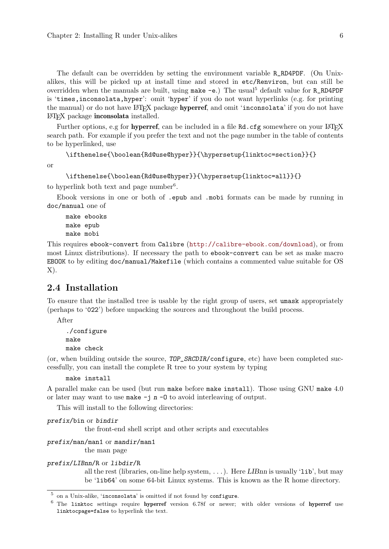<span id="page-10-0"></span>The default can be overridden by setting the environment variable R\_RD4PDF. (On Unixalikes, this will be picked up at install time and stored in etc/Renviron, but can still be overridden when the manuals are built, using make  $-e$ .) The usual<sup>5</sup> default value for R\_RD4PDF is 'times,inconsolata,hyper': omit 'hyper' if you do not want hyperlinks (e.g. for printing the manual) or do not have LAT<sub>EX</sub> package **hyperref**, and omit 'inconsolata' if you do not have LATEX package inconsolata installed.

Further options, e.g for hyperref, can be included in a file Rd.cfg somewhere on your LATEX search path. For example if you prefer the text and not the page number in the table of contents to be hyperlinked, use

```
\ifthenelse{\boolean{Rd@use@hyper}}{\hypersetup{linktoc=section}}{}
```
or

```
\ifthenelse{\boolean{Rd@use@hyper}}{\hypersetup{linktoc=all}}{}
```
to hyperlink both text and page number<sup>6</sup>.

Ebook versions in one or both of .epub and .mobi formats can be made by running in doc/manual one of

make ebooks make epub make mobi

This requires ebook-convert from Calibre (<http://calibre-ebook.com/download>), or from most Linux distributions). If necessary the path to ebook-convert can be set as make macro EBOOK to by editing doc/manual/Makefile (which contains a commented value suitable for OS  $X$ ).

# <span id="page-10-1"></span>2.4 Installation

To ensure that the installed tree is usable by the right group of users, set umask appropriately (perhaps to '022') before unpacking the sources and throughout the build process.

After

```
./configure
make
make check
```
(or, when building outside the source, TOP\_SRCDIR/configure, etc) have been completed successfully, you can install the complete R tree to your system by typing

make install

A parallel make can be used (but run make before make install). Those using GNU make 4.0 or later may want to use make  $-i$  n  $-0$  to avoid interleaving of output.

This will install to the following directories:

```
prefix/bin or bindir
```
the front-end shell script and other scripts and executables

```
prefix/man/man1 or mandir/man1
```
the man page

#### prefix/LIBnn/R or libdir/R

all the rest (libraries, on-line help system,  $\dots$ ). Here LIBnn is usually 'lib', but may be 'lib64' on some 64-bit Linux systems. This is known as the R home directory.

<sup>5</sup> on a Unix-alike, 'inconsolata' is omitted if not found by configure.

<sup>6</sup> The linktoc settings require hyperref version 6.78f or newer; with older versions of hyperref use linktocpage=false to hyperlink the text.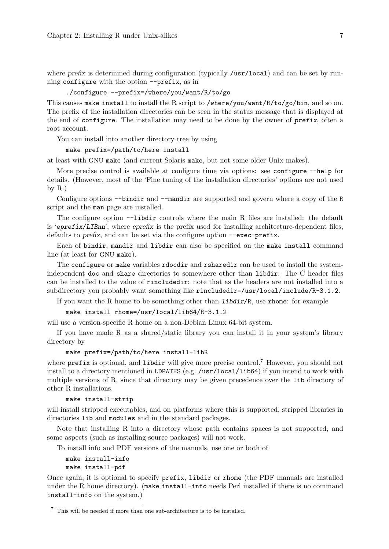where prefix is determined during configuration (typically /usr/local) and can be set by running configure with the option --prefix, as in

#### ./configure --prefix=/where/you/want/R/to/go

This causes make install to install the R script to /where/you/want/R/to/go/bin, and so on. The prefix of the installation directories can be seen in the status message that is displayed at the end of configure. The installation may need to be done by the owner of prefix, often a root account.

You can install into another directory tree by using

```
make prefix=/path/to/here install
```
at least with GNU make (and current Solaris make, but not some older Unix makes).

More precise control is available at configure time via options: see configure  $-\text{help}$  for details. (However, most of the 'Fine tuning of the installation directories' options are not used by  $R$ .)

Configure options --bindir and --mandir are supported and govern where a copy of the R script and the man page are installed.

The configure option  $-\text{libdir}$  controls where the main R files are installed: the default is 'eprefix/LIBnn', where eprefix is the prefix used for installing architecture-dependent files, defaults to prefix, and can be set via the configure option --exec-prefix.

Each of bindir, mandir and libdir can also be specified on the make install command line (at least for GNU make).

The configure or make variables rdocdir and rsharedir can be used to install the systemindependent doc and share directories to somewhere other than libdir. The C header files can be installed to the value of rincludedir: note that as the headers are not installed into a subdirectory you probably want something like rincludedir=/usr/local/include/R-3.1.2.

If you want the R home to be something other than  $\text{libdir}/R$ , use rhome: for example

make install rhome=/usr/local/lib64/R-3.1.2

will use a version-specific R home on a non-Debian Linux 64-bit system.

If you have made R as a shared/static library you can install it in your system's library directory by

#### make prefix=/path/to/here install-libR

where prefix is optional, and libdir will give more precise control.<sup>7</sup> However, you should not install to a directory mentioned in LDPATHS (e.g. /usr/local/lib64) if you intend to work with multiple versions of R, since that directory may be given precedence over the lib directory of other R installations.

make install-strip

will install stripped executables, and on platforms where this is supported, stripped libraries in directories lib and modules and in the standard packages.

Note that installing R into a directory whose path contains spaces is not supported, and some aspects (such as installing source packages) will not work.

To install info and PDF versions of the manuals, use one or both of

```
make install-info
make install-pdf
```
Once again, it is optional to specify prefix, libdir or rhome (the PDF manuals are installed under the R home directory). (make install-info needs Perl installed if there is no command install-info on the system.)

 $^7\,$  This will be needed if more than one sub-architecture is to be installed.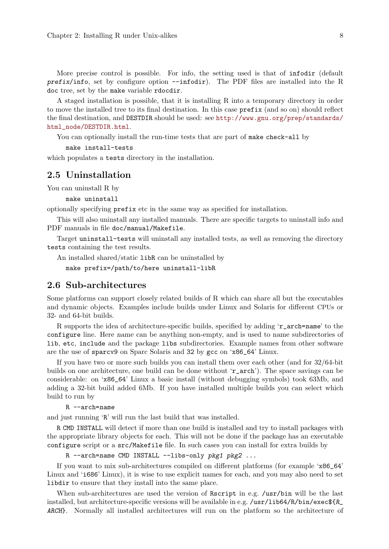<span id="page-12-0"></span>More precise control is possible. For info, the setting used is that of infodir (default prefix/info, set by configure option --infodir). The PDF files are installed into the R doc tree, set by the make variable rdocdir.

A staged installation is possible, that it is installing R into a temporary directory in order to move the installed tree to its final destination. In this case prefix (and so on) should reflect the final destination, and DESTDIR should be used: see [http://www.gnu.org/prep/standards/](http://www.gnu.org/prep/standards/html_node/DESTDIR.html) [html\\_node/DESTDIR.html](http://www.gnu.org/prep/standards/html_node/DESTDIR.html).

You can optionally install the run-time tests that are part of make check-all by

```
make install-tests
```
which populates a tests directory in the installation.

## 2.5 Uninstallation

You can uninstall R by

make uninstall

optionally specifying prefix etc in the same way as specified for installation.

This will also uninstall any installed manuals. There are specific targets to uninstall info and PDF manuals in file doc/manual/Makefile.

Target uninstall-tests will uninstall any installed tests, as well as removing the directory tests containing the test results.

An installed shared/static libR can be uninstalled by

make prefix=/path/to/here uninstall-libR

## <span id="page-12-1"></span>2.6 Sub-architectures

Some platforms can support closely related builds of R which can share all but the executables and dynamic objects. Examples include builds under Linux and Solaris for different CPUs or 32- and 64-bit builds.

R supports the idea of architecture-specific builds, specified by adding 'r\_arch=name' to the configure line. Here name can be anything non-empty, and is used to name subdirectories of lib, etc, include and the package libs subdirectories. Example names from other software are the use of sparcv9 on Sparc Solaris and 32 by gcc on 'x86\_64' Linux.

If you have two or more such builds you can install them over each other (and for 32/64-bit builds on one architecture, one build can be done without 'r\_arch'). The space savings can be considerable: on 'x86\_64' Linux a basic install (without debugging symbols) took 63Mb, and adding a 32-bit build added 6Mb. If you have installed multiple builds you can select which build to run by

```
R --arch=name
```
and just running 'R' will run the last build that was installed.

R CMD INSTALL will detect if more than one build is installed and try to install packages with the appropriate library objects for each. This will not be done if the package has an executable configure script or a src/Makefile file. In such cases you can install for extra builds by

```
R --arch=name CMD INSTALL --libs-only pkg1 pkg2 ...
```
If you want to mix sub-architectures compiled on different platforms (for example 'x86\_64' Linux and 'i686' Linux), it is wise to use explicit names for each, and you may also need to set libdir to ensure that they install into the same place.

When sub-architectures are used the version of Rscript in e.g. /usr/bin will be the last installed, but architecture-specific versions will be available in e.g. /usr/lib64/R/bin/exec $fR$ ARCH}. Normally all installed architectures will run on the platform so the architecture of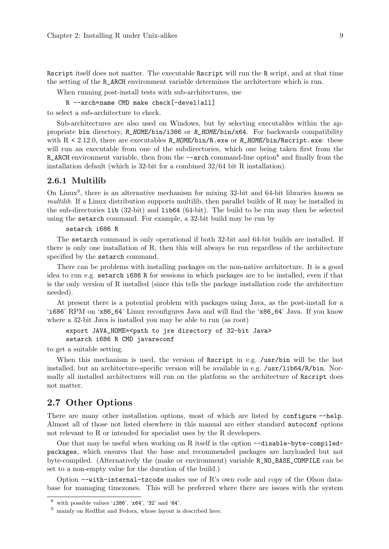<span id="page-13-0"></span>Rscript itself does not matter. The executable Rscript will run the R script, and at that time the setting of the R\_ARCH environment variable determines the architecture which is run.

When running post-install tests with sub-architectures, use

R --arch=name CMD make check[-devel|all]

to select a sub-architecture to check.

Sub-architectures are also used on Windows, but by selecting executables within the appropriate bin directory, R\_HOME/bin/i386 or R\_HOME/bin/x64. For backwards compatibility with  $R < 2.12.0$ , there are executables R\_HOME/bin/R.exe or R\_HOME/bin/Rscript.exe: these will run an executable from one of the subdirectories, which one being taken first from the R\_ARCH environment variable, then from the  $-$ -arch command-line option<sup>8</sup> and finally from the installation default (which is 32-bit for a combined 32/64 bit R installation).

#### 2.6.1 Multilib

On Linux<sup>9</sup>, there is an alternative mechanism for mixing 32-bit and 64-bit libraries known as multilib. If a Linux distribution supports multilib, then parallel builds of R may be installed in the sub-directories lib (32-bit) and lib64 (64-bit). The build to be run may then be selected using the setarch command. For example, a 32-bit build may be run by

setarch i686 R

The setarch command is only operational if both 32-bit and 64-bit builds are installed. If there is only one installation of R, then this will always be run regardless of the architecture specified by the setarch command.

There can be problems with installing packages on the non-native architecture. It is a good idea to run e.g. setarch i686 R for sessions in which packages are to be installed, even if that is the only version of R installed (since this tells the package installation code the architecture needed).

At present there is a potential problem with packages using Java, as the post-install for a 'i686' RPM on 'x86\_64' Linux reconfigures Java and will find the 'x86\_64' Java. If you know where a 32-bit Java is installed you may be able to run (as root)

export JAVA\_HOME=<path to jre directory of 32-bit Java> setarch i686 R CMD javareconf

to get a suitable setting.

When this mechanism is used, the version of Rscript in e.g. /usr/bin will be the last installed, but an architecture-specific version will be available in e.g. /usr/lib64/R/bin. Normally all installed architectures will run on the platform so the architecture of Rscript does not matter.

# 2.7 Other Options

There are many other installation options, most of which are listed by configure --help. Almost all of those not listed elsewhere in this manual are either standard autoconf options not relevant to R or intended for specialist uses by the R developers.

One that may be useful when working on R itself is the option  $\neg$ -disable-byte-compiledpackages, which ensures that the base and recommended packages are lazyloaded but not byte-compiled. (Alternatively the (make or environment) variable R\_NO\_BASE\_COMPILE can be set to a non-empty value for the duration of the build.)

Option --with-internal-tzcode makes use of R's own code and copy of the Olson database for managing timezones. This will be preferred where there are issues with the system

 $^8\,$  with possible values ' $i386'$ , ' $x64'$ , ' $32'$  and ' $64'$ .

 $^9\,$  mainly on RedHat and Fedora, whose layout is described here.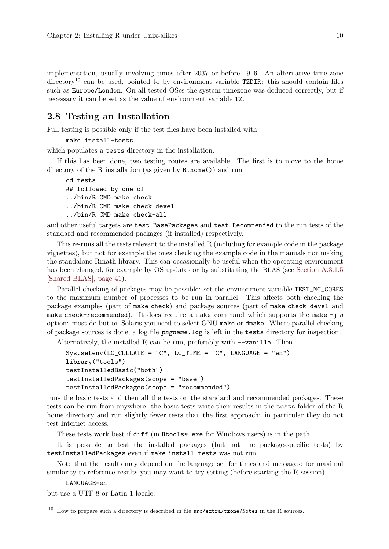<span id="page-14-0"></span>implementation, usually involving times after 2037 or before 1916. An alternative time-zone  $\text{directory}^{10}$  can be used, pointed to by environment variable TZDIR: this should contain files such as Europe/London. On all tested OSes the system timezone was deduced correctly, but if necessary it can be set as the value of environment variable TZ.

#### <span id="page-14-1"></span>2.8 Testing an Installation

Full testing is possible only if the test files have been installed with

```
make install-tests
```
which populates a tests directory in the installation.

If this has been done, two testing routes are available. The first is to move to the home directory of the R installation (as given by R.home()) and run

cd tests ## followed by one of ../bin/R CMD make check ../bin/R CMD make check-devel ../bin/R CMD make check-all

and other useful targets are test-BasePackages and test-Recommended to the run tests of the standard and recommended packages (if installed) respectively.

This re-runs all the tests relevant to the installed R (including for example code in the package vignettes), but not for example the ones checking the example code in the manuals nor making the standalone Rmath library. This can occasionally be useful when the operating environment has been changed, for example by OS updates or by substituting the BLAS (see [Section A.3.1.5](#page-45-1) [\[Shared BLAS\], page 41](#page-45-1)).

Parallel checking of packages may be possible: set the environment variable TEST\_MC\_CORES to the maximum number of processes to be run in parallel. This affects both checking the package examples (part of make check) and package sources (part of make check-devel and make check-recommended). It does require a make command which supports the make  $-j$  n option: most do but on Solaris you need to select GNU make or dmake. Where parallel checking of package sources is done, a log file pngname.log is left in the tests directory for inspection.

Alternatively, the installed R can be run, preferably with --vanilla. Then

```
Sys.setenv(LC_COLLATE = "C", LC_TIME = "C", LANGUAGE = "en")
library("tools")
testInstalledBasic("both")
testInstalledPackages(scope = "base")
testInstalledPackages(scope = "recommended")
```
runs the basic tests and then all the tests on the standard and recommended packages. These tests can be run from anywhere: the basic tests write their results in the tests folder of the R home directory and run slightly fewer tests than the first approach: in particular they do not test Internet access.

These tests work best if diff (in Rtools\*.exe for Windows users) is in the path.

It is possible to test the installed packages (but not the package-specific tests) by testInstalledPackages even if make install-tests was not run.

Note that the results may depend on the language set for times and messages: for maximal similarity to reference results you may want to try setting (before starting the R session)

#### LANGUAGE=en

but use a UTF-8 or Latin-1 locale.

 $^{10}$  How to prepare such a directory is described in file  $src/extra/tzone/Notes$  in the R sources.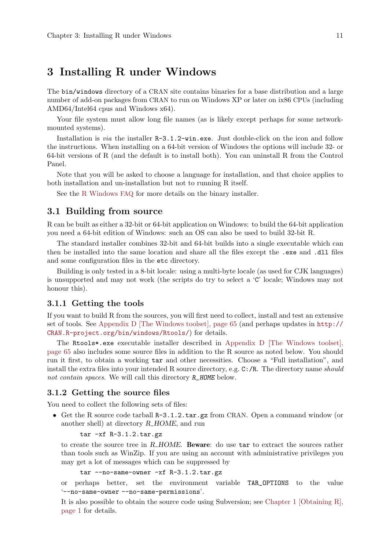# <span id="page-15-0"></span>3 Installing R under Windows

The bin/windows directory of a CRAN site contains binaries for a base distribution and a large number of add-on packages from CRAN to run on Windows XP or later on ix86 CPUs (including AMD64/Intel64 cpus and Windows x64).

Your file system must allow long file names (as is likely except perhaps for some networkmounted systems).

Installation is via the installer R-3.1.2-win.exe. Just double-click on the icon and follow the instructions. When installing on a 64-bit version of Windows the options will include 32- or 64-bit versions of R (and the default is to install both). You can uninstall R from the Control Panel.

Note that you will be asked to choose a language for installation, and that choice applies to both installation and un-installation but not to running R itself.

See the [R Windows](http://CRAN.R-project.org/bin/windows/base/rw-FAQ.html) FAQ for more details on the binary installer.

# 3.1 Building from source

R can be built as either a 32-bit or 64-bit application on Windows: to build the 64-bit application you need a 64-bit edition of Windows: such an OS can also be used to build 32-bit R.

The standard installer combines 32-bit and 64-bit builds into a single executable which can then be installed into the same location and share all the files except the .exe and .dll files and some configuration files in the etc directory.

Building is only tested in a 8-bit locale: using a multi-byte locale (as used for CJK languages) is unsupported and may not work (the scripts do try to select a 'C' locale; Windows may not honour this).

#### 3.1.1 Getting the tools

If you want to build R from the sources, you will first need to collect, install and test an extensive set of tools. See [Appendix D \[The Windows toolset\], page 65](#page-69-0) (and perhaps updates in [http://](http://CRAN.R-project.org/bin/windows/Rtools/) [CRAN.R-project.org/bin/windows/Rtools/](http://CRAN.R-project.org/bin/windows/Rtools/)) for details.

The Rtools\*.exe executable installer described in [Appendix D \[The Windows toolset\],](#page-69-0) [page 65](#page-69-0) also includes some source files in addition to the R source as noted below. You should run it first, to obtain a working tar and other necessities. Choose a "Full installation", and install the extra files into your intended R source directory, e.g. C:/R. The directory name should not contain spaces. We will call this directory **R\_HOME** below.

## 3.1.2 Getting the source files

You need to collect the following sets of files:

• Get the R source code tarball R-3.1.2.tar.gz from CRAN. Open a command window (or another shell) at directory R HOME, and run

```
tar -xf R-3.1.2.tar.gz
```
to create the source tree in R\_HOME. Beware: do use tar to extract the sources rather than tools such as WinZip. If you are using an account with administrative privileges you may get a lot of messages which can be suppressed by

tar --no-same-owner -xf R-3.1.2.tar.gz

or perhaps better, set the environment variable TAR\_OPTIONS to the value '--no-same-owner --no-same-permissions'.

It is also possible to obtain the source code using Subversion; see [Chapter 1 \[Obtaining R\],](#page-5-0) [page 1](#page-5-0) for details.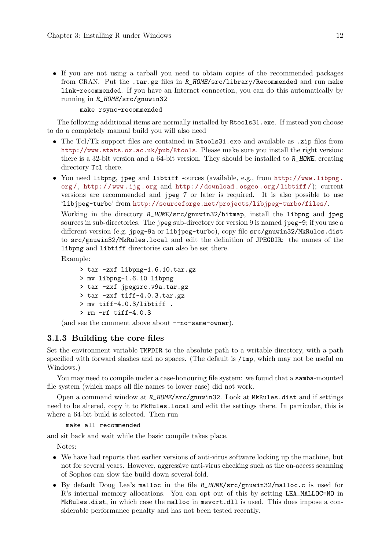<span id="page-16-0"></span>• If you are not using a tarball you need to obtain copies of the recommended packages from CRAN. Put the .tar.gz files in R\_HOME/src/library/Recommended and run make link-recommended. If you have an Internet connection, you can do this automatically by running in R\_HOME/src/gnuwin32

make rsync-recommended

The following additional items are normally installed by Rtools31.exe. If instead you choose to do a completely manual build you will also need

- The Tcl/Tk support files are contained in Rtools31.exe and available as .zip files from <http://www.stats.ox.ac.uk/pub/Rtools>. Please make sure you install the right version: there is a 32-bit version and a 64-bit version. They should be installed to R\_HOME, creating directory Tc1 there.
- You need libpng, jpeg and libtiff sources (available, e.g., from [http://www.libpng.](http://www.libpng.org/) [org /](http://www.libpng.org/), [http: / /www .ijg .org](http://www.ijg.org) and [http: / /download .osgeo .org /libtiff /](http://download.osgeo.org/libtiff/)); current versions are recommended and jpeg 7 or later is required. It is also possible to use 'libjpeg-turbo' from <http://sourceforge.net/projects/libjpeg-turbo/files/>.

Working in the directory R\_HOME/src/gnuwin32/bitmap, install the libpng and jpeg sources in sub-directories. The jpeg sub-directory for version 9 is named jpeg-9; if you use a different version (e.g. jpeg-9a or libjpeg-turbo), copy file src/gnuwin32/MkRules.dist to src/gnuwin32/MkRules.local and edit the definition of JPEGDIR: the names of the libpng and libtiff directories can also be set there.

Example:

```
> tar -zxf libpng-1.6.10.tar.gz
> mv libpng-1.6.10 libpng
> tar -zxf jpegsrc.v9a.tar.gz
> tar -zxf tiff-4.0.3.tar.gz
> mv tiff-4.0.3/libtiff .
> rm -rf tiff-4.0.3
```
(and see the comment above about --no-same-owner).

### 3.1.3 Building the core files

Set the environment variable TMPDIR to the absolute path to a writable directory, with a path specified with forward slashes and no spaces. (The default is /tmp, which may not be useful on Windows.)

You may need to compile under a case-honouring file system: we found that a samba-mounted file system (which maps all file names to lower case) did not work.

Open a command window at R\_HOME/src/gnuwin32. Look at MkRules.dist and if settings need to be altered, copy it to MkRules.local and edit the settings there. In particular, this is where a 64-bit build is selected. Then run

make all recommended

and sit back and wait while the basic compile takes place.

Notes:

- We have had reports that earlier versions of anti-virus software locking up the machine, but not for several years. However, aggressive anti-virus checking such as the on-access scanning of Sophos can slow the build down several-fold.
- By default Doug Lea's malloc in the file R\_HOME/src/gnuwin32/malloc.c is used for R's internal memory allocations. You can opt out of this by setting LEA\_MALLOC=NO in MkRules.dist, in which case the malloc in msvcrt.dll is used. This does impose a considerable performance penalty and has not been tested recently.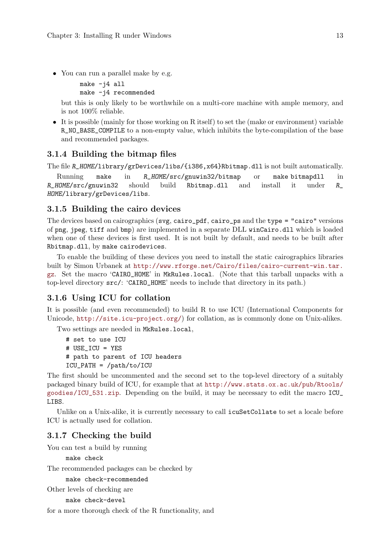<span id="page-17-0"></span>• You can run a parallel make by e.g.

```
make -j4 all
make -j4 recommended
```
but this is only likely to be worthwhile on a multi-core machine with ample memory, and is not 100% reliable.

• It is possible (mainly for those working on R itself) to set the (make or environment) variable R\_NO\_BASE\_COMPILE to a non-empty value, which inhibits the byte-compilation of the base and recommended packages.

# 3.1.4 Building the bitmap files

```
The file R_HOME/library/grDevices/libs/{i386,x64}Rbitmap.dll is not built automatically.
```
Running make in R\_HOME/src/gnuwin32/bitmap or make bitmapdll in R\_HOME/src/gnuwin32 should build Rbitmap.dll and install it under R\_ HOME/library/grDevices/libs.

## 3.1.5 Building the cairo devices

The devices based on cairographics (svg, cairo\_pdf, cairo\_ps and the type = "cairo" versions of png, jpeg, tiff and bmp) are implemented in a separate DLL winCairo.dll which is loaded when one of these devices is first used. It is not built by default, and needs to be built after Rbitmap.dll, by make cairodevices.

To enable the building of these devices you need to install the static cairographics libraries built by Simon Urbanek at [http://www.rforge.net/Cairo/files/cairo-current-win.tar.](http://www.rforge.net/Cairo/files/cairo-current-win.tar.gz) [gz](http://www.rforge.net/Cairo/files/cairo-current-win.tar.gz). Set the macro 'CAIRO\_HOME' in MkRules.local. (Note that this tarball unpacks with a top-level directory src/: 'CAIRO\_HOME' needs to include that directory in its path.)

# 3.1.6 Using ICU for collation

It is possible (and even recommended) to build R to use ICU (International Components for Unicode, <http://site.icu-project.org/>) for collation, as is commonly done on Unix-alikes.

Two settings are needed in MkRules.local,

```
# set to use ICU
# USE_ICU = YES
# path to parent of ICU headers
ICU_PATH = /path/to/ICU
```
The first should be uncommented and the second set to the top-level directory of a suitably packaged binary build of ICU, for example that at [http://www.stats.ox.ac.uk/pub/Rtools/](http://www.stats.ox.ac.uk/pub/Rtools/goodies/ICU_531.zip) [goodies/ICU\\_531.zip](http://www.stats.ox.ac.uk/pub/Rtools/goodies/ICU_531.zip). Depending on the build, it may be necessary to edit the macro ICU\_ LIBS.

Unlike on a Unix-alike, it is currently necessary to call icuSetCollate to set a locale before ICU is actually used for collation.

# 3.1.7 Checking the build

You can test a build by running

```
make check
```
The recommended packages can be checked by

```
make check-recommended
```

```
Other levels of checking are
```
make check-devel

for a more thorough check of the R functionality, and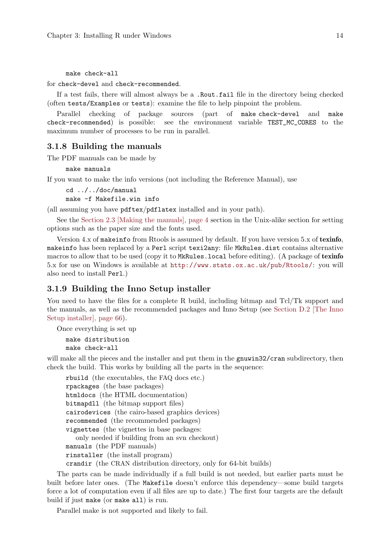<span id="page-18-0"></span>make check-all

for check-devel and check-recommended.

If a test fails, there will almost always be a .Rout.fail file in the directory being checked (often tests/Examples or tests): examine the file to help pinpoint the problem.

Parallel checking of package sources (part of make check-devel and make check-recommended) is possible: see the environment variable TEST\_MC\_CORES to the maximum number of processes to be run in parallel.

#### 3.1.8 Building the manuals

The PDF manuals can be made by

make manuals

If you want to make the info versions (not including the Reference Manual), use

```
cd ../../doc/manual
make -f Makefile.win info
```
(all assuming you have pdftex/pdflatex installed and in your path).

See the [Section 2.3 \[Making the manuals\], page 4](#page-8-1) section in the Unix-alike section for setting options such as the paper size and the fonts used.

Version  $4.x$  of makeinfo from Rtools is assumed by default. If you have version  $5.x$  of texinfo, makeinfo has been replaced by a Perl script texi2any: file MkRules.dist contains alternative macros to allow that to be used (copy it to MkRules. local before editing). (A package of texinfo 5.x for use on Windows is available at <http://www.stats.ox.ac.uk/pub/Rtools/>: you will also need to install Perl.)

#### 3.1.9 Building the Inno Setup installer

You need to have the files for a complete R build, including bitmap and Tcl/Tk support and the manuals, as well as the recommended packages and Inno Setup (see [Section D.2 \[The Inno](#page-70-1) [Setup installer\], page 66](#page-70-1)).

Once everything is set up

```
make distribution
make check-all
```
will make all the pieces and the installer and put them in the gnuwin32/cran subdirectory, then check the build. This works by building all the parts in the sequence:

rbuild (the executables, the FAQ docs etc.) rpackages (the base packages) htmldocs (the HTML documentation) bitmapdll (the bitmap support files) cairodevices (the cairo-based graphics devices) recommended (the recommended packages) vignettes (the vignettes in base packages: only needed if building from an svn checkout) manuals (the PDF manuals) rinstaller (the install program) crandir (the CRAN distribution directory, only for 64-bit builds)

The parts can be made individually if a full build is not needed, but earlier parts must be built before later ones. (The Makefile doesn't enforce this dependency—some build targets force a lot of computation even if all files are up to date.) The first four targets are the default build if just make (or make all) is run.

Parallel make is not supported and likely to fail.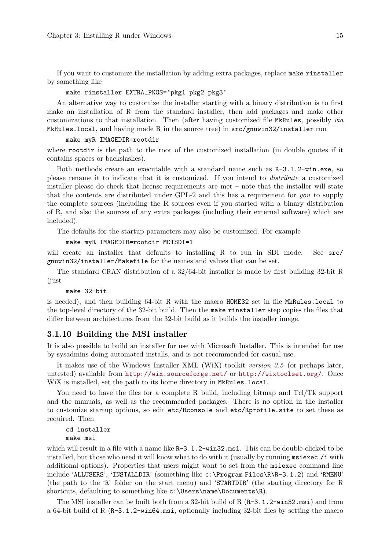<span id="page-19-0"></span>If you want to customize the installation by adding extra packages, replace make rinstaller by something like

#### make rinstaller EXTRA\_PKGS='pkg1 pkg2 pkg3'

An alternative way to customize the installer starting with a binary distribution is to first make an installation of R from the standard installer, then add packages and make other customizations to that installation. Then (after having customized file MkRules, possibly via MkRules.local, and having made R in the source tree) in src/gnuwin32/installer run

#### make myR IMAGEDIR=rootdir

where rootdir is the path to the root of the customized installation (in double quotes if it contains spaces or backslashes).

Both methods create an executable with a standard name such as R-3.1.2-win.exe, so please rename it to indicate that it is customized. If you intend to distribute a customized installer please do check that license requirements are met – note that the installer will state that the contents are distributed under GPL-2 and this has a requirement for you to supply the complete sources (including the R sources even if you started with a binary distribution of R, and also the sources of any extra packages (including their external software) which are included).

The defaults for the startup parameters may also be customized. For example

```
make myR IMAGEDIR=rootdir MDISDI=1
```
will create an installer that defaults to installing R to run in SDI mode. See  $src/$ gnuwin32/installer/Makefile for the names and values that can be set.

The standard CRAN distribution of a 32/64-bit installer is made by first building 32-bit R (just

make 32-bit

is needed), and then building 64-bit R with the macro HOME32 set in file MkRules.local to the top-level directory of the 32-bit build. Then the make rinstaller step copies the files that differ between architectures from the 32-bit build as it builds the installer image.

#### 3.1.10 Building the MSI installer

It is also possible to build an installer for use with Microsoft Installer. This is intended for use by sysadmins doing automated installs, and is not recommended for casual use.

It makes use of the Windows Installer XML (WiX) toolkit version 3.5 (or perhaps later, untested) available from <http://wix.sourceforge.net/> or <http://wixtoolset.org/>. Once WiX is installed, set the path to its home directory in MkRules.local.

You need to have the files for a complete R build, including bitmap and Tcl/Tk support and the manuals, as well as the recommended packages. There is no option in the installer to customize startup options, so edit etc/Rconsole and etc/Rprofile.site to set these as required. Then

```
cd installer
make msi
```
which will result in a file with a name like  $R-3.1.2-\text{win32.msi}$ . This can be double-clicked to be installed, but those who need it will know what to do with it (usually by running msiexec /i with additional options). Properties that users might want to set from the msiexec command line include 'ALLUSERS', 'INSTALLDIR' (something like c:\Program Files\R\R-3.1.2) and 'RMENU' (the path to the 'R' folder on the start menu) and 'STARTDIR' (the starting directory for R shortcuts, defaulting to something like c:\Users\name\Documents\R).

The MSI installer can be built both from a 32-bit build of R  $(R-3.1.2-\nu \text{in}32.\text{msi})$  and from a 64-bit build of R (R-3.1.2-win64.msi, optionally including 32-bit files by setting the macro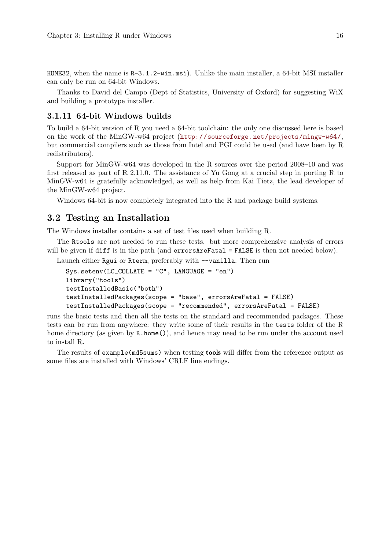<span id="page-20-0"></span>HOME32, when the name is  $R-3.1.2$ -win.msi). Unlike the main installer, a 64-bit MSI installer can only be run on 64-bit Windows.

Thanks to David del Campo (Dept of Statistics, University of Oxford) for suggesting WiX and building a prototype installer.

#### 3.1.11 64-bit Windows builds

To build a 64-bit version of R you need a 64-bit toolchain: the only one discussed here is based on the work of the MinGW-w64 project (<http://sourceforge.net/projects/mingw-w64/>, but commercial compilers such as those from Intel and PGI could be used (and have been by R redistributors).

Support for MinGW-w64 was developed in the R sources over the period 2008–10 and was first released as part of R 2.11.0. The assistance of Yu Gong at a crucial step in porting R to MinGW-w64 is gratefully acknowledged, as well as help from Kai Tietz, the lead developer of the MinGW-w64 project.

Windows 64-bit is now completely integrated into the R and package build systems.

#### 3.2 Testing an Installation

The Windows installer contains a set of test files used when building R.

The Rtools are not needed to run these tests. but more comprehensive analysis of errors will be given if diff is in the path (and errorsAreFatal = FALSE is then not needed below).

Launch either Rgui or Rterm, preferably with  $-$ vanilla. Then run

```
Sys.setenv(LC_COLLATE = "C", LANGUAGE = "en")
library("tools")
testInstalledBasic("both")
testInstalledPackages(scope = "base", errorsAreFatal = FALSE)
testInstalledPackages(scope = "recommended", errorsAreFatal = FALSE)
```
runs the basic tests and then all the tests on the standard and recommended packages. These tests can be run from anywhere: they write some of their results in the tests folder of the R home directory (as given by  $R \cdot \text{home}($ ), and hence may need to be run under the account used to install R.

The results of example(md5sums) when testing tools will differ from the reference output as some files are installed with Windows' CRLF line endings.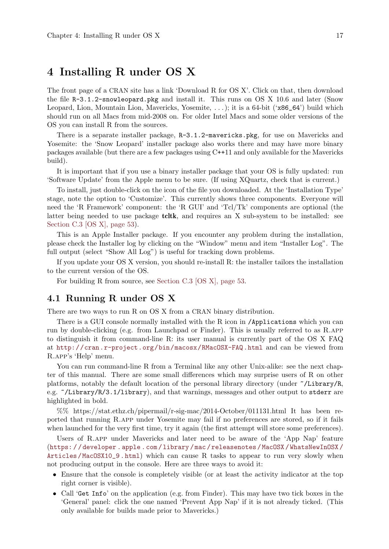# <span id="page-21-0"></span>4 Installing R under OS X

The front page of a CRAN site has a link 'Download R for OS X'. Click on that, then download the file R-3.1.2-snowleopard.pkg and install it. This runs on OS X 10.6 and later (Snow Leopard, Lion, Mountain Lion, Mavericks, Yosemite, . . . ); it is a 64-bit ('x86\_64') build which should run on all Macs from mid-2008 on. For older Intel Macs and some older versions of the OS you can install R from the sources.

There is a separate installer package,  $R-3.1.2$ -mavericks.pkg, for use on Mavericks and Yosemite: the 'Snow Leopard' installer package also works there and may have more binary packages available (but there are a few packages using C++11 and only available for the Mavericks build).

It is important that if you use a binary installer package that your OS is fully updated: run 'Software Update' from the Apple menu to be sure. (If using XQuartz, check that is current.)

To install, just double-click on the icon of the file you downloaded. At the 'Installation Type' stage, note the option to 'Customize'. This currently shows three components. Everyone will need the 'R Framework' component: the 'R GUI' and 'Tcl/Tk' components are optional (the latter being needed to use package tcltk, and requires an X sub-system to be installed: see [Section C.3 \[OS X\], page 53\)](#page-57-0).

This is an Apple Installer package. If you encounter any problem during the installation, please check the Installer log by clicking on the "Window" menu and item "Installer Log". The full output (select "Show All Log") is useful for tracking down problems.

If you update your OS X version, you should re-install R: the installer tailors the installation to the current version of the OS.

For building R from source, see [Section C.3 \[OS X\], page 53](#page-57-0).

## 4.1 Running R under OS X

There are two ways to run R on OS X from a CRAN binary distribution.

There is a GUI console normally installed with the R icon in /Applications which you can run by double-clicking (e.g. from Launchpad or Finder). This is usually referred to as R.app to distinguish it from command-line R: its user manual is currently part of the OS X FAQ at <http://cran.r-project.org/bin/macosx/RMacOSX-FAQ.html> and can be viewed from R.app's 'Help' menu.

You can run command-line R from a Terminal like any other Unix-alike: see the next chapter of this manual. There are some small differences which may surprise users of R on other platforms, notably the default location of the personal library directory (under  $\sim/L$ ibrary/R, e.g. ~/Library/R/3.1/library), and that warnings, messages and other output to stderr are highlighted in bold.

%% https://stat.ethz.ch/pipermail/r-sig-mac/2014-October/011131.html It has been reported that running R.app under Yosemite may fail if no preferences are stored, so if it fails when launched for the very first time, try it again (the first attempt will store some preferences).

Users of R.app under Mavericks and later need to be aware of the 'App Nap' feature (https://developer.apple.com/library/mac/releasenotes/MacOSX/WhatsNewInOSX/ Articles/MacOSX10\_9.html) which can cause R tasks to appear to run very slowly when not producing output in the console. Here are three ways to avoid it:

- Ensure that the console is completely visible (or at least the activity indicator at the top right corner is visible).
- Call 'Get Info' on the application (e.g. from Finder). This may have two tick boxes in the 'General' panel: click the one named 'Prevent App Nap' if it is not already ticked. (This only available for builds made prior to Mavericks.)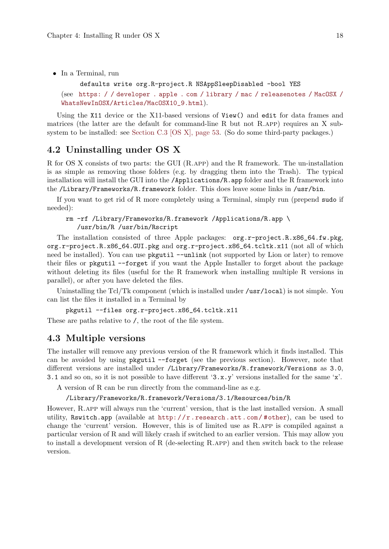<span id="page-22-0"></span>• In a Terminal, run

```
defaults write org.R-project.R NSAppSleepDisabled -bool YES
(see https: / / developer . apple . com / library / mac / releasenotes / MacOSX /
WhatsNewInOSX/Articles/MacOSX10_9.html).
```
Using the X11 device or the X11-based versions of View() and edit for data frames and matrices (the latter are the default for command-line R but not R.app) requires an X subsystem to be installed: see [Section C.3 \[OS X\], page 53.](#page-57-0) (So do some third-party packages.)

# 4.2 Uninstalling under OS X

R for OS X consists of two parts: the GUI (R.app) and the R framework. The un-installation is as simple as removing those folders (e.g. by dragging them into the Trash). The typical installation will install the GUI into the /Applications/R.app folder and the R framework into the /Library/Frameworks/R.framework folder. This does leave some links in /usr/bin.

If you want to get rid of R more completely using a Terminal, simply run (prepend sudo if needed):

#### rm -rf /Library/Frameworks/R.framework /Applications/R.app \ /usr/bin/R /usr/bin/Rscript

The installation consisted of three Apple packages: org.r-project.R.x86\_64.fw.pkg, org.r-project.R.x86\_64.GUI.pkg and org.r-project.x86\_64.tcltk.x11 (not all of which need be installed). You can use pkgutil --unlink (not supported by Lion or later) to remove their files or pkgutil --forget if you want the Apple Installer to forget about the package without deleting its files (useful for the R framework when installing multiple R versions in parallel), or after you have deleted the files.

Uninstalling the Tcl/Tk component (which is installed under /usr/local) is not simple. You can list the files it installed in a Terminal by

pkgutil --files org.r-project.x86\_64.tcltk.x11

These are paths relative to /, the root of the file system.

### 4.3 Multiple versions

The installer will remove any previous version of the R framework which it finds installed. This can be avoided by using pkgutil --forget (see the previous section). However, note that different versions are installed under /Library/Frameworks/R.framework/Versions as 3.0, 3.1 and so on, so it is not possible to have different '3.x.y' versions installed for the same 'x'.

A version of R can be run directly from the command-line as e.g.

#### /Library/Frameworks/R.framework/Versions/3.1/Resources/bin/R

However, R.app will always run the 'current' version, that is the last installed version. A small utility, Rswitch.app (available at http://r.research.att.com/#other), can be used to change the 'current' version. However, this is of limited use as R.app is compiled against a particular version of R and will likely crash if switched to an earlier version. This may allow you to install a development version of R (de-selecting R.app) and then switch back to the release version.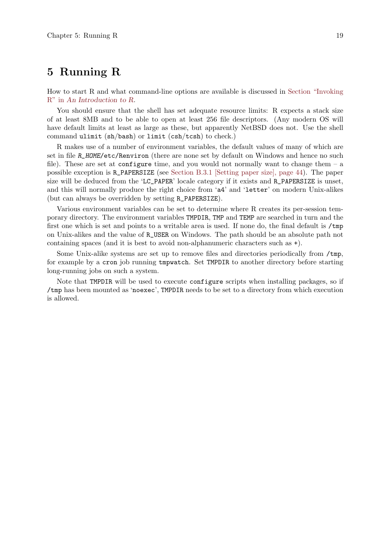# <span id="page-23-0"></span>5 Running R

How to start R and what command-line options are available is discussed in Section "Invoking R" in An Introduction to R.

You should ensure that the shell has set adequate resource limits: R expects a stack size of at least 8MB and to be able to open at least 256 file descriptors. (Any modern OS will have default limits at least as large as these, but apparently NetBSD does not. Use the shell command ulimit (sh/bash) or limit (csh/tcsh) to check.)

R makes use of a number of environment variables, the default values of many of which are set in file R\_HOME/etc/Renviron (there are none set by default on Windows and hence no such file). These are set at configure time, and you would not normally want to change them  $- a$ possible exception is R\_PAPERSIZE (see [Section B.3.1 \[Setting paper size\], page 44\)](#page-48-1). The paper size will be deduced from the 'LC\_PAPER' locale category if it exists and R\_PAPERSIZE is unset, and this will normally produce the right choice from 'a4' and 'letter' on modern Unix-alikes (but can always be overridden by setting R\_PAPERSIZE).

Various environment variables can be set to determine where R creates its per-session temporary directory. The environment variables TMPDIR, TMP and TEMP are searched in turn and the first one which is set and points to a writable area is used. If none do, the final default is  $/\text{tmp}$ on Unix-alikes and the value of R\_USER on Windows. The path should be an absolute path not containing spaces (and it is best to avoid non-alphanumeric characters such as +).

Some Unix-alike systems are set up to remove files and directories periodically from /tmp, for example by a cron job running tmpwatch. Set TMPDIR to another directory before starting long-running jobs on such a system.

Note that TMPDIR will be used to execute configure scripts when installing packages, so if /tmp has been mounted as 'noexec', TMPDIR needs to be set to a directory from which execution is allowed.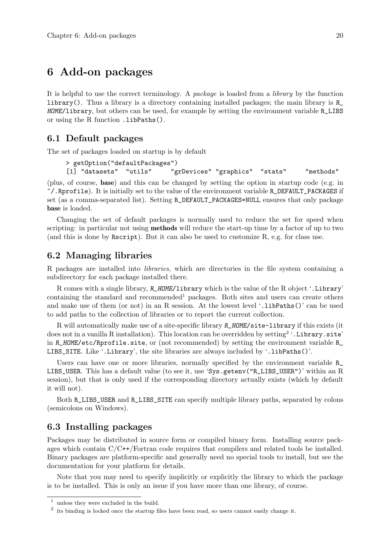# <span id="page-24-0"></span>6 Add-on packages

It is helpful to use the correct terminology. A package is loaded from a library by the function library(). Thus a library is a directory containing installed packages; the main library is  $R_{\perp}$ HOME/library, but others can be used, for example by setting the environment variable R\_LIBS or using the R function .libPaths().

## 6.1 Default packages

The set of packages loaded on startup is by default

```
> getOption("defaultPackages")
[1] "datasets" "utils" "grDevices" "graphics" "stats" "methods"
```
(plus, of course, base) and this can be changed by setting the option in startup code (e.g. in  $\gamma$ . Rprofile). It is initially set to the value of the environment variable R\_DEFAULT\_PACKAGES if set (as a comma-separated list). Setting R\_DEFAULT\_PACKAGES=NULL ensures that only package base is loaded.

Changing the set of default packages is normally used to reduce the set for speed when scripting: in particular not using methods will reduce the start-up time by a factor of up to two (and this is done by Rscript). But it can also be used to customize R, e.g. for class use.

# 6.2 Managing libraries

R packages are installed into libraries, which are directories in the file system containing a subdirectory for each package installed there.

R comes with a single library, R\_HOME/library which is the value of the R object '.Library' containing the standard and recommended<sup>1</sup> packages. Both sites and users can create others and make use of them (or not) in an R session. At the lowest level '.libPaths()' can be used to add paths to the collection of libraries or to report the current collection.

R will automatically make use of a site-specific library R\_HOME/site-library if this exists (it does not in a vanilla R installation). This location can be overridden by setting<sup>2</sup> '. Library.site' in R\_HOME/etc/Rprofile.site, or (not recommended) by setting the environment variable R\_ LIBS\_SITE. Like '.Library', the site libraries are always included by '.libPaths()'.

Users can have one or more libraries, normally specified by the environment variable  $R_$ LIBS\_USER. This has a default value (to see it, use 'Sys.getenv("R\_LIBS\_USER")' within an R session), but that is only used if the corresponding directory actually exists (which by default it will not).

Both R\_LIBS\_USER and R\_LIBS\_SITE can specify multiple library paths, separated by colons (semicolons on Windows).

## 6.3 Installing packages

Packages may be distributed in source form or compiled binary form. Installing source packages which contain C/C++/Fortran code requires that compilers and related tools be installed. Binary packages are platform-specific and generally need no special tools to install, but see the documentation for your platform for details.

Note that you may need to specify implicitly or explicitly the library to which the package is to be installed. This is only an issue if you have more than one library, of course.

 $^{\rm 1}$  unless they were excluded in the build.

 $2$  its binding is locked once the startup files have been read, so users cannot easily change it.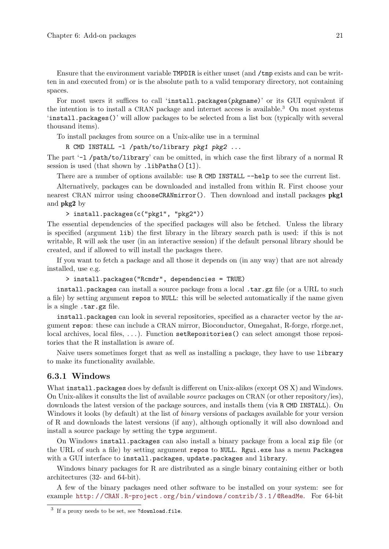<span id="page-25-0"></span>Ensure that the environment variable TMPDIR is either unset (and /tmp exists and can be written in and executed from) or is the absolute path to a valid temporary directory, not containing spaces.

For most users it suffices to call 'install.packages(pkgname)' or its GUI equivalent if the intention is to install a CRAN package and internet access is available.<sup>3</sup> On most systems 'install.packages()' will allow packages to be selected from a list box (typically with several thousand items).

To install packages from source on a Unix-alike use in a terminal

R CMD INSTALL -l /path/to/library pkg1 pkg2 ...

The part '-l /path/to/library' can be omitted, in which case the first library of a normal R session is used (that shown by .libPaths()[1]).

There are a number of options available: use R CMD INSTALL --help to see the current list.

Alternatively, packages can be downloaded and installed from within R. First choose your nearest CRAN mirror using chooseCRANmirror(). Then download and install packages pkg1 and pkg2 by

```
> install.packages(c("pkg1", "pkg2"))
```
The essential dependencies of the specified packages will also be fetched. Unless the library is specified (argument lib) the first library in the library search path is used: if this is not writable, R will ask the user (in an interactive session) if the default personal library should be created, and if allowed to will install the packages there.

If you want to fetch a package and all those it depends on (in any way) that are not already installed, use e.g.

> install.packages("Rcmdr", dependencies = TRUE)

install.packages can install a source package from a local .tar.gz file (or a URL to such a file) by setting argument repos to NULL: this will be selected automatically if the name given is a single .tar.gz file.

install.packages can look in several repositories, specified as a character vector by the argument repos: these can include a CRAN mirror, Bioconductor, Omegahat, R-forge, rforge.net, local archives, local files, . . . ). Function setRepositories() can select amongst those repositories that the R installation is aware of.

Naive users sometimes forget that as well as installing a package, they have to use library to make its functionality available.

#### 6.3.1 Windows

What install.packages does by default is different on Unix-alikes (except OS X) and Windows. On Unix-alikes it consults the list of available source packages on CRAN (or other repository/ies), downloads the latest version of the package sources, and installs them (via R CMD INSTALL). On Windows it looks (by default) at the list of *binary* versions of packages available for your version of R and downloads the latest versions (if any), although optionally it will also download and install a source package by setting the type argument.

On Windows install.packages can also install a binary package from a local zip file (or the URL of such a file) by setting argument repos to NULL. Rgui.exe has a menu Packages with a GUI interface to install.packages, update.packages and library.

Windows binary packages for R are distributed as a single binary containing either or both architectures (32- and 64-bit).

A few of the binary packages need other software to be installed on your system: see for example [http: / /CRAN .R-project .org /bin /windows /contrib /3 .1 /@ReadMe](http://CRAN.R-project.org/bin/windows/contrib/3.1/@ReadMe). For 64-bit

 $3$  If a proxy needs to be set, see ?download.file.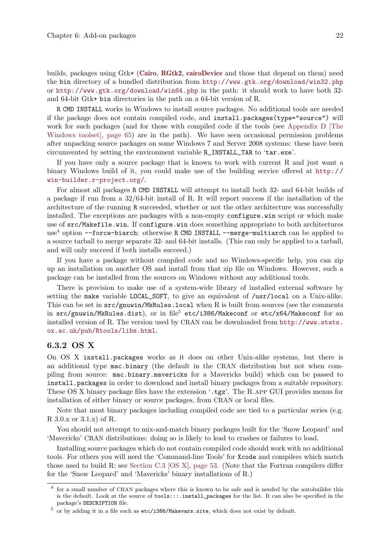<span id="page-26-0"></span>builds, packages using Gtk+ ([Cairo](http://CRAN.R-project.org/package=Cairo), [RGtk2](http://CRAN.R-project.org/package=RGtk2), [cairoDevice](http://CRAN.R-project.org/package=cairoDevice) and those that depend on them) need the bin directory of a bundled distribution from <http://www.gtk.org/download/win32.php> or <http://www.gtk.org/download/win64.php> in the path: it should work to have both 32 and 64-bit Gtk+ bin directories in the path on a 64-bit version of R.

R CMD INSTALL works in Windows to install source packages. No additional tools are needed if the package does not contain compiled code, and install.packages(type="source") will work for such packages (and for those with compiled code if the tools (see [Appendix D \[The](#page-69-0) [Windows toolset\], page 65](#page-69-0)) are in the path). We have seen occasional permission problems after unpacking source packages on some Windows 7 and Server 2008 systems: these have been circumvented by setting the environment variable R\_INSTALL\_TAR to 'tar.exe'.

If you have only a source package that is known to work with current R and just want a binary Windows build of it, you could make use of the building service offered at [http://](http://win-builder.r-project.org/) [win-builder.r-project.org/](http://win-builder.r-project.org/).

For almost all packages R CMD INSTALL will attempt to install both 32- and 64-bit builds of a package if run from a 32/64-bit install of R. It will report success if the installation of the architecture of the running R succeeded, whether or not the other architecture was successfully installed. The exceptions are packages with a non-empty configure.win script or which make use of src/Makefile.win. If configure.win does something appropriate to both architectures use<sup>4</sup> option --force-biarch: otherwise R CMD INSTALL --merge-multiarch can be applied to a source tarball to merge separate 32- and 64-bit installs. (This can only be applied to a tarball, and will only succeed if both installs succeed.)

If you have a package without compiled code and no Windows-specific help, you can zip up an installation on another OS and install from that zip file on Windows. However, such a package can be installed from the sources on Windows without any additional tools.

There is provision to make use of a system-wide library of installed external software by setting the make variable LOCAL\_SOFT, to give an equivalent of /usr/local on a Unix-alike. This can be set in  $src/gnuwin/MkRules$ . local when R is built from sources (see the comments in  $src/gnuwin/MkRules.dist)$ , or in file<sup>5</sup> etc/i386/Makeconf or etc/x64/Makeconf for an installed version of R. The version used by CRAN can be downloaded from [http://www.stats.](http://www.stats.ox.ac.uk/pub/Rtools/libs.html) [ox.ac.uk/pub/Rtools/libs.html](http://www.stats.ox.ac.uk/pub/Rtools/libs.html).

#### 6.3.2 OS X

On OS X install.packages works as it does on other Unix-alike systems, but there is an additional type mac.binary (the default in the CRAN distribution but not when compiling from source: mac.binary.mavericks for a Mavericks build) which can be passed to install.packages in order to download and install binary packages from a suitable repository. These OS X binary package files have the extension '.tgz'. The R.app GUI provides menus for installation of either binary or source packages, from CRAN or local files.

Note that most binary packages including compiled code are tied to a particular series (e.g. R 3.0.x or 3.1.x) of R.

You should not attempt to mix-and-match binary packages built for the 'Snow Leopard' and 'Mavericks' CRAN distributions: doing so is likely to lead to crashes or failures to load.

Installing source packages which do not contain compiled code should work with no additional tools. For others you will need the 'Command-line Tools' for Xcode and compilers which match those used to build R: see [Section C.3 \[OS X\], page 53](#page-57-0). (Note that the Fortran compilers differ for the 'Snow Leopard' and 'Mavericks' binary installations of R.)

<sup>4</sup> for a small number of CRAN packages where this is known to be safe and is needed by the autobuilder this is the default. Look at the source of tools:::.install\_packages for the list. It can also be specified in the package's DESCRIPTION file.

 $^5$  or by adding it in a file such as  $\texttt{etc}/\texttt{i}386/\texttt{M}$ akevars.site, which does not exist by default.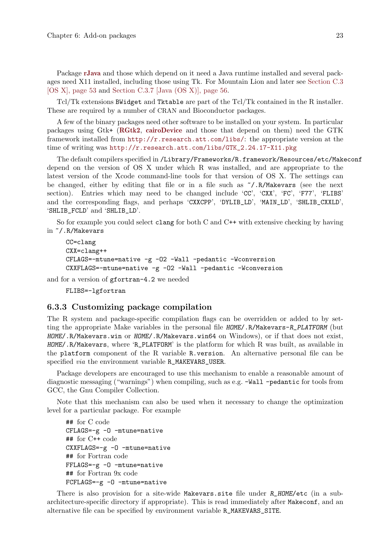<span id="page-27-0"></span>Package [rJava](http://CRAN.R-project.org/package=rJava) and those which depend on it need a Java runtime installed and several packages need X11 installed, including those using Tk. For Mountain Lion and later see [Section C.3](#page-57-0) [\[OS X\], page 53](#page-57-0) and [Section C.3.7 \[Java \(OS X\)\], page 56.](#page-60-1)

Tcl/Tk extensions BWidget and Tktable are part of the Tcl/Tk contained in the R installer. These are required by a number of CRAN and Bioconductor packages.

A few of the binary packages need other software to be installed on your system. In particular packages using Gtk+ ([RGtk2](http://CRAN.R-project.org/package=RGtk2), [cairoDevice](http://CRAN.R-project.org/package=cairoDevice) and those that depend on them) need the GTK framework installed from <http://r.research.att.com/libs/>: the appropriate version at the time of writing was [http://r.research.att.com/libs/GTK\\_2.24.17-X11.pkg](http://r.research.att.com/libs/GTK_2.24.17-X11.pkg)

The default compilers specified in /Library/Frameworks/R.framework/Resources/etc/Makeconf depend on the version of OS X under which R was installed, and are appropriate to the latest version of the Xcode command-line tools for that version of OS X. The settings can be changed, either by editing that file or in a file such as  $\gamma$ . R/Makevars (see the next section). Entries which may need to be changed include 'CC', 'CXX', 'FC', 'F77', 'FLIBS' and the corresponding flags, and perhaps 'CXXCPP', 'DYLIB\_LD', 'MAIN\_LD', 'SHLIB\_CXXLD', 'SHLIB\_FCLD' and 'SHLIB\_LD'.

So for example you could select clang for both C and C++ with extensive checking by having in ~/.R/Makevars

```
CC=clang
CXX=clang++
CFLAGS=-mtune=native -g -O2 -Wall -pedantic -Wconversion
CXXFLAGS=-mtune=native -g -O2 -Wall -pedantic -Wconversion
```
and for a version of gfortran-4.2 we needed

```
FLIBS=-lgfortran
```
#### 6.3.3 Customizing package compilation

The R system and package-specific compilation flags can be overridden or added to by setting the appropriate Make variables in the personal file HOME/.R/Makevars-R\_PLATFORM (but HOME/.R/Makevars.win or HOME/.R/Makevars.win64 on Windows), or if that does not exist, HOME/.R/Makevars, where 'R\_PLATFORM' is the platform for which R was built, as available in the platform component of the R variable R.version. An alternative personal file can be specified via the environment variable R\_MAKEVARS\_USER.

Package developers are encouraged to use this mechanism to enable a reasonable amount of diagnostic messaging ("warnings") when compiling, such as e.g. -Wall -pedantic for tools from GCC, the Gnu Compiler Collection.

Note that this mechanism can also be used when it necessary to change the optimization level for a particular package. For example

```
## for C code
CFLAGS=-g -O -mtune=native
## for C++ code
CXXFLAGS=-g -O -mtune=native
## for Fortran code
FFLAGS=-g -O -mtune=native
## for Fortran 9x code
FCFLAGS=-g -O -mtune=native
```
There is also provision for a site-wide Makevars.site file under R\_HOME/etc (in a subarchitecture-specific directory if appropriate). This is read immediately after Makeconf, and an alternative file can be specified by environment variable R\_MAKEVARS\_SITE.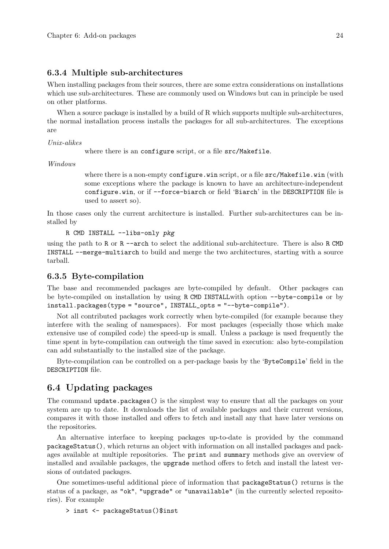#### <span id="page-28-0"></span>6.3.4 Multiple sub-architectures

When installing packages from their sources, there are some extra considerations on installations which use sub-architectures. These are commonly used on Windows but can in principle be used on other platforms.

When a source package is installed by a build of R which supports multiple sub-architectures, the normal installation process installs the packages for all sub-architectures. The exceptions are

Unix-alikes

where there is an configure script, or a file src/Makefile.

Windows

where there is a non-empty configure.win script, or a file src/Makefile.win (with some exceptions where the package is known to have an architecture-independent configure.win, or if --force-biarch or field 'Biarch' in the DESCRIPTION file is used to assert so).

In those cases only the current architecture is installed. Further sub-architectures can be installed by

R CMD INSTALL --libs-only pkg

using the path to R or R --arch to select the additional sub-architecture. There is also R CMD INSTALL --merge-multiarch to build and merge the two architectures, starting with a source tarball.

#### 6.3.5 Byte-compilation

The base and recommended packages are byte-compiled by default. Other packages can be byte-compiled on installation by using R CMD INSTALLwith option --byte-compile or by install.packages(type = "source", INSTALL\_opts = "--byte-compile").

Not all contributed packages work correctly when byte-compiled (for example because they interfere with the sealing of namespaces). For most packages (especially those which make extensive use of compiled code) the speed-up is small. Unless a package is used frequently the time spent in byte-compilation can outweigh the time saved in execution: also byte-compilation can add substantially to the installed size of the package.

Byte-compilation can be controlled on a per-package basis by the 'ByteCompile' field in the DESCRIPTION file.

# 6.4 Updating packages

The command update.packages() is the simplest way to ensure that all the packages on your system are up to date. It downloads the list of available packages and their current versions, compares it with those installed and offers to fetch and install any that have later versions on the repositories.

An alternative interface to keeping packages up-to-date is provided by the command packageStatus(), which returns an object with information on all installed packages and packages available at multiple repositories. The print and summary methods give an overview of installed and available packages, the upgrade method offers to fetch and install the latest versions of outdated packages.

One sometimes-useful additional piece of information that packageStatus() returns is the status of a package, as "ok", "upgrade" or "unavailable" (in the currently selected repositories). For example

```
> inst <- packageStatus()$inst
```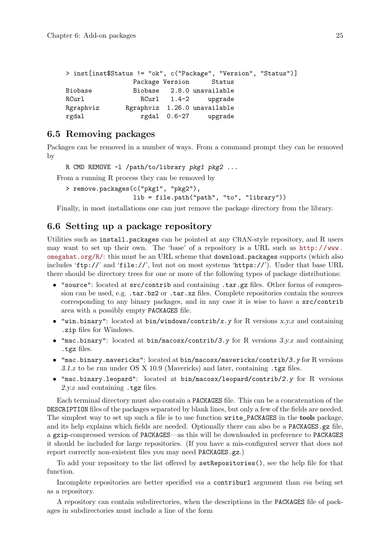<span id="page-29-0"></span>

| > inst[inst\$Status != "ok", c("Package", "Version", "Status")] |                              |                      |  |  |
|-----------------------------------------------------------------|------------------------------|----------------------|--|--|
|                                                                 | Package Version Status       |                      |  |  |
| Biobase                                                         | Biobase 2.8.0 unavailable    |                      |  |  |
| RCurl                                                           |                              | RCurl 1.4-2 upgrade  |  |  |
| Rgraphviz                                                       | Rgraphviz 1.26.0 unavailable |                      |  |  |
| rgdal                                                           |                              | rgdal 0.6-27 upgrade |  |  |

# 6.5 Removing packages

Packages can be removed in a number of ways. From a command prompt they can be removed by

R CMD REMOVE -1 /path/to/library pkg1 pkg2 ...

From a running R process they can be removed by

> remove.packages(c("pkg1", "pkg2"), lib = file.path("path", "to", "library"))

Finally, in most installations one can just remove the package directory from the library.

# 6.6 Setting up a package repository

Utilities such as install.packages can be pointed at any CRAN-style repository, and R users may want to set up their own. The 'base' of a repository is a URL such as [http://www.](http://www.omegahat.org/R/) [omegahat.org/R/](http://www.omegahat.org/R/): this must be an URL scheme that download.packages supports (which also includes 'ftp://' and 'file://', but not on most systems 'https://'). Under that base URL there should be directory trees for one or more of the following types of package distributions:

- "source": located at src/contrib and containing .tar.gz files. Other forms of compression can be used, e.g. .tar.bz2 or .tar.xz files. Complete repositories contain the sources corresponding to any binary packages, and in any case it is wise to have a src/contrib area with a possibly empty PACKAGES file.
- "win.binary": located at  $bin/$ windows/contrib/x.y for R versions x.y.z and containing .zip files for Windows.
- "mac.binary": located at bin/macosx/contrib/3.y for R versions  $3.y.z$  and containing .tgz files.
- "mac.binary.mavericks": located at bin/macosx/mavericks/contrib/3.y for R versions 3.1.z to be run under OS X 10.9 (Mavericks) and later, containing .tgz files.
- "mac.binary.leopard": located at bin/macosx/leopard/contrib/2.y for R versions 2.y.z and containing .tgz files.

Each terminal directory must also contain a PACKAGES file. This can be a concatenation of the DESCRIPTION files of the packages separated by blank lines, but only a few of the fields are needed. The simplest way to set up such a file is to use function write\_PACKAGES in the **tools** package, and its help explains which fields are needed. Optionally there can also be a PACKAGES.gz file, a gzip-compressed version of PACKAGES—as this will be downloaded in preference to PACKAGES it should be included for large repositories. (If you have a mis-configured server that does not report correctly non-existent files you may need PACKAGES.gz.)

To add your repository to the list offered by setRepositories(), see the help file for that function.

Incomplete repositories are better specified *via* a contriburl argument than *via* being set as a repository.

A repository can contain subdirectories, when the descriptions in the PACKAGES file of packages in subdirectories must include a line of the form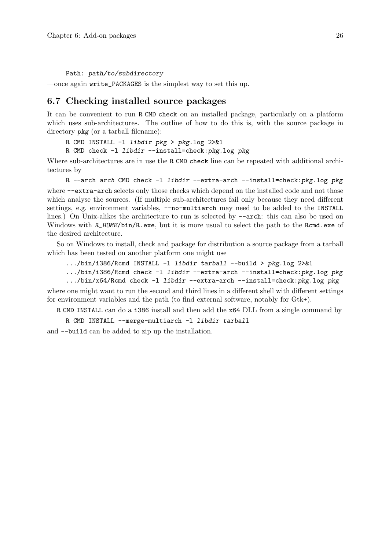<span id="page-30-0"></span>Path: path/to/subdirectory

—once again write\_PACKAGES is the simplest way to set this up.

#### 6.7 Checking installed source packages

It can be convenient to run R CMD check on an installed package, particularly on a platform which uses sub-architectures. The outline of how to do this is, with the source package in directory  $pkg$  (or a tarball filename):

R CMD INSTALL -l libdir pkg > pkg.log 2>&1

R CMD check -l libdir --install=check:pkg.log pkg

Where sub-architectures are in use the R CMD check line can be repeated with additional architectures by

R --arch arch CMD check -1 libdir --extra-arch --install=check:pkg.log pkg where  $-\text{-extra-arch}$  selects only those checks which depend on the installed code and not those which analyse the sources. (If multiple sub-architectures fail only because they need different settings, e.g. environment variables,  $-\text{no-multiarch}$  may need to be added to the INSTALL lines.) On Unix-alikes the architecture to run is selected by  $-\text{arch}$ : this can also be used on Windows with R\_HOME/bin/R.exe, but it is more usual to select the path to the Rcmd.exe of the desired architecture.

So on Windows to install, check and package for distribution a source package from a tarball which has been tested on another platform one might use

```
.../bin/i386/Rcmd INSTALL -l libdir tarball --build > pkg.log 2>&1
```

```
.../bin/i386/Rcmd check -1 libdir --extra-arch --install=check:pkg.log pkg
.../bin/x64/Rcmd check -l libdir --extra-arch --install=check:pkg.log pkg
```
where one might want to run the second and third lines in a different shell with different settings for environment variables and the path (to find external software, notably for Gtk+).

R CMD INSTALL can do a i386 install and then add the x64 DLL from a single command by

R CMD INSTALL --merge-multiarch -l libdir tarball

and --build can be added to zip up the installation.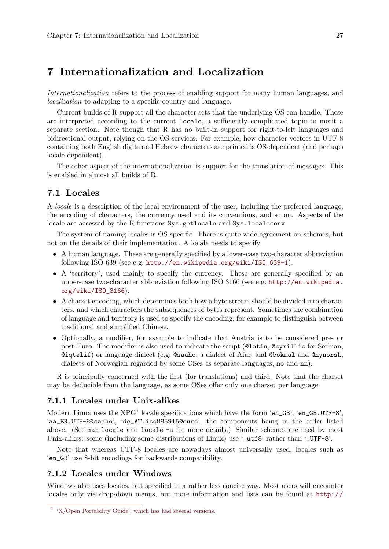# <span id="page-31-0"></span>7 Internationalization and Localization

Internationalization refers to the process of enabling support for many human languages, and localization to adapting to a specific country and language.

Current builds of R support all the character sets that the underlying OS can handle. These are interpreted according to the current locale, a sufficiently complicated topic to merit a separate section. Note though that R has no built-in support for right-to-left languages and bidirectional output, relying on the OS services. For example, how character vectors in UTF-8 containing both English digits and Hebrew characters are printed is OS-dependent (and perhaps locale-dependent).

The other aspect of the internationalization is support for the translation of messages. This is enabled in almost all builds of R.

## 7.1 Locales

A locale is a description of the local environment of the user, including the preferred language, the encoding of characters, the currency used and its conventions, and so on. Aspects of the locale are accessed by the R functions Sys.getlocale and Sys.localeconv.

The system of naming locales is OS-specific. There is quite wide agreement on schemes, but not on the details of their implementation. A locale needs to specify

- A human language. These are generally specified by a lower-case two-character abbreviation following ISO 639 (see e.g. [http://en.wikipedia.org/wiki/ISO\\_639-1](http://en.wikipedia.org/wiki/ISO_639-1)).
- A 'territory', used mainly to specify the currency. These are generally specified by an upper-case two-character abbreviation following ISO 3166 (see e.g. [http://en.wikipedia.](http://en.wikipedia.org/wiki/ISO_3166) [org/wiki/ISO\\_3166](http://en.wikipedia.org/wiki/ISO_3166)).
- A charset encoding, which determines both how a byte stream should be divided into characters, and which characters the subsequences of bytes represent. Sometimes the combination of language and territory is used to specify the encoding, for example to distinguish between traditional and simplified Chinese.
- Optionally, a modifier, for example to indicate that Austria is to be considered pre- or post-Euro. The modifier is also used to indicate the script (@latin, @cyrillic for Serbian, @iqtelif) or language dialect (e.g. @saaho, a dialect of Afar, and @bokmal and @nynorsk, dialects of Norwegian regarded by some OSes as separate languages, no and nn).

R is principally concerned with the first (for translations) and third. Note that the charset may be deducible from the language, as some OSes offer only one charset per language.

#### 7.1.1 Locales under Unix-alikes

Modern Linux uses the  $XPG<sup>1</sup>$  locale specifications which have the form 'en\_GB', 'en\_GB.UTF-8', 'aa\_ER.UTF-8@saaho', 'de\_AT.iso885915@euro', the components being in the order listed above. (See man locale and locale -a for more details.) Similar schemes are used by most Unix-alikes: some (including some distributions of Linux) use '.utf8' rather than '.UTF-8'.

Note that whereas UTF-8 locales are nowadays almost universally used, locales such as 'en\_GB' use 8-bit encodings for backwards compatibility.

## 7.1.2 Locales under Windows

Windows also uses locales, but specified in a rather less concise way. Most users will encounter locales only via drop-down menus, but more information and lists can be found at [http://](http://msdn.microsoft.com/en-us/library/hzz3tw78(v=vs.80))

 $1 \cdot X$ /Open Portability Guide', which has had several versions.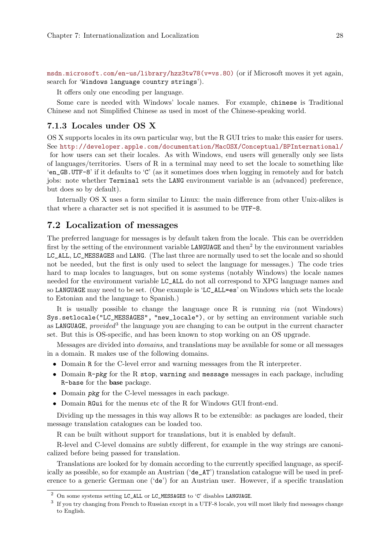<span id="page-32-0"></span>[msdn.microsoft.com/en-us/library/hzz3tw78\(v=vs.80\)](http://msdn.microsoft.com/en-us/library/hzz3tw78(v=vs.80)) (or if Microsoft moves it yet again, search for 'Windows language country strings').

It offers only one encoding per language.

Some care is needed with Windows' locale names. For example, chinese is Traditional Chinese and not Simplified Chinese as used in most of the Chinese-speaking world.

#### 7.1.3 Locales under OS X

OS X supports locales in its own particular way, but the R GUI tries to make this easier for users. See <http://developer.apple.com/documentation/MacOSX/Conceptual/BPInternational/> for how users can set their locales. As with Windows, end users will generally only see lists of languages/territories. Users of R in a terminal may need to set the locale to something like 'en\_GB.UTF-8' if it defaults to 'C' (as it sometimes does when logging in remotely and for batch jobs: note whether Terminal sets the LANG environment variable is an (advanced) preference, but does so by default).

Internally OS X uses a form similar to Linux: the main difference from other Unix-alikes is that where a character set is not specified it is assumed to be UTF-8.

# 7.2 Localization of messages

The preferred language for messages is by default taken from the locale. This can be overridden first by the setting of the environment variable LANGUAGE and then<sup>2</sup> by the environment variables LC\_ALL, LC\_MESSAGES and LANG. (The last three are normally used to set the locale and so should not be needed, but the first is only used to select the language for messages.) The code tries hard to map locales to languages, but on some systems (notably Windows) the locale names needed for the environment variable LC\_ALL do not all correspond to XPG language names and so LANGUAGE may need to be set. (One example is 'LC\_ALL=es' on Windows which sets the locale to Estonian and the language to Spanish.)

It is usually possible to change the language once R is running via (not Windows) Sys.setlocale("LC\_MESSAGES", "new\_locale"), or by setting an environment variable such as LANGUAGE, provided<sup>3</sup> the language you are changing to can be output in the current character set. But this is OS-specific, and has been known to stop working on an OS upgrade.

Messages are divided into domains, and translations may be available for some or all messages in a domain. R makes use of the following domains.

- Domain R for the C-level error and warning messages from the R interpreter.
- Domain R-pkg for the R stop, warning and message messages in each package, including R-base for the base package.
- Domain *pkg* for the C-level messages in each package.
- Domain RGui for the menus etc of the R for Windows GUI front-end.

Dividing up the messages in this way allows R to be extensible: as packages are loaded, their message translation catalogues can be loaded too.

R can be built without support for translations, but it is enabled by default.

R-level and C-level domains are subtly different, for example in the way strings are canonicalized before being passed for translation.

Translations are looked for by domain according to the currently specified language, as specifically as possible, so for example an Austrian ('de\_AT') translation catalogue will be used in preference to a generic German one ('de') for an Austrian user. However, if a specific translation

 $^2$  On some systems setting <code>LC\_ALL</code> or <code>LC\_MESSAGES</code> to 'C' disables <code>LANGUAGE</code>.

 $3\,$  If you try changing from French to Russian except in a UTF-8 locale, you will most likely find messages change to English.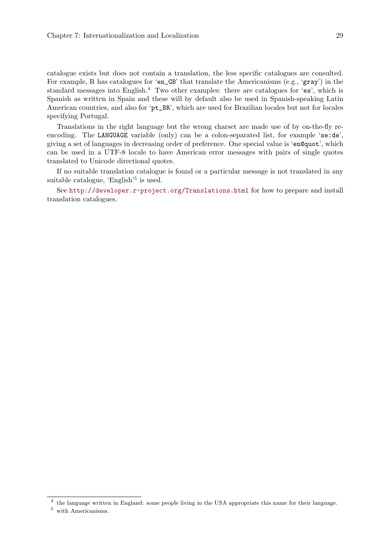catalogue exists but does not contain a translation, the less specific catalogues are consulted. For example, R has catalogues for 'en\_GB' that translate the Americanisms (e.g., 'gray') in the standard messages into English.<sup>4</sup> Two other examples: there are catalogues for 'es', which is Spanish as written in Spain and these will by default also be used in Spanish-speaking Latin American countries, and also for 'pt\_BR', which are used for Brazilian locales but not for locales specifying Portugal.

Translations in the right language but the wrong charset are made use of by on-the-fly reencoding. The LANGUAGE variable (only) can be a colon-separated list, for example 'se:de', giving a set of languages in decreasing order of preference. One special value is 'en@quot', which can be used in a UTF-8 locale to have American error messages with pairs of single quotes translated to Unicode directional quotes.

If no suitable translation catalogue is found or a particular message is not translated in any suitable catalogue, 'English'<sup>5</sup> is used.

See <http://developer.r-project.org/Translations.html> for how to prepare and install translation catalogues.

<sup>&</sup>lt;sup>4</sup> the language written in England: some people living in the USA appropriate this name for their language.

 $^5\,$  with Americanisms.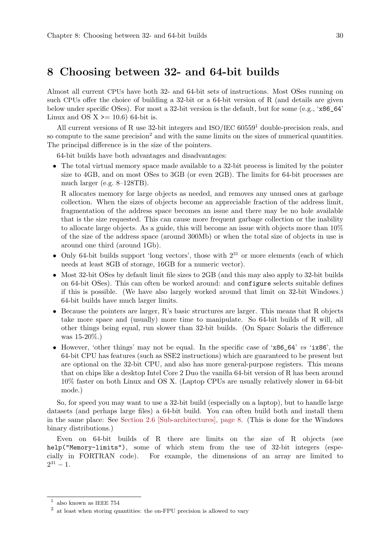# <span id="page-34-0"></span>8 Choosing between 32- and 64-bit builds

Almost all current CPUs have both 32- and 64-bit sets of instructions. Most OSes running on such CPUs offer the choice of building a 32-bit or a 64-bit version of R (and details are given below under specific OSes). For most a 32-bit version is the default, but for some (e.g., 'x86\_64' Linux and OS  $X \ge 10.6$  64-bit is.

All current versions of R use 32-bit integers and  $ISO/IEC 60559<sup>1</sup>$  double-precision reals, and so compute to the same precision<sup>2</sup> and with the same limits on the sizes of numerical quantities. The principal difference is in the size of the pointers.

64-bit builds have both advantages and disadvantages:

• The total virtual memory space made available to a 32-bit process is limited by the pointer size to 4GB, and on most OSes to 3GB (or even 2GB). The limits for 64-bit processes are much larger (e.g. 8–128TB).

R allocates memory for large objects as needed, and removes any unused ones at garbage collection. When the sizes of objects become an appreciable fraction of the address limit, fragmentation of the address space becomes an issue and there may be no hole available that is the size requested. This can cause more frequent garbage collection or the inability to allocate large objects. As a guide, this will become an issue with objects more than 10% of the size of the address space (around 300Mb) or when the total size of objects in use is around one third (around 1Gb).

- Only 64-bit builds support 'long vectors', those with  $2^{31}$  or more elements (each of which needs at least 8GB of storage, 16GB for a numeric vector).
- Most 32-bit OSes by default limit file sizes to 2GB (and this may also apply to 32-bit builds on 64-bit OSes). This can often be worked around: and configure selects suitable defines if this is possible. (We have also largely worked around that limit on 32-bit Windows.) 64-bit builds have much larger limits.
- $\bullet$  Because the pointers are larger, R's basic structures are larger. This means that R objects take more space and (usually) more time to manipulate. So 64-bit builds of R will, all other things being equal, run slower than 32-bit builds. (On Sparc Solaris the difference was 15-20%.)
- However, 'other things' may not be equal. In the specific case of 'x86\_64' vs 'ix86', the 64-bit CPU has features (such as SSE2 instructions) which are guaranteed to be present but are optional on the 32-bit CPU, and also has more general-purpose registers. This means that on chips like a desktop Intel Core 2 Duo the vanilla 64-bit version of R has been around 10% faster on both Linux and OS X. (Laptop CPUs are usually relatively slower in 64-bit mode.)

So, for speed you may want to use a 32-bit build (especially on a laptop), but to handle large datasets (and perhaps large files) a 64-bit build. You can often build both and install them in the same place: See [Section 2.6 \[Sub-architectures\], page 8.](#page-12-1) (This is done for the Windows binary distributions.)

Even on 64-bit builds of R there are limits on the size of R objects (see help("Memory-limits"), some of which stem from the use of 32-bit integers (especially in FORTRAN code). For example, the dimensions of an array are limited to  $2^{31} - 1.$ 

 $^{\rm 1}$  also known as IEEE 754

<sup>&</sup>lt;sup>2</sup> at least when storing quantities: the on-FPU precision is allowed to vary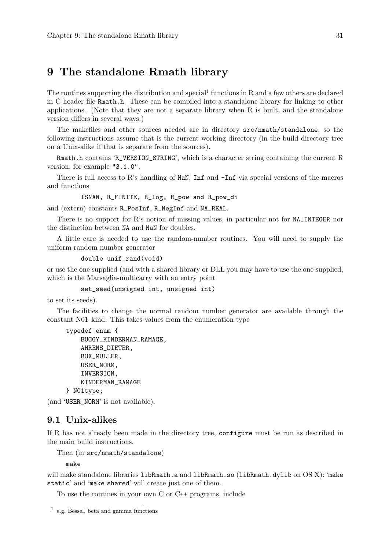# <span id="page-35-0"></span>9 The standalone Rmath library

The routines supporting the distribution and special<sup>1</sup> functions in  $R$  and a few others are declared in C header file Rmath.h. These can be compiled into a standalone library for linking to other applications. (Note that they are not a separate library when R is built, and the standalone version differs in several ways.)

The makefiles and other sources needed are in directory src/nmath/standalone, so the following instructions assume that is the current working directory (in the build directory tree on a Unix-alike if that is separate from the sources).

Rmath.h contains 'R\_VERSION\_STRING', which is a character string containing the current R version, for example "3.1.0".

There is full access to R's handling of NaN, Inf and  $\text{-Inf}$  via special versions of the macros and functions

ISNAN, R\_FINITE, R\_log, R\_pow and R\_pow\_di

and (extern) constants R\_PosInf, R\_NegInf and NA\_REAL.

There is no support for R's notion of missing values, in particular not for NA\_INTEGER nor the distinction between NA and NaN for doubles.

A little care is needed to use the random-number routines. You will need to supply the uniform random number generator

```
double unif_rand(void)
```
or use the one supplied (and with a shared library or DLL you may have to use the one supplied, which is the Marsaglia-multicarry with an entry point

```
set_seed(unsigned int, unsigned int)
```
to set its seeds).

The facilities to change the normal random number generator are available through the constant N01 kind. This takes values from the enumeration type

```
typedef enum {
    BUGGY_KINDERMAN_RAMAGE,
    AHRENS_DIETER,
    BOX_MULLER,
    USER_NORM,
    INVERSION,
    KINDERMAN_RAMAGE
} N01type;
```
(and 'USER\_NORM' is not available).

#### 9.1 Unix-alikes

If R has not already been made in the directory tree, configure must be run as described in the main build instructions.

Then (in src/nmath/standalone)

make

will make standalone libraries libRmath.a and libRmath.so (libRmath.dylib on OSX): 'make static' and 'make shared' will create just one of them.

To use the routines in your own C or C++ programs, include

<sup>1</sup> e.g. Bessel, beta and gamma functions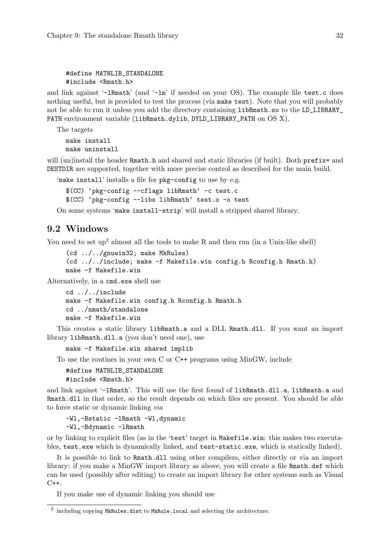### #define MATHLIB\_STANDALONE #include <Rmath.h>

and link against '-lRmath' (and '-lm' if needed on your OS). The example file test.c does nothing useful, but is provided to test the process (via make test). Note that you will probably not be able to run it unless you add the directory containing libRmath.so to the LD\_LIBRARY\_ PATH environment variable (libRmath.dylib, DYLD\_LIBRARY\_PATH on OS X).

```
The targets
  make install
  make uninstall
```
will (un)install the header Rmath.h and shared and static libraries (if built). Both prefix= and DESTDIR are supported, together with more precise control as described for the main build.

'make install' installs a file for pkg-config to use by e.g.

```
$(CC) 'pkg-config --cflags libRmath' -c test.c
$(CC) 'pkg-config --libs libRmath' test.o -o test
```
On some systems 'make install-strip' will install a stripped shared library.

## 9.2 Windows

You need to set up<sup>2</sup> almost all the tools to make  $R$  and then run (in a Unix-like shell)

```
(cd ../../gnuwin32; make MkRules)
(cd ../../include; make -f Makefile.win config.h Rconfig.h Rmath.h)
make -f Makefile.win
```
Alternatively, in a cmd.exe shell use

```
cd ../../include
make -f Makefile.win config.h Rconfig.h Rmath.h
cd ../nmath/standalone
make -f Makefile.win
```
This creates a static library libRmath.a and a DLL Rmath.dll. If you want an import library libRmath.dll.a (you don't need one), use

make -f Makefile.win shared implib

To use the routines in your own C or C++ programs using MinGW, include

#define MATHLIB\_STANDALONE #include <Rmath.h>

and link against '-lRmath'. This will use the first found of libRmath.dll.a, libRmath.a and Rmath.dll in that order, so the result depends on which files are present. You should be able to force static or dynamic linking via

-Wl,-Bstatic -lRmath -Wl,dynamic -Wl,-Bdynamic -lRmath

or by linking to explicit files (as in the 'test' target in Makefile.win: this makes two executables, test.exe which is dynamically linked, and test-static.exe, which is statically linked).

It is possible to link to Rmath.dll using other compilers, either directly or via an import library: if you make a MinGW import library as above, you will create a file Rmath.def which can be used (possibly after editing) to create an import library for other systems such as Visual  $C++$ .

If you make use of dynamic linking you should use

 $^2$  including copying MkRules.dist to MkRule.local and selecting the architecture.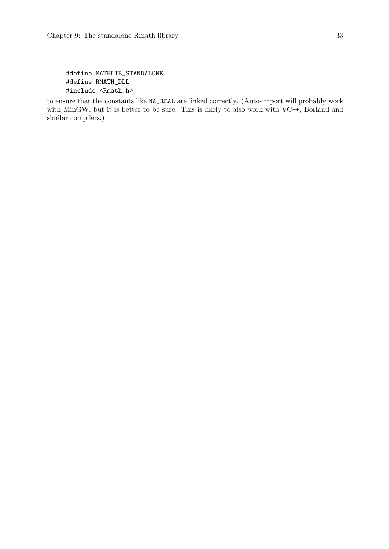```
#define MATHLIB_STANDALONE
#define RMATH_DLL
#include <Rmath.h>
```
to ensure that the constants like NA\_REAL are linked correctly. (Auto-import will probably work with MinGW, but it is better to be sure. This is likely to also work with VC++, Borland and similar compilers.)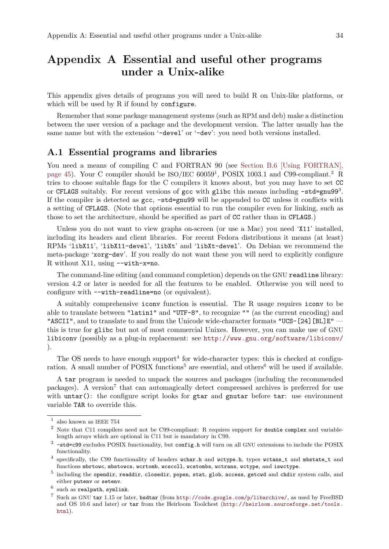# Appendix A Essential and useful other programs under a Unix-alike

This appendix gives details of programs you will need to build R on Unix-like platforms, or which will be used by R if found by configure.

Remember that some package management systems (such as RPM and deb) make a distinction between the user version of a package and the development version. The latter usually has the same name but with the extension '-devel' or '-dev': you need both versions installed.

### A.1 Essential programs and libraries

You need a means of compiling C and FORTRAN 90 (see [Section B.6 \[Using FORTRAN\],](#page-49-0) [page 45\)](#page-49-0). Your C compiler should be  $ISO/IEC 60059<sup>1</sup>$ , POSIX 1003.1 and C99-compliant.<sup>2</sup> R tries to choose suitable flags for the C compilers it knows about, but you may have to set CC or CFLAGS suitably. For recent versions of gcc with glibc this means including -std=gnu993. If the compiler is detected as gcc, -std=gnu99 will be appended to CC unless it conflicts with a setting of CFLAGS. (Note that options essential to run the compiler even for linking, such as those to set the architecture, should be specified as part of CC rather than in CFLAGS.)

Unless you do not want to view graphs on-screen (or use a Mac) you need 'X11' installed, including its headers and client libraries. For recent Fedora distributions it means (at least) RPMs 'libX11', 'libX11-devel', 'libXt' and 'libXt-devel'. On Debian we recommend the meta-package 'xorg-dev'. If you really do not want these you will need to explicitly configure R without X11, using --with-x=no.

The command-line editing (and command completion) depends on the GNU readline library: version 4.2 or later is needed for all the features to be enabled. Otherwise you will need to configure with --with-readline=no (or equivalent).

A suitably comprehensive iconv function is essential. The R usage requires iconv to be able to translate between "latin1" and "UTF-8", to recognize "" (as the current encoding) and "ASCII", and to translate to and from the Unicode wide-character formats "UCS-[24][BL]E" this is true for glibc but not of most commercial Unixes. However, you can make use of GNU libiconv (possibly as a plug-in replacement: see <http://www.gnu.org/software/libiconv/> ).

The OS needs to have enough support<sup>4</sup> for wide-character types: this is checked at configuration. A small number of POSIX functions<sup>5</sup> are essential, and others<sup>6</sup> will be used if available.

A tar program is needed to unpack the sources and packages (including the recommended packages). A version<sup>7</sup> that can automagically detect compressed archives is preferred for use with untar(): the configure script looks for gtar and gnutar before tar: use environment variable TAR to override this.

 $^{\rm 1}$  also known as IEEE 754

<sup>2</sup> Note that C11 compilers need not be C99-compliant: R requires support for double complex and variablelength arrays which are optional in C11 but is mandatory in C99.

 $3$  -std=c99 excludes POSIX functionality, but config.h will turn on all GNU extensions to include the POSIX functionality.

 $^4$  specifically, the C99 functionality of headers wchar.h and wctype.h, types wctans\_t and mbstate\_t and functions mbrtowc, mbstowcs, wcrtomb, wcscoll, wcstombs, wctrans, wctype, and iswctype.

 $^5$  including the opendir, readdir, closedir, popen, stat, glob, access, getcwd and chdir system calls, and either putenv or setenv.

 $^6$  such as realpath, symlink.

<sup>7</sup> Such as GNU tar 1.15 or later, bsdtar (from <http://code.google.com/p/libarchive/>, as used by FreeBSD and OS 10.6 and later) or tar from the Heirloom Toolchest ([http://heirloom.sourceforge.net/tools.](http://heirloom.sourceforge.net/tools.html) [html](http://heirloom.sourceforge.net/tools.html)).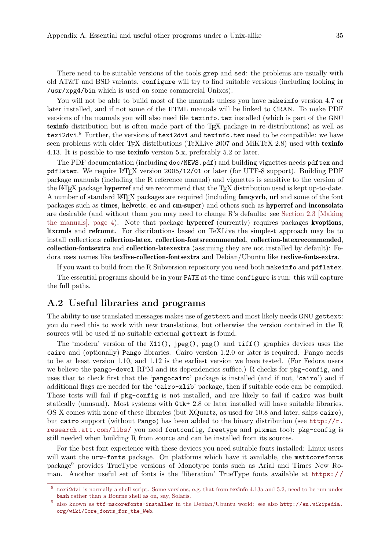There need to be suitable versions of the tools grep and sed: the problems are usually with old AT&T and BSD variants. configure will try to find suitable versions (including looking in /usr/xpg4/bin which is used on some commercial Unixes).

You will not be able to build most of the manuals unless you have makeinfo version 4.7 or later installed, and if not some of the HTML manuals will be linked to CRAN. To make PDF versions of the manuals you will also need file texinfo.tex installed (which is part of the GNU texinfo distribution but is often made part of the T<sub>E</sub>X package in re-distributions) as well as texi2dvi.<sup>8</sup> Further, the versions of texi2dvi and texinfo.tex need to be compatible: we have seen problems with older TEX distributions (TeXLive 2007 and MiKTeX 2.8) used with texinfo 4.13. It is possible to use texinfo version 5.x, preferably 5.2 or later.

The PDF documentation (including doc/NEWS.pdf) and building vignettes needs pdftex and pdflatex. We require LATEX version 2005/12/01 or later (for UTF-8 support). Building PDF package manuals (including the R reference manual) and vignettes is sensitive to the version of the LAT<sub>E</sub>X package hyperref and we recommend that the T<sub>E</sub>X distribution used is kept up-to-date. A number of standard LATEX packages are required (including **fancyvrb**, url and some of the font packages such as times, helvetic, ec and cm-super) and others such as hyperref and inconsolata are desirable (and without them you may need to change R's defaults: see [Section 2.3 \[Making](#page-8-0) [the manuals\], page 4\)](#page-8-0). Note that package hyperref (currently) requires packages kvoptions, ltxcmds and refcount. For distributions based on TeXLive the simplest approach may be to install collections collection-latex, collection-fontsrecommended, collection-latexrecommended, collection-fontsextra and collection-latexextra (assuming they are not installed by default): Fedora uses names like texlive-collection-fontsextra and Debian/Ubuntu like texlive-fonts-extra.

If you want to build from the R Subversion repository you need both makeinfo and pdflatex.

The essential programs should be in your PATH at the time configure is run: this will capture the full paths.

## <span id="page-39-0"></span>A.2 Useful libraries and programs

The ability to use translated messages makes use of gettext and most likely needs GNU gettext: you do need this to work with new translations, but otherwise the version contained in the R sources will be used if no suitable external gettext is found.

The 'modern' version of the X11(), jpeg(), png() and tiff() graphics devices uses the cairo and (optionally) Pango libraries. Cairo version 1.2.0 or later is required. Pango needs to be at least version 1.10, and 1.12 is the earliest version we have tested. (For Fedora users we believe the pango-devel RPM and its dependencies suffice.) R checks for pkg-config, and uses that to check first that the 'pangocairo' package is installed (and if not, 'cairo') and if additional flags are needed for the 'cairo-xlib' package, then if suitable code can be compiled. These tests will fail if pkg-config is not installed, and are likely to fail if cairo was built statically (unusual). Most systems with Gtk+ 2.8 or later installed will have suitable libraries. OS X comes with none of these libraries (but XQuartz, as used for 10.8 and later, ships cairo), but cairo support (without Pango) has been added to the binary distribution (see [http://r.](http://r.research.att.com/libs/) [research.att.com/libs/](http://r.research.att.com/libs/) you need fontconfig, freetype and pixman too): pkg-config is still needed when building R from source and can be installed from its sources.

For the best font experience with these devices you need suitable fonts installed: Linux users will want the urw-fonts package. On platforms which have it available, the msttcorefonts package<sup>9</sup> provides TrueType versions of Monotype fonts such as Arial and Times New Roman. Another useful set of fonts is the 'liberation' TrueType fonts available at [https: / /](https://fedorahosted.org/liberation-fonts/)

 $8$  texi2dvi [is normally a shell script. Some versions, e.g. that from](https://fedorahosted.org/liberation-fonts/) texinfo 4.13a and 5.2, need to be run under bash [rather than a Bourne shell as on, say, Solaris.](https://fedorahosted.org/liberation-fonts/)

<sup>9</sup> also known as ttf-mscorefonts-installer [in the Debian/Ubuntu world: see also](https://fedorahosted.org/liberation-fonts/) [http://en.wikipedia.](http://en.wikipedia.org/wiki/Core_fonts_for_the_Web) [org/wiki/Core\\_fonts\\_for\\_the\\_Web](https://fedorahosted.org/liberation-fonts/).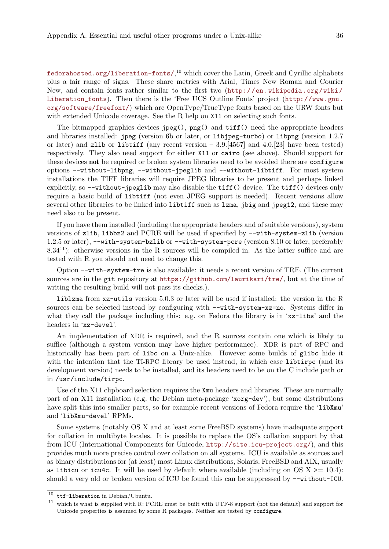[fedorahosted.org/liberation-fonts/](https://fedorahosted.org/liberation-fonts/), <sup>10</sup> which cover the Latin, Greek and Cyrillic alphabets plus a fair range of signs. These share metrics with Arial, Times New Roman and Courier New, and contain fonts rather similar to the first two ([http://en.wikipedia.org/wiki/](http://en.wikipedia.org/wiki/Liberation_fonts) [Liberation\\_fonts](http://en.wikipedia.org/wiki/Liberation_fonts)). Then there is the 'Free UCS Outline Fonts' project ([http://www.gnu.](http://www.gnu.org/software/freefont/) [org/software/freefont/](http://www.gnu.org/software/freefont/)) which are OpenType/TrueType fonts based on the URW fonts but with extended Unicode coverage. See the R help on X11 on selecting such fonts.

The bitmapped graphics devices  $\text{ipeg}()$ ,  $\text{png}()$  and  $\text{tff}()$  need the appropriate headers and libraries installed: jpeg (version 6b or later, or libjpeg-turbo) or libpng (version 1.2.7 or later) and zlib or libtiff (any recent version  $-3.9$ . [4567] and 4.0.[23] have been tested) respectively. They also need support for either X11 or cairo (see above). Should support for these devices not be required or broken system libraries need to be avoided there are configure options --without-libpng, --without-jpeglib and --without-libtiff. For most system installations the TIFF libraries will require JPEG libraries to be present and perhaps linked explicitly, so --without-jpeglib may also disable the tiff() device. The tiff() devices only require a basic build of libtiff (not even JPEG support is needed). Recent versions allow several other libraries to be linked into libtiff such as lzma, jbig and jpeg12, and these may need also to be present.

If you have them installed (including the appropriate headers and of suitable versions), system versions of zlib, libbz2 and PCRE will be used if specified by --with-system-zlib (version 1.2.5 or later), --with-system-bzlib or --with-system-pcre (version 8.10 or later, preferably  $8.34^{11}$ : otherwise versions in the R sources will be compiled in. As the latter suffice and are tested with R you should not need to change this.

Option --with-system-tre is also available: it needs a recent version of TRE. (The current sources are in the git repository at <https://github.com/laurikari/tre/>, but at the time of writing the resulting build will not pass its checks.).

liblzma from xz-utils version 5.0.3 or later will be used if installed: the version in the R sources can be selected instead by configuring with --with-system-xz=no. Systems differ in what they call the package including this: e.g. on Fedora the library is in 'xz-libs' and the headers in 'xz-devel'.

An implementation of XDR is required, and the R sources contain one which is likely to suffice (although a system version may have higher performance). XDR is part of RPC and historically has been part of libc on a Unix-alike. However some builds of glibc hide it with the intention that the TI-RPC library be used instead, in which case libtirpc (and its development version) needs to be installed, and its headers need to be on the C include path or in /usr/include/tirpc.

Use of the X11 clipboard selection requires the Xmu headers and libraries. These are normally part of an X11 installation (e.g. the Debian meta-package 'xorg-dev'), but some distributions have split this into smaller parts, so for example recent versions of Fedora require the 'libXmu' and 'libXmu-devel' RPMs.

Some systems (notably OS X and at least some FreeBSD systems) have inadequate support for collation in multibyte locales. It is possible to replace the OS's collation support by that from ICU (International Components for Unicode, <http://site.icu-project.org/>), and this provides much more precise control over collation on all systems. ICU is available as sources and as binary distributions for (at least) most Linux distributions, Solaris, FreeBSD and AIX, usually as libicu or icu4c. It will be used by default where available (including on OS  $X \geq 10.4$ ): should a very old or broken version of ICU be found this can be suppressed by --without-ICU.

 $^{10}\,$ ttf-liberation in Debian/Ubuntu.

<sup>&</sup>lt;sup>11</sup> which is what is supplied with R: PCRE must be built with UTF-8 support (not the default) and support for Unicode properties is assumed by some R packages. Neither are tested by configure.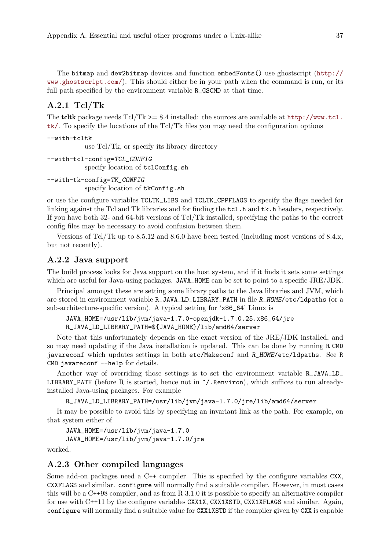The bitmap and dev2bitmap devices and function embedFonts() use ghostscript ([http://](http://www.ghostscript.com/) [www.ghostscript.com/](http://www.ghostscript.com/)). This should either be in your path when the command is run, or its full path specified by the environment variable  $R_{\text{-}}$  GSCMD at that time.

### A.2.1 Tcl/Tk

The **tcltk** package needs  $Tcl/Tk \geq 8.4$  installed: the sources are available at  $http://www.tcl.$ [tk/](http://www.tcl.tk/). To specify the locations of the Tcl/Tk files you may need the configuration options

```
--with-tcltk
```
use Tcl/Tk, or specify its library directory

```
--with-tcl-config=TCL_CONFIG
           specify location of tclConfig.sh
```
--with-tk-config=TK\_CONFIG specify location of tkConfig.sh

or use the configure variables TCLTK\_LIBS and TCLTK\_CPPFLAGS to specify the flags needed for linking against the Tcl and Tk libraries and for finding the tcl.h and tk.h headers, respectively. If you have both 32- and 64-bit versions of Tcl/Tk installed, specifying the paths to the correct config files may be necessary to avoid confusion between them.

Versions of Tcl/Tk up to 8.5.12 and 8.6.0 have been tested (including most versions of 8.4.x, but not recently).

### A.2.2 Java support

The build process looks for Java support on the host system, and if it finds it sets some settings which are useful for Java-using packages. JAVA\_HOME can be set to point to a specific JRE/JDK.

Principal amongst these are setting some library paths to the Java libraries and JVM, which are stored in environment variable R\_JAVA\_LD\_LIBRARY\_PATH in file R\_HOME/etc/ldpaths (or a sub-architecture-specific version). A typical setting for 'x86\_64' Linux is

```
JAVA_HOME=/usr/lib/jvm/java-1.7.0-openjdk-1.7.0.25.x86_64/jre
R_JAVA_LD_LIBRARY_PATH=${JAVA_HOME}/lib/amd64/server
```
Note that this unfortunately depends on the exact version of the JRE/JDK installed, and so may need updating if the Java installation is updated. This can be done by running R CMD javareconf which updates settings in both etc/Makeconf and R\_HOME/etc/ldpaths. See R CMD javareconf --help for details.

Another way of overriding those settings is to set the environment variable R\_JAVA\_LD\_ LIBRARY\_PATH (before R is started, hence not in ~/.Renviron), which suffices to run alreadyinstalled Java-using packages. For example

```
R_JAVA_LD_LIBRARY_PATH=/usr/lib/jvm/java-1.7.0/jre/lib/amd64/server
```
It may be possible to avoid this by specifying an invariant link as the path. For example, on that system either of

```
JAVA_HOME=/usr/lib/jvm/java-1.7.0
JAVA_HOME=/usr/lib/jvm/java-1.7.0/jre
```
worked.

### A.2.3 Other compiled languages

Some add-on packages need a C++ compiler. This is specified by the configure variables CXX, CXXFLAGS and similar. configure will normally find a suitable compiler. However, in most cases this will be a C++98 compiler, and as from R 3.1.0 it is possible to specify an alternative compiler for use with C++11 by the configure variables CXX1X, CXX1XSTD, CXX1XFLAGS and similar. Again, configure will normally find a suitable value for CXX1XSTD if the compiler given by CXX is capable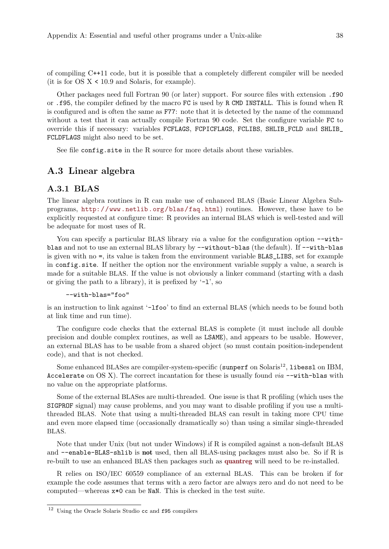of compiling C++11 code, but it is possible that a completely different compiler will be needed (it is for  $OS X < 10.9$  and Solaris, for example).

Other packages need full Fortran 90 (or later) support. For source files with extension .f90 or .f95, the compiler defined by the macro FC is used by R CMD INSTALL. This is found when R is configured and is often the same as F77: note that it is detected by the name of the command without a test that it can actually compile Fortran 90 code. Set the configure variable FC to override this if necessary: variables FCFLAGS, FCPICFLAGS, FCLIBS, SHLIB\_FCLD and SHLIB\_ FCLDFLAGS might also need to be set.

See file config.site in the R source for more details about these variables.

## A.3 Linear algebra

### A.3.1 BLAS

The linear algebra routines in R can make use of enhanced BLAS (Basic Linear Algebra Subprograms, <http://www.netlib.org/blas/faq.html>) routines. However, these have to be explicitly requested at configure time: R provides an internal BLAS which is well-tested and will be adequate for most uses of R.

You can specify a particular BLAS library *via* a value for the configuration option  $-\text{with}$ blas and not to use an external BLAS library by  $-\text{without-blas}$  (the default). If  $-\text{with-blas}$ is given with no =, its value is taken from the environment variable BLAS\_LIBS, set for example in config.site. If neither the option nor the environment variable supply a value, a search is made for a suitable BLAS. If the value is not obviously a linker command (starting with a dash or giving the path to a library), it is prefixed by  $-1$ , so

--with-blas="foo"

is an instruction to link against '-lfoo' to find an external BLAS (which needs to be found both at link time and run time).

The configure code checks that the external BLAS is complete (it must include all double precision and double complex routines, as well as LSAME), and appears to be usable. However, an external BLAS has to be usable from a shared object (so must contain position-independent code), and that is not checked.

Some enhanced BLASes are compiler-system-specific (sunperf on Solaris<sup>12</sup>, libessl on IBM, Accelerate on OS X). The correct incantation for these is usually found  $via$  --with-blas with no value on the appropriate platforms.

Some of the external BLASes are multi-threaded. One issue is that R profiling (which uses the SIGPROF signal) may cause problems, and you may want to disable profiling if you use a multithreaded BLAS. Note that using a multi-threaded BLAS can result in taking more CPU time and even more elapsed time (occasionally dramatically so) than using a similar single-threaded BLAS.

Note that under Unix (but not under Windows) if R is compiled against a non-default BLAS and --enable-BLAS-shlib is not used, then all BLAS-using packages must also be. So if R is re-built to use an enhanced BLAS then packages such as [quantreg](http://CRAN.R-project.org/package=quantreg) will need to be re-installed.

R relies on ISO/IEC 60559 compliance of an external BLAS. This can be broken if for example the code assumes that terms with a zero factor are always zero and do not need to be computed—whereas x\*0 can be NaN. This is checked in the test suite.

<sup>12</sup> Using the Oracle Solaris Studio cc and f95 compilers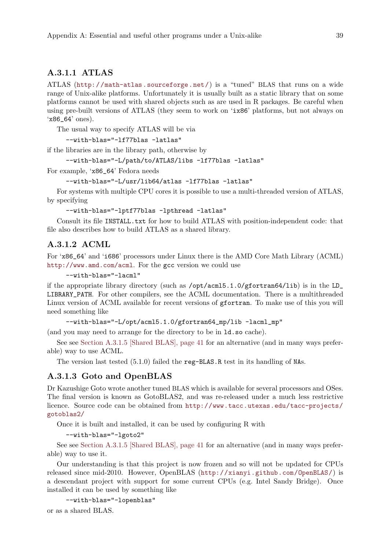### A.3.1.1 ATLAS

ATLAS (<http://math-atlas.sourceforge.net/>) is a "tuned" BLAS that runs on a wide range of Unix-alike platforms. Unfortunately it is usually built as a static library that on some platforms cannot be used with shared objects such as are used in R packages. Be careful when using pre-built versions of ATLAS (they seem to work on 'ix86' platforms, but not always on 'x86\_64' ones).

The usual way to specify ATLAS will be via

--with-blas="-lf77blas -latlas"

if the libraries are in the library path, otherwise by

```
--with-blas="-L/path/to/ATLAS/libs -lf77blas -latlas"
```
For example, 'x86\_64' Fedora needs

```
--with-blas="-L/usr/lib64/atlas -lf77blas -latlas"
```
For systems with multiple CPU cores it is possible to use a multi-threaded version of ATLAS, by specifying

--with-blas="-lptf77blas -lpthread -latlas"

Consult its file INSTALL.txt for how to build ATLAS with position-independent code: that file also describes how to build ATLAS as a shared library.

### A.3.1.2 ACML

For 'x86\_64' and 'i686' processors under Linux there is the AMD Core Math Library (ACML) <http://www.amd.com/acml>. For the gcc version we could use

--with-blas="-lacml"

if the appropriate library directory (such as  $\sqrt{\frac{\text{opt}}{\text{earth}}}$ .1.0/gfortran64/lib) is in the LD\_ LIBRARY\_PATH. For other compilers, see the ACML documentation. There is a multithreaded Linux version of ACML available for recent versions of gfortran. To make use of this you will need something like

```
--with-blas="-L/opt/acml5.1.0/gfortran64_mp/lib -lacml_mp"
```
(and you may need to arrange for the directory to be in ld.so cache).

See see [Section A.3.1.5 \[Shared BLAS\], page 41](#page-45-0) for an alternative (and in many ways preferable) way to use ACML.

The version last tested (5.1.0) failed the reg-BLAS.R test in its handling of NAs.

### A.3.1.3 Goto and OpenBLAS

Dr Kazushige Goto wrote another tuned BLAS which is available for several processors and OSes. The final version is known as GotoBLAS2, and was re-released under a much less restrictive licence. Source code can be obtained from [http://www.tacc.utexas.edu/tacc-projects/](http://www.tacc.utexas.edu/tacc-projects/gotoblas2/) [gotoblas2/](http://www.tacc.utexas.edu/tacc-projects/gotoblas2/)

Once it is built and installed, it can be used by configuring R with

--with-blas="-lgoto2"

See see [Section A.3.1.5 \[Shared BLAS\], page 41](#page-45-0) for an alternative (and in many ways preferable) way to use it.

Our understanding is that this project is now frozen and so will not be updated for CPUs released since mid-2010. However, OpenBLAS (<http://xianyi.github.com/OpenBLAS/>) is a descendant project with support for some current CPUs (e.g. Intel Sandy Bridge). Once installed it can be used by something like

```
--with-blas="-lopenblas"
```
or as a shared BLAS.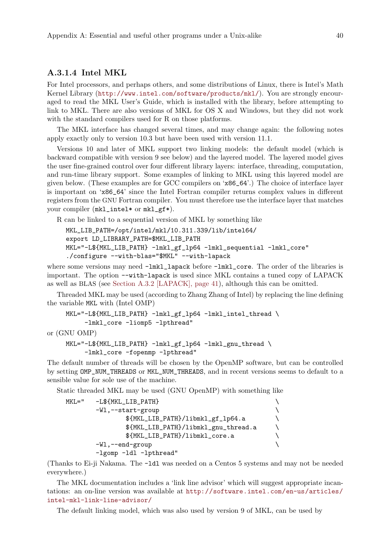### A.3.1.4 Intel MKL

For Intel processors, and perhaps others, and some distributions of Linux, there is Intel's Math Kernel Library (<http://www.intel.com/software/products/mkl/>). You are strongly encouraged to read the MKL User's Guide, which is installed with the library, before attempting to link to MKL. There are also versions of MKL for OS X and Windows, but they did not work with the standard compilers used for R on those platforms.

The MKL interface has changed several times, and may change again: the following notes apply exactly only to version 10.3 but have been used with version 11.1.

Versions 10 and later of MKL support two linking models: the default model (which is backward compatible with version 9 see below) and the layered model. The layered model gives the user fine-grained control over four different library layers: interface, threading, computation, and run-time library support. Some examples of linking to MKL using this layered model are given below. (These examples are for GCC compilers on 'x86\_64'.) The choice of interface layer is important on 'x86\_64' since the Intel Fortran compiler returns complex values in different registers from the GNU Fortran compiler. You must therefore use the interface layer that matches your compiler (mkl\_intel\* or mkl\_gf\*).

R can be linked to a sequential version of MKL by something like

```
MKL_LIB_PATH=/opt/intel/mkl/10.311.339/lib/intel64/
export LD_LIBRARY_PATH=$MKL_LIB_PATH
MKL="-L${MKL_LIB_PATH} -lmkl_gf_lp64 -lmkl_sequential -lmkl_core"
./configure --with-blas="$MKL" --with-lapack
```
where some versions may need  $-lmkl\_lapack$  before  $-lmkl\_core$ . The order of the libraries is important. The option --with-lapack is used since MKL contains a tuned copy of LAPACK as well as BLAS (see [Section A.3.2 \[LAPACK\], page 41\)](#page-45-1), although this can be omitted.

Threaded MKL may be used (according to Zhang Zhang of Intel) by replacing the line defining the variable MKL with (Intel OMP)

```
MKL="-L${MKL_LIB_PATH} -lmkl_gf_lp64 -lmkl_intel_thread \
     -lmkl_core -liomp5 -lpthread"
```
or (GNU OMP)

```
MKL="-L${MKL_LIB_PATH} -lmkl_gf_lp64 -lmkl_gnu_thread \
     -lmkl_core -fopenmp -lpthread"
```
The default number of threads will be chosen by the OpenMP software, but can be controlled by setting OMP\_NUM\_THREADS or MKL\_NUM\_THREADS, and in recent versions seems to default to a sensible value for sole use of the machine.

Static threaded MKL may be used (GNU OpenMP) with something like

```
MKL=" -L${MKL_LIB_PATH}
      -Wl,--start-group \setminus${MKL_LIB_PATH}/libmkl_gf_lp64.a \
            ${MKL_LIB_PATH}/libmkl_gnu_thread.a \
            ${MKL_LIB_PATH}/libmkl_core.a \
      -Wl,--end-group \setminus-lgomp -ldl -lpthread"
```
(Thanks to Ei-ji Nakama. The -ldl was needed on a Centos 5 systems and may not be needed everywhere.)

The MKL documentation includes a 'link line advisor' which will suggest appropriate incantations: an on-line version was available at [http://software.intel.com/en-us/articles/](http://software.intel.com/en-us/articles/intel-mkl-link-line-advisor/) [intel-mkl-link-line-advisor/](http://software.intel.com/en-us/articles/intel-mkl-link-line-advisor/)

The default linking model, which was also used by version 9 of MKL, can be used by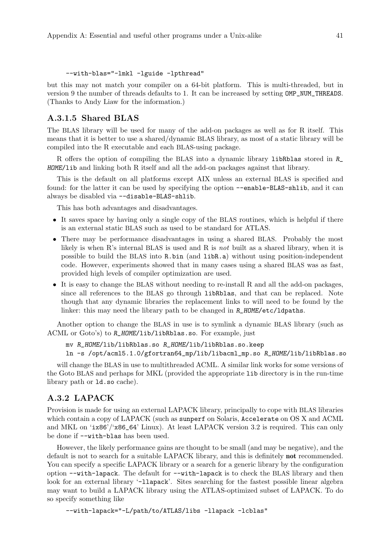```
--with-blas="-lmkl -lguide -lpthread"
```
but this may not match your compiler on a 64-bit platform. This is multi-threaded, but in version 9 the number of threads defaults to 1. It can be increased by setting OMP\_NUM\_THREADS. (Thanks to Andy Liaw for the information.)

### <span id="page-45-0"></span>A.3.1.5 Shared BLAS

The BLAS library will be used for many of the add-on packages as well as for R itself. This means that it is better to use a shared/dynamic BLAS library, as most of a static library will be compiled into the R executable and each BLAS-using package.

R offers the option of compiling the BLAS into a dynamic library libRblas stored in R\_ HOME/lib and linking both R itself and all the add-on packages against that library.

This is the default on all platforms except AIX unless an external BLAS is specified and found: for the latter it can be used by specifying the option --enable-BLAS-shlib, and it can always be disabled via --disable-BLAS-shlib.

This has both advantages and disadvantages.

- It saves space by having only a single copy of the BLAS routines, which is helpful if there is an external static BLAS such as used to be standard for ATLAS.
- There may be performance disadvantages in using a shared BLAS. Probably the most likely is when R's internal BLAS is used and R is not built as a shared library, when it is possible to build the BLAS into R.bin (and libR.a) without using position-independent code. However, experiments showed that in many cases using a shared BLAS was as fast, provided high levels of compiler optimization are used.
- It is easy to change the BLAS without needing to re-install R and all the add-on packages, since all references to the BLAS go through libRblas, and that can be replaced. Note though that any dynamic libraries the replacement links to will need to be found by the linker: this may need the library path to be changed in  $R_HOME/\text{etc}/\text{1dpaths}$ .

Another option to change the BLAS in use is to symlink a dynamic BLAS library (such as ACML or Goto's) to R\_HOME/lib/libRblas.so. For example, just

mv R\_HOME/lib/libRblas.so R\_HOME/lib/libRblas.so.keep ln -s /opt/acml5.1.0/gfortran64\_mp/lib/libacml\_mp.so R\_HOME/lib/libRblas.so

will change the BLAS in use to multithreaded ACML. A similar link works for some versions of the Goto BLAS and perhaps for MKL (provided the appropriate lib directory is in the run-time library path or ld.so cache).

## <span id="page-45-1"></span>A.3.2 LAPACK

Provision is made for using an external LAPACK library, principally to cope with BLAS libraries which contain a copy of LAPACK (such as sunperf on Solaris, Accelerate on OS X and ACML and MKL on 'ix86'/'x86\_64' Linux). At least LAPACK version 3.2 is required. This can only be done if --with-blas has been used.

However, the likely performance gains are thought to be small (and may be negative), and the default is not to search for a suitable LAPACK library, and this is definitely not recommended. You can specify a specific LAPACK library or a search for a generic library by the configuration option --with-lapack. The default for --with-lapack is to check the BLAS library and then look for an external library '-11apack'. Sites searching for the fastest possible linear algebra may want to build a LAPACK library using the ATLAS-optimized subset of LAPACK. To do so specify something like

```
--with-lapack="-L/path/to/ATLAS/libs -llapack -lcblas"
```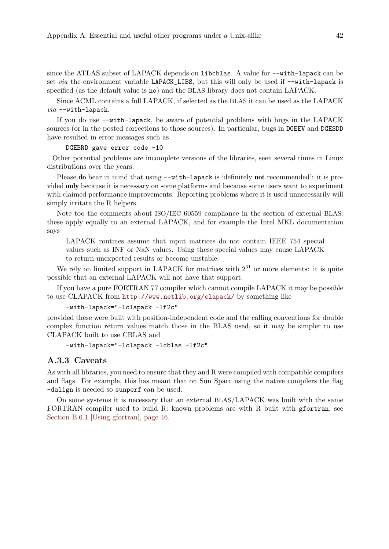since the ATLAS subset of LAPACK depends on libcblas. A value for  $-\text{with-lapack}$  can be set via the environment variable LAPACK\_LIBS, but this will only be used if --with-lapack is specified (as the default value is no) and the BLAS library does not contain LAPACK.

Since ACML contains a full LAPACK, if selected as the BLAS it can be used as the LAPACK  $via$   $--with$ -lapack.

If you do use --with-lapack, be aware of potential problems with bugs in the LAPACK sources (or in the posted corrections to those sources). In particular, bugs in DGEEV and DGESDD have resulted in error messages such as

#### DGEBRD gave error code -10

. Other potential problems are incomplete versions of the libraries, seen several times in Linux distributions over the years.

Please **do** bear in mind that using  $-\text{with-lanack}$  is 'definitely **not** recommended': it is provided only because it is necessary on some platforms and because some users want to experiment with claimed performance improvements. Reporting problems where it is used unnecessarily will simply irritate the R helpers.

Note too the comments about ISO/IEC 60559 compliance in the section of external BLAS: these apply equally to an external LAPACK, and for example the Intel MKL documentation says

LAPACK routines assume that input matrices do not contain IEEE 754 special values such as INF or NaN values. Using these special values may cause LAPACK to return unexpected results or become unstable.

We rely on limited support in LAPACK for matrices with  $2^{31}$  or more elements: it is quite possible that an external LAPACK will not have that support.

If you have a pure FORTRAN 77 compiler which cannot compile LAPACK it may be possible to use CLAPACK from <http://www.netlib.org/clapack/> by something like

```
-with-lapack="-lclapack -lf2c"
```
provided these were built with position-independent code and the calling conventions for double complex function return values match those in the BLAS used, so it may be simpler to use CLAPACK built to use CBLAS and

```
-with-lapack="-lclapack -lcblas -lf2c"
```
### A.3.3 Caveats

As with all libraries, you need to ensure that they and R were compiled with compatible compilers and flags. For example, this has meant that on Sun Sparc using the native compilers the flag -dalign is needed so sunperf can be used.

On some systems it is necessary that an external BLAS/LAPACK was built with the same FORTRAN compiler used to build R: known problems are with R built with gfortran, see [Section B.6.1 \[Using gfortran\], page 46.](#page-50-0)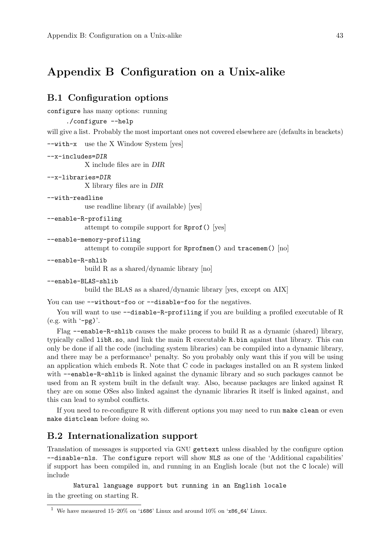# Appendix B Configuration on a Unix-alike

## B.1 Configuration options

configure has many options: running

```
./configure --help
```
will give a list. Probably the most important ones not covered elsewhere are (defaults in brackets)

--with-x use the X Window System [yes]

```
--x-includes=DIR
```
X include files are in DIR

```
--x-libraries=DIR
```
X library files are in DIR

```
--with-readline
```
use readline library (if available) [yes]

```
--enable-R-profiling
```
attempt to compile support for Rprof() [yes]

--enable-memory-profiling

attempt to compile support for Rprofmem() and tracemem() [no]

```
--enable-R-shlib
```
build R as a shared/dynamic library [no]

```
--enable-BLAS-shlib
```
build the BLAS as a shared/dynamic library [yes, except on AIX]

```
You can use --without-foo or --disable-foo for the negatives.
```
You will want to use  $-\text{distance-R}-\text{profiting}$  if you are building a profiled executable of R  $(e.g. with '-pg)'$ .

Flag  $-$ -enable-R-shlib causes the make process to build R as a dynamic (shared) library, typically called libR.so, and link the main R executable R.bin against that library. This can only be done if all the code (including system libraries) can be compiled into a dynamic library, and there may be a performance<sup>1</sup> penalty. So you probably only want this if you will be using an application which embeds R. Note that C code in packages installed on an R system linked with --enable-R-shlib is linked against the dynamic library and so such packages cannot be used from an R system built in the default way. Also, because packages are linked against R they are on some OSes also linked against the dynamic libraries R itself is linked against, and this can lead to symbol conflicts.

If you need to re-configure R with different options you may need to run make clean or even make distclean before doing so.

## B.2 Internationalization support

Translation of messages is supported via GNU gettext unless disabled by the configure option --disable-nls. The configure report will show NLS as one of the 'Additional capabilities' if support has been compiled in, and running in an English locale (but not the C locale) will include

Natural language support but running in an English locale in the greeting on starting R.

 $^1\,$  We have measured 15–20% on '1686' Linux and around 10% on 'x86\_64' Linux.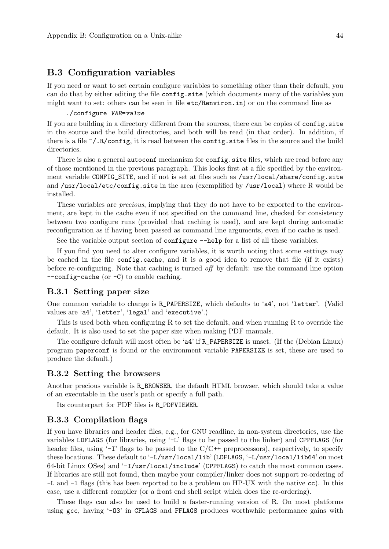### B.3 Configuration variables

If you need or want to set certain configure variables to something other than their default, you can do that by either editing the file config.site (which documents many of the variables you might want to set: others can be seen in file etc/Renviron.in) or on the command line as

#### ./configure VAR=value

If you are building in a directory different from the sources, there can be copies of config.site in the source and the build directories, and both will be read (in that order). In addition, if there is a file  $\gamma$ . R/config, it is read between the config. site files in the source and the build directories.

There is also a general autoconf mechanism for config.site files, which are read before any of those mentioned in the previous paragraph. This looks first at a file specified by the environment variable CONFIG\_SITE, and if not is set at files such as /usr/local/share/config.site and /usr/local/etc/config.site in the area (exemplified by /usr/local) where R would be installed.

These variables are *precious*, implying that they do not have to be exported to the environment, are kept in the cache even if not specified on the command line, checked for consistency between two configure runs (provided that caching is used), and are kept during automatic reconfiguration as if having been passed as command line arguments, even if no cache is used.

See the variable output section of configure --help for a list of all these variables.

If you find you need to alter configure variables, it is worth noting that some settings may be cached in the file config.cache, and it is a good idea to remove that file (if it exists) before re-configuring. Note that caching is turned off by default: use the command line option --config-cache (or -C) to enable caching.

### B.3.1 Setting paper size

One common variable to change is R\_PAPERSIZE, which defaults to 'a4', not 'letter'. (Valid values are 'a4', 'letter', 'legal' and 'executive'.)

This is used both when configuring R to set the default, and when running R to override the default. It is also used to set the paper size when making PDF manuals.

The configure default will most often be 'a4' if R\_PAPERSIZE is unset. (If the (Debian Linux) program paperconf is found or the environment variable PAPERSIZE is set, these are used to produce the default.)

### B.3.2 Setting the browsers

Another precious variable is R\_BROWSER, the default HTML browser, which should take a value of an executable in the user's path or specify a full path.

Its counterpart for PDF files is R\_PDFVIEWER.

### B.3.3 Compilation flags

If you have libraries and header files, e.g., for GNU readline, in non-system directories, use the variables LDFLAGS (for libraries, using '-L' flags to be passed to the linker) and CPPFLAGS (for header files, using  $-1$  flags to be passed to the  $C/C++$  preprocessors), respectively, to specify these locations. These default to '-L/usr/local/lib' (LDFLAGS, '-L/usr/local/lib64' on most 64-bit Linux OSes) and '-I/usr/local/include' (CPPFLAGS) to catch the most common cases. If libraries are still not found, then maybe your compiler/linker does not support re-ordering of -L and -l flags (this has been reported to be a problem on HP-UX with the native cc). In this case, use a different compiler (or a front end shell script which does the re-ordering).

These flags can also be used to build a faster-running version of R. On most platforms using gcc, having '-O3' in CFLAGS and FFLAGS produces worthwhile performance gains with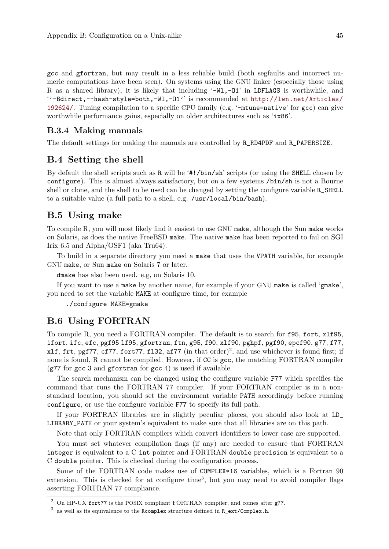gcc and gfortran, but may result in a less reliable build (both segfaults and incorrect numeric computations have been seen). On systems using the GNU linker (especially those using R as a shared library), it is likely that including '-W<sub>1</sub>,-01' in LDFLAGS is worthwhile, and ''-Bdirect,--hash-style=both,-Wl,-O1'' is recommended at [http://lwn.net/Articles/](http://lwn.net/Articles/192624/) [192624/](http://lwn.net/Articles/192624/). Tuning compilation to a specific CPU family (e.g. '-mtune=native' for gcc) can give worthwhile performance gains, especially on older architectures such as 'ix86'.

### B.3.4 Making manuals

The default settings for making the manuals are controlled by R\_RD4PDF and R\_PAPERSIZE.

### B.4 Setting the shell

By default the shell scripts such as R will be '#!/bin/sh' scripts (or using the SHELL chosen by configure). This is almost always satisfactory, but on a few systems /bin/sh is not a Bourne shell or clone, and the shell to be used can be changed by setting the configure variable R\_SHELL to a suitable value (a full path to a shell, e.g. /usr/local/bin/bash).

### B.5 Using make

To compile R, you will most likely find it easiest to use GNU make, although the Sun make works on Solaris, as does the native FreeBSD make. The native make has been reported to fail on SGI Irix 6.5 and Alpha/OSF1 (aka Tru64).

To build in a separate directory you need a make that uses the VPATH variable, for example GNU make, or Sun make on Solaris 7 or later.

dmake has also been used. e.g, on Solaris 10.

If you want to use a make by another name, for example if your GNU make is called 'gmake', you need to set the variable MAKE at configure time, for example

./configure MAKE=gmake

## <span id="page-49-0"></span>B.6 Using FORTRAN

To compile R, you need a FORTRAN compiler. The default is to search for f95, fort, xlf95, ifort, ifc, efc, pgf95 lf95, gfortran, ftn, g95, f90, xlf90, pghpf, pgf90, epcf90, g77, f77, xlf, frt, pgf77, cf77, fort77, fl32, af77 (in that order)<sup>2</sup>, and use whichever is found first; if none is found, R cannot be compiled. However, if CC is gcc, the matching FORTRAN compiler  $(g77)$  for gcc 3 and gfortran for gcc 4) is used if available.

The search mechanism can be changed using the configure variable F77 which specifies the command that runs the FORTRAN 77 compiler. If your FORTRAN compiler is in a nonstandard location, you should set the environment variable PATH accordingly before running configure, or use the configure variable F77 to specify its full path.

If your FORTRAN libraries are in slightly peculiar places, you should also look at LD\_ LIBRARY\_PATH or your system's equivalent to make sure that all libraries are on this path.

Note that only FORTRAN compilers which convert identifiers to lower case are supported.

You must set whatever compilation flags (if any) are needed to ensure that FORTRAN integer is equivalent to a C int pointer and FORTRAN double precision is equivalent to a C double pointer. This is checked during the configuration process.

Some of the FORTRAN code makes use of COMPLEX\*16 variables, which is a Fortran 90 extension. This is checked for at configure time<sup>3</sup>, but you may need to avoid compiler flags asserting FORTRAN 77 compliance.

 $^2$  On HP-UX fort77 is the POSIX compliant FORTRAN compiler, and comes after g77.

 $^3$  as well as its equivalence to the Rcomplex structure defined in R\_ext/Complex.h.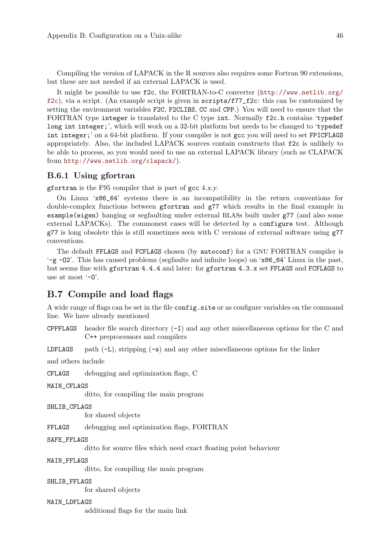Compiling the version of LAPACK in the R sources also requires some Fortran 90 extensions, but these are not needed if an external LAPACK is used.

It might be possible to use f2c, the FORTRAN-to-C converter ([http://www.netlib.org/](http://www.netlib.org/f2c)  $f2c$ ), via a script. (An example script is given in  $scripts/f77_f2c$ : this can be customized by setting the environment variables F2C, F2CLIBS, CC and CPP.) You will need to ensure that the FORTRAN type integer is translated to the C type int. Normally f2c.h contains 'typedef long int integer;', which will work on a 32-bit platform but needs to be changed to 'typedef int integer;' on a 64-bit platform. If your compiler is not gcc you will need to set FPICFLAGS appropriately. Also, the included LAPACK sources contain constructs that f2c is unlikely to be able to process, so you would need to use an external LAPACK library (such as CLAPACK from <http://www.netlib.org/clapack/>).

### <span id="page-50-0"></span>B.6.1 Using gfortran

gfortran is the F95 compiler that is part of gcc 4.x.y.

On Linux 'x86\_64' systems there is an incompatibility in the return conventions for double-complex functions between gfortran and g77 which results in the final example in example(eigen) hanging or segfaulting under external BLASs built under g77 (and also some external LAPACKs). The commonest cases will be detected by a configure test. Although  $g77$  is long obsolete this is still sometimes seen with C versions of external software using  $g77$ conventions.

The default FFLAGS and FCFLAGS chosen (by autoconf) for a GNU FORTRAN compiler is '-g -O2'. This has caused problems (segfaults and infinite loops) on 'x86\_64' Linux in the past, but seems fine with gfortran 4.4.4 and later: for gfortran 4.3.x set FFLAGS and FCFLAGS to use at most  $-0$ .

## B.7 Compile and load flags

A wide range of flags can be set in the file config.site or as configure variables on the command line. We have already mentioned

**CPPFLAGS** header file search directory  $(-I)$  and any other miscellaneous options for the C and C++ preprocessors and compilers

LDFLAGS path  $(-L)$ , stripping  $(-s)$  and any other miscellaneous options for the linker

and others include

CFLAGS debugging and optimization flags, C

MAIN\_CFLAGS

ditto, for compiling the main program

```
SHLIB_CFLAGS
```
for shared objects

FFLAGS debugging and optimization flags, FORTRAN

```
SAFE_FFLAGS
```
ditto for source files which need exact floating point behaviour

#### MAIN\_FFLAGS

ditto, for compiling the main program

#### SHLIB\_FFLAGS

for shared objects

#### MAIN\_LDFLAGS

additional flags for the main link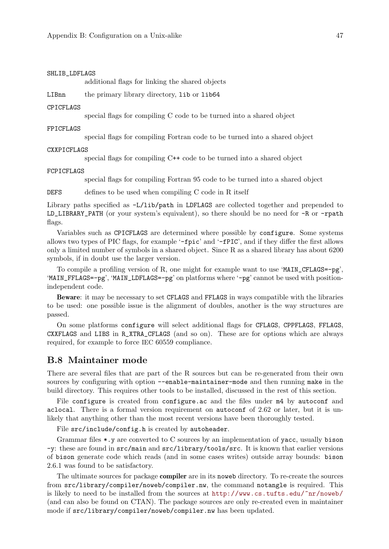#### SHLIB\_LDFLAGS

additional flags for linking the shared objects

LIBnn the primary library directory, lib or lib64

#### CPICFLAGS

special flags for compiling C code to be turned into a shared object

#### FPICFLAGS

special flags for compiling Fortran code to be turned into a shared object

#### CXXPICFLAGS

special flags for compiling C++ code to be turned into a shared object

#### FCPICFLAGS

special flags for compiling Fortran 95 code to be turned into a shared object

DEFS defines to be used when compiling C code in R itself

Library paths specified as -L/lib/path in LDFLAGS are collected together and prepended to LD\_LIBRARY\_PATH (or your system's equivalent), so there should be no need for -R or -rpath flags.

Variables such as CPICFLAGS are determined where possible by configure. Some systems allows two types of PIC flags, for example '-fpic' and '-fPIC', and if they differ the first allows only a limited number of symbols in a shared object. Since R as a shared library has about 6200 symbols, if in doubt use the larger version.

To compile a profiling version of R, one might for example want to use 'MAIN\_CFLAGS=-pg', 'MAIN\_FFLAGS=-pg', 'MAIN\_LDFLAGS=-pg' on platforms where '-pg' cannot be used with positionindependent code.

Beware: it may be necessary to set CFLAGS and FFLAGS in ways compatible with the libraries to be used: one possible issue is the alignment of doubles, another is the way structures are passed.

On some platforms configure will select additional flags for CFLAGS, CPPFLAGS, FFLAGS, CXXFLAGS and LIBS in R\_XTRA\_CFLAGS (and so on). These are for options which are always required, for example to force IEC 60559 compliance.

### B.8 Maintainer mode

There are several files that are part of the R sources but can be re-generated from their own sources by configuring with option --enable-maintainer-mode and then running make in the build directory. This requires other tools to be installed, discussed in the rest of this section.

File configure is created from configure.ac and the files under  $m4$  by autoconf and aclocal. There is a formal version requirement on autoconf of 2.62 or later, but it is unlikely that anything other than the most recent versions have been thoroughly tested.

File src/include/config.h is created by autoheader.

Grammar files \*.y are converted to C sources by an implementation of yacc, usually bison -y: these are found in src/main and src/library/tools/src. It is known that earlier versions of bison generate code which reads (and in some cases writes) outside array bounds: bison 2.6.1 was found to be satisfactory.

The ultimate sources for package **compiler** are in its noweb directory. To re-create the sources from src/library/compiler/noweb/compiler.nw, the command notangle is required. This is likely to need to be installed from the sources at <http://www.cs.tufts.edu/~nr/noweb/> (and can also be found on CTAN). The package sources are only re-created even in maintainer mode if src/library/compiler/noweb/compiler.nw has been updated.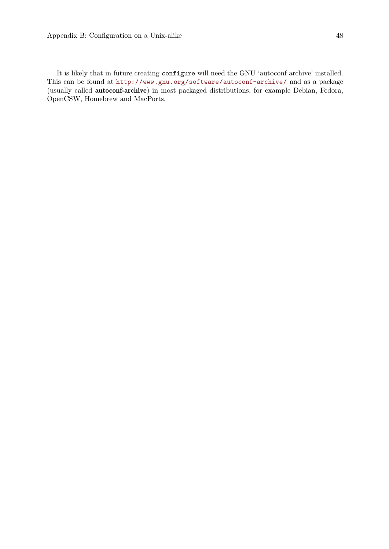It is likely that in future creating configure will need the GNU 'autoconf archive' installed. This can be found at <http://www.gnu.org/software/autoconf-archive/> and as a package (usually called autoconf-archive) in most packaged distributions, for example Debian, Fedora, OpenCSW, Homebrew and MacPorts.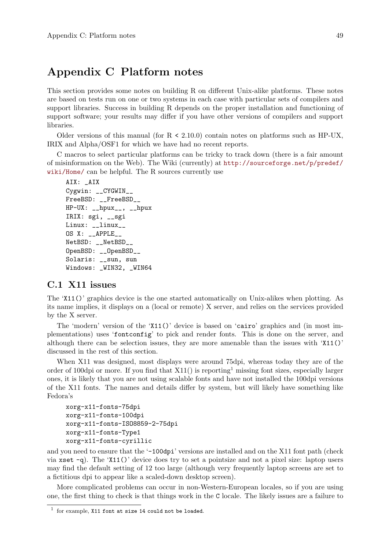# Appendix C Platform notes

This section provides some notes on building R on different Unix-alike platforms. These notes are based on tests run on one or two systems in each case with particular sets of compilers and support libraries. Success in building R depends on the proper installation and functioning of support software; your results may differ if you have other versions of compilers and support libraries.

Older versions of this manual (for  $R < 2.10.0$ ) contain notes on platforms such as HP-UX, IRIX and Alpha/OSF1 for which we have had no recent reports.

C macros to select particular platforms can be tricky to track down (there is a fair amount of misinformation on the Web). The Wiki (currently) at [http://sourceforge.net/p/predef/](http://sourceforge.net/p/predef/wiki/Home/) [wiki/Home/](http://sourceforge.net/p/predef/wiki/Home/) can be helpful. The R sources currently use

```
AIX: _AIX
Cygwin: __CYGWIN__
FreeBSD: __FreeBSD__
HP-UX: __hpux__, __hpux
IRIX: sgi, __sgi
Linux: __linux__
OS X: __APPLE__
NetBSD: __NetBSD__
OpenBSD: __OpenBSD__
Solaris: __sun, sun
Windows: _WIN32, _WIN64
```
## C.1 X11 issues

The 'X11()' graphics device is the one started automatically on Unix-alikes when plotting. As its name implies, it displays on a (local or remote) X server, and relies on the services provided by the X server.

The 'modern' version of the 'X11()' device is based on 'cairo' graphics and (in most implementations) uses 'fontconfig' to pick and render fonts. This is done on the server, and although there can be selection issues, they are more amenable than the issues with  $'X11()'$ discussed in the rest of this section.

When X11 was designed, most displays were around 75dpi, whereas today they are of the order of 100dpi or more. If you find that  $X11()$  is reporting<sup>1</sup> missing font sizes, especially larger ones, it is likely that you are not using scalable fonts and have not installed the 100dpi versions of the X11 fonts. The names and details differ by system, but will likely have something like Fedora's

```
xorg-x11-fonts-75dpi
xorg-x11-fonts-100dpi
xorg-x11-fonts-ISO8859-2-75dpi
xorg-x11-fonts-Type1
xorg-x11-fonts-cyrillic
```
and you need to ensure that the '-100dpi' versions are installed and on the X11 font path (check via xset -q). The 'X11()' device does try to set a pointsize and not a pixel size: laptop users may find the default setting of 12 too large (although very frequently laptop screens are set to a fictitious dpi to appear like a scaled-down desktop screen).

More complicated problems can occur in non-Western-European locales, so if you are using one, the first thing to check is that things work in the C locale. The likely issues are a failure to

 $1$  for example, X11 font at size 14 could not be loaded.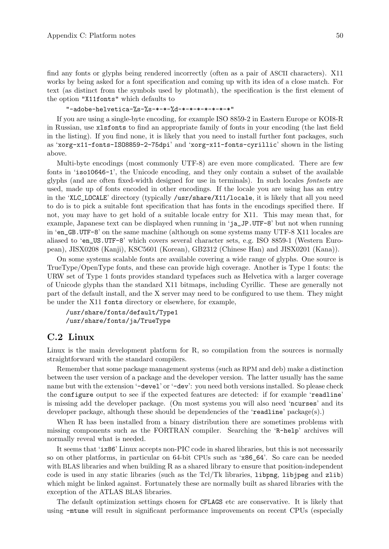find any fonts or glyphs being rendered incorrectly (often as a pair of ASCII characters). X11 works by being asked for a font specification and coming up with its idea of a close match. For text (as distinct from the symbols used by plotmath), the specification is the first element of the option "X11fonts" which defaults to

"-adobe-helvetica-%s-%s-\*-\*-%d-\*-\*-\*-\*-\*-\*-\*"

If you are using a single-byte encoding, for example ISO 8859-2 in Eastern Europe or KOI8-R in Russian, use xlsfonts to find an appropriate family of fonts in your encoding (the last field in the listing). If you find none, it is likely that you need to install further font packages, such as 'xorg-x11-fonts-ISO8859-2-75dpi' and 'xorg-x11-fonts-cyrillic' shown in the listing above.

Multi-byte encodings (most commonly UTF-8) are even more complicated. There are few fonts in 'iso10646-1', the Unicode encoding, and they only contain a subset of the available glyphs (and are often fixed-width designed for use in terminals). In such locales fontsets are used, made up of fonts encoded in other encodings. If the locale you are using has an entry in the 'XLC\_LOCALE' directory (typically /usr/share/X11/locale, it is likely that all you need to do is to pick a suitable font specification that has fonts in the encodings specified there. If not, you may have to get hold of a suitable locale entry for X11. This may mean that, for example, Japanese text can be displayed when running in 'ja\_JP.UTF-8' but not when running in 'en\_GB.UTF-8' on the same machine (although on some systems many UTF-8 X11 locales are aliased to 'en\_US.UTF-8' which covers several character sets, e.g. ISO 8859-1 (Western European), JISX0208 (Kanji), KSC5601 (Korean), GB2312 (Chinese Han) and JISX0201 (Kana)).

On some systems scalable fonts are available covering a wide range of glyphs. One source is TrueType/OpenType fonts, and these can provide high coverage. Another is Type 1 fonts: the URW set of Type 1 fonts provides standard typefaces such as Helvetica with a larger coverage of Unicode glyphs than the standard X11 bitmaps, including Cyrillic. These are generally not part of the default install, and the X server may need to be configured to use them. They might be under the X11 fonts directory or elsewhere, for example,

```
/usr/share/fonts/default/Type1
/usr/share/fonts/ja/TrueType
```
### C.2 Linux

Linux is the main development platform for R, so compilation from the sources is normally straightforward with the standard compilers.

Remember that some package management systems (such as RPM and deb) make a distinction between the user version of a package and the developer version. The latter usually has the same name but with the extension '-devel' or '-dev': you need both versions installed. So please check the configure output to see if the expected features are detected: if for example 'readline' is missing add the developer package. (On most systems you will also need 'ncurses' and its developer package, although these should be dependencies of the 'readline' package(s).)

When R has been installed from a binary distribution there are sometimes problems with missing components such as the FORTRAN compiler. Searching the 'R-help' archives will normally reveal what is needed.

It seems that 'ix86' Linux accepts non-PIC code in shared libraries, but this is not necessarily so on other platforms, in particular on 64-bit CPUs such as 'x86\_64'. So care can be needed with BLAS libraries and when building  $R$  as a shared library to ensure that position-independent code is used in any static libraries (such as the Tcl/Tk libraries, libpng, libjpeg and zlib) which might be linked against. Fortunately these are normally built as shared libraries with the exception of the ATLAS BLAS libraries.

The default optimization settings chosen for CFLAGS etc are conservative. It is likely that using -mtune will result in significant performance improvements on recent CPUs (especially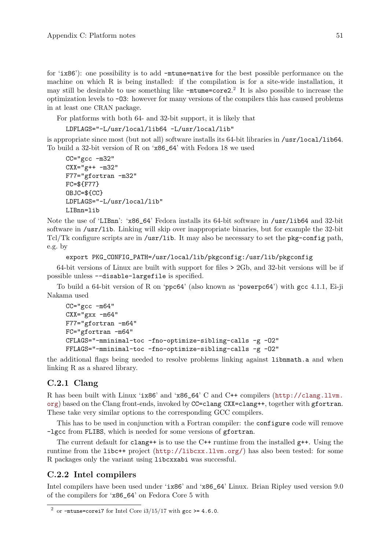for 'ix86'): one possibility is to add -mtune=native for the best possible performance on the machine on which R is being installed: if the compilation is for a site-wide installation, it may still be desirable to use something like -mtume=core2. 2 It is also possible to increase the optimization levels to -O3: however for many versions of the compilers this has caused problems in at least one CRAN package.

For platforms with both 64- and 32-bit support, it is likely that

LDFLAGS="-L/usr/local/lib64 -L/usr/local/lib"

is appropriate since most (but not all) software installs its 64-bit libraries in /usr/local/lib64. To build a 32-bit version of R on 'x86\_64' with Fedora 18 we used

```
CC="c -m32"CXX = "g++ -m32"F77="gfortran -m32"
FC=${F77}
OBJC=${CC}
LDFLAGS="-L/usr/local/lib"
LIBnn=lib
```
Note the use of 'LIBnn': 'x86\_64' Fedora installs its 64-bit software in /usr/lib64 and 32-bit software in /usr/lib. Linking will skip over inappropriate binaries, but for example the 32-bit Tcl/Tk configure scripts are in /usr/lib. It may also be necessary to set the  $pkg$ -config path, e.g. by

```
export PKG_CONFIG_PATH=/usr/local/lib/pkgconfig:/usr/lib/pkgconfig
```
64-bit versions of Linux are built with support for files > 2Gb, and 32-bit versions will be if possible unless --disable-largefile is specified.

To build a 64-bit version of R on 'ppc64' (also known as 'powerpc64') with gcc 4.1.1, Ei-ji Nakama used

```
CC="c - m64"CXX="gxx -m64"F77="gfortran -m64"
FC="gfortran -m64"
CFLAGS="-mminimal-toc -fno-optimize-sibling-calls -g -O2"
FFLAGS="-mminimal-toc -fno-optimize-sibling-calls -g -O2"
```
the additional flags being needed to resolve problems linking against libnmath.a and when linking R as a shared library.

### C.2.1 Clang

R has been built with Linux 'ix86' and 'x86\_64' C and C++ compilers ([http://clang.llvm.](http://clang.llvm.org) [org](http://clang.llvm.org)) based on the Clang front-ends, invoked by CC=clang CXX=clang++, together with gfortran. These take very similar options to the corresponding GCC compilers.

This has to be used in conjunction with a Fortran compiler: the configure code will remove -lgcc from FLIBS, which is needed for some versions of gfortran.

The current default for clang++ is to use the C++ runtime from the installed  $g$ ++. Using the runtime from the libc++ project (<http://libcxx.llvm.org/>) has also been tested: for some R packages only the variant using libcxxabi was successful.

## C.2.2 Intel compilers

Intel compilers have been used under 'ix86' and 'x86\_64' Linux. Brian Ripley used version 9.0 of the compilers for 'x86\_64' on Fedora Core 5 with

<sup>&</sup>lt;sup>2</sup> or -mtune=corei7 for Intel Core i3/15/17 with  $\text{gcc} > = 4.6.0$ .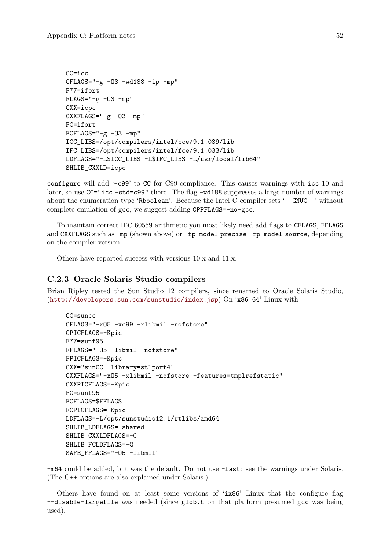```
CC=icc
CFLAGS="-g -03 -wd188 -ip -mp"F77=ifort
FLAGS=" -g -03 -mp"CXX=icpc
CXXFLAGS="-g -03 -mp"
FC=ifort
FCFLAGS="-g -03 -mp"ICC_LIBS=/opt/compilers/intel/cce/9.1.039/lib
IFC_LIBS=/opt/compilers/intel/fce/9.1.033/lib
LDFLAGS="-L$ICC_LIBS -L$IFC_LIBS -L/usr/local/lib64"
SHLIB_CXXLD=icpc
```
configure will add '-c99' to CC for C99-compliance. This causes warnings with icc 10 and later, so use  $CC="rac -std = c99"$  there. The flag  $-wd188$  suppresses a large number of warnings about the enumeration type 'Rboolean'. Because the Intel C compiler sets '\_\_GNUC\_\_' without complete emulation of gcc, we suggest adding CPPFLAGS=-no-gcc.

To maintain correct IEC 60559 arithmetic you most likely need add flags to CFLAGS, FFLAGS and CXXFLAGS such as -mp (shown above) or -fp-model precise -fp-model source, depending on the compiler version.

Others have reported success with versions 10.x and 11.x.

### C.2.3 Oracle Solaris Studio compilers

Brian Ripley tested the Sun Studio 12 compilers, since renamed to Oracle Solaris Studio, (<http://developers.sun.com/sunstudio/index.jsp>) On 'x86\_64' Linux with

```
CC=suncc
CFLAGS="-xO5 -xc99 -xlibmil -nofstore"
CPICFLAGS=-Kpic
F77=sunf95
FFLAGS="-O5 -libmil -nofstore"
FPICFLAGS=-Kpic
CXX="sunCC -library=stlport4"
CXXFLAGS="-xO5 -xlibmil -nofstore -features=tmplrefstatic"
CXXPICFLAGS=-Kpic
FC=sunf95
FCFLAGS=$FFLAGS
FCPICFLAGS=-Kpic
LDFLAGS=-L/opt/sunstudio12.1/rtlibs/amd64
SHLIB_LDFLAGS=-shared
SHLIB_CXXLDFLAGS=-G
SHLIB_FCLDFLAGS=-G
SAFE_FFLAGS="-O5 -libmil"
```
-m64 could be added, but was the default. Do not use -fast: see the warnings under Solaris. (The C++ options are also explained under Solaris.)

Others have found on at least some versions of 'ix86' Linux that the configure flag --disable-largefile was needed (since glob.h on that platform presumed gcc was being used).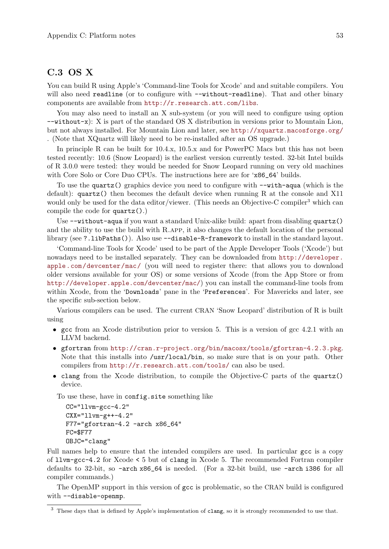## C.3 OS X

You can build R using Apple's 'Command-line Tools for Xcode' and and suitable compilers. You will also need readline (or to configure with  $-\text{without}\text{-}$ readline). That and other binary components are available from <http://r.research.att.com/libs>.

You may also need to install an X sub-system (or you will need to configure using option --without-x): X is part of the standard OS X distribution in versions prior to Mountain Lion, but not always installed. For Mountain Lion and later, see <http://xquartz.macosforge.org/> . (Note that XQuartz will likely need to be re-installed after an OS upgrade.)

In principle R can be built for 10.4.x, 10.5.x and for PowerPC Macs but this has not been tested recently: 10.6 (Snow Leopard) is the earliest version currently tested. 32-bit Intel builds of R 3.0.0 were tested: they would be needed for Snow Leopard running on very old machines with Core Solo or Core Duo CPUs. The instructions here are for 'x86\_64' builds.

To use the quartz() graphics device you need to configure with --with-aqua (which is the default):  $\alpha$  quartz() then becomes the default device when running R at the console and X11 would only be used for the data editor/viewer. (This needs an Objective-C compiler<sup>3</sup> which can compile the code for quartz().)

Use  $-\text{without}-\text{equal}$  if you want a standard Unix-alike build: apart from disabling quartz() and the ability to use the build with R.app, it also changes the default location of the personal library (see ?.libPaths()). Also use --disable-R-framework to install in the standard layout.

'Command-line Tools for Xcode' used to be part of the Apple Developer Tools ('Xcode') but nowadays need to be installed separately. They can be downloaded from [http://developer.](http://developer.apple.com/devcenter/mac/) [apple.com/devcenter/mac/](http://developer.apple.com/devcenter/mac/) (you will need to register there: that allows you to download older versions available for your OS) or some versions of Xcode (from the App Store or from <http://developer.apple.com/devcenter/mac/>) you can install the command-line tools from within Xcode, from the 'Downloads' pane in the 'Preferences'. For Mavericks and later, see the specific sub-section below.

Various compilers can be used. The current CRAN 'Snow Leopard' distribution of R is built using

- gcc from an Xcode distribution prior to version 5. This is a version of gcc 4.2.1 with an LLVM backend.
- gfortran from <http://cran.r-project.org/bin/macosx/tools/gfortran-4.2.3.pkg>. Note that this installs into /usr/local/bin, so make sure that is on your path. Other compilers from <http://r.research.att.com/tools/> can also be used.
- clang from the Xcode distribution, to compile the Objective-C parts of the quartz() device.

To use these, have in config.site something like

```
CC="11vm-gcc-4.2"CXX = "llvm-g++-4.2"F77="gfortran-4.2 -arch x86_64"
FC=$F77
OBJC="clang"
```
Full names help to ensure that the intended compilers are used. In particular gcc is a copy of llvm-gcc-4.2 for Xcode < 5 but of clang in Xcode 5. The recommended Fortran compiler defaults to 32-bit, so -arch x86\_64 is needed. (For a 32-bit build, use -arch i386 for all compiler commands.)

The OpenMP support in this version of gcc is problematic, so the CRAN build is configured with --disable-openmp.

<sup>&</sup>lt;sup>3</sup> These days that is defined by Apple's implementation of clang, so it is strongly recommended to use that.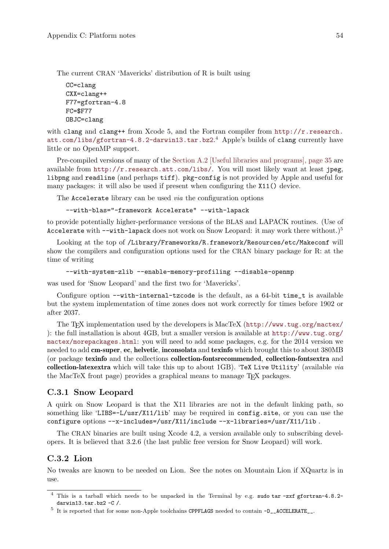The current CRAN 'Mavericks' distribution of R is built using

```
CC=clang
CXX=clang++
F77=gfortran-4.8
FC=$F77
OBJC=clang
```
with clang and clang++ from Xcode 5, and the Fortran compiler from  $http://r.research.$ [att.com/libs/gfortran-4.8.2-darwin13.tar.bz2](http://r.research.att.com/libs/gfortran-4.8.2-darwin13.tar.bz2).<sup>4</sup> Apple's builds of clang currently have little or no OpenMP support.

Pre-compiled versions of many of the [Section A.2 \[Useful libraries and programs\], page 35](#page-39-0) are available from  $http://r.research.att.com/libs/$ . You will most likely want at least jpeg, libpng and readline (and perhaps tiff). pkg-config is not provided by Apple and useful for many packages: it will also be used if present when configuring the X11() device.

The Accelerate library can be used *via* the configuration options

--with-blas="-framework Accelerate" --with-lapack

to provide potentially higher-performance versions of the BLAS and LAPACK routines. (Use of Accelerate with  $-\text{with-lapack}$  does not work on Snow Leopard: it may work there without.)<sup>5</sup>

Looking at the top of /Library/Frameworks/R.framework/Resources/etc/Makeconf will show the compilers and configuration options used for the CRAN binary package for R: at the time of writing

```
--with-system-zlib --enable-memory-profiling --disable-openmp
```
was used for 'Snow Leopard' and the first two for 'Mavericks'.

Configure option  $--with-internal-tzcode$  is the default, as a 64-bit time<sub>t</sub> is available but the system implementation of time zones does not work correctly for times before 1902 or after 2037.

The T<sub>EX</sub> implementation used by the developers is MacTeX (<http://www.tug.org/mactex/> ): the full installation is about 4GB, but a smaller version is available at [http://www.tug.org/](http://www.tug.org/mactex/morepackages.html) [mactex/morepackages.html](http://www.tug.org/mactex/morepackages.html): you will need to add some packages, e.g. for the 2014 version we needed to add cm-super, ec, helvetic, inconsolata and texinfo which brought this to about 380MB (or package texinfo and the collections collection-fontsrecommended, collection-fontsextra and collection-latexextra which will take this up to about 1GB). 'TeX Live Utility' (available via the MacTeX front page) provides a graphical means to manage TFX packages.

### C.3.1 Snow Leopard

A quirk on Snow Leopard is that the X11 libraries are not in the default linking path, so something like 'LIBS=-L/usr/X11/lib' may be required in config.site, or you can use the configure options --x-includes=/usr/X11/include --x-libraries=/usr/X11/lib .

The CRAN binaries are built using Xcode 4.2, a version available only to subscribing developers. It is believed that 3.2.6 (the last public free version for Snow Leopard) will work.

## C.3.2 Lion

No tweaks are known to be needed on Lion. See the notes on Mountain Lion if XQuartz is in use.

<sup>4</sup> This is a tarball which needs to be unpacked in the Terminal by e.g. sudo tar -zxf gfortran-4.8.2 darwin13.tar.bz2 -C /.

<sup>&</sup>lt;sup>5</sup> It is reported that for some non-Apple toolchains CPPFLAGS needed to contain -D\_\_ACCELERATE\_\_.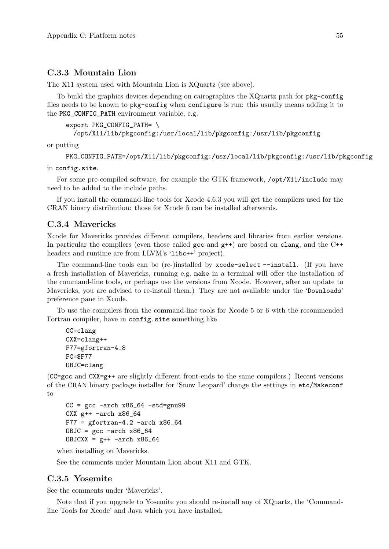### C.3.3 Mountain Lion

The X11 system used with Mountain Lion is XQuartz (see above).

To build the graphics devices depending on cairographics the XQuartz path for pkg-config files needs to be known to pkg-config when configure is run: this usually means adding it to the PKG\_CONFIG\_PATH environment variable, e.g.

```
export PKG_CONFIG_PATH= \
 /opt/X11/lib/pkgconfig:/usr/local/lib/pkgconfig:/usr/lib/pkgconfig
```
or putting

```
PKG_CONFIG_PATH=/opt/X11/lib/pkgconfig:/usr/local/lib/pkgconfig:/usr/lib/pkgconfig
```
in config.site.

For some pre-compiled software, for example the GTK framework, /opt/X11/include may need to be added to the include paths.

If you install the command-line tools for Xcode 4.6.3 you will get the compilers used for the CRAN binary distribution: those for Xcode 5 can be installed afterwards.

### C.3.4 Mavericks

Xcode for Mavericks provides different compilers, headers and libraries from earlier versions. In particular the compilers (even those called gcc and  $g$ ++) are based on clang, and the C++ headers and runtime are from LLVM's 'libc++' project).

The command-line tools can be (re-)installed by xcode-select --install. (If you have a fresh installation of Mavericks, running e.g. make in a terminal will offer the installation of the command-line tools, or perhaps use the versions from Xcode. However, after an update to Mavericks, you are advised to re-install them.) They are not available under the 'Downloads' preference pane in Xcode.

To use the compilers from the command-line tools for Xcode 5 or 6 with the recommended Fortran compiler, have in config.site something like

```
CC=clang
CXX=clang++
F77=gfortran-4.8
FC=$F77
OBJC=clang
```
(CC=gcc and CXX=g++ are slightly different front-ends to the same compilers.) Recent versions of the CRAN binary package installer for 'Snow Leopard' change the settings in etc/Makeconf to

```
CC = gcc -arch x86-64 -std=gnu99
CXX g++ -arch x86_64
F77 = gfortran-4.2 -arch x86_64OBJC = gcc -arch x86_64DBJCXX = g++ -arch x86_64
```
when installing on Mavericks.

See the comments under Mountain Lion about X11 and GTK.

## C.3.5 Yosemite

See the comments under 'Mavericks'.

Note that if you upgrade to Yosemite you should re-install any of XQuartz, the 'Commandline Tools for Xcode' and Java which you have installed.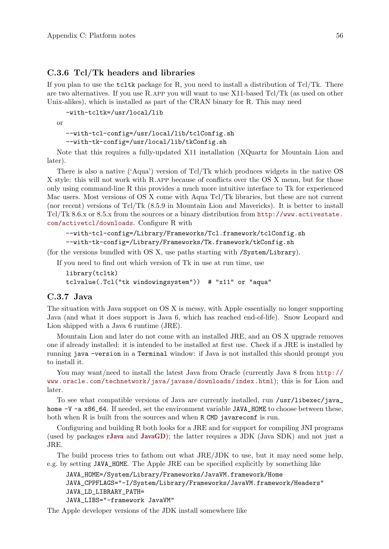### C.3.6 Tcl/Tk headers and libraries

If you plan to use the  $\text{tdt}$  tcltk package for R, you need to install a distribution of Tcl/Tk. There are two alternatives. If you use R.app you will want to use X11-based Tcl/Tk (as used on other Unix-alikes), which is installed as part of the CRAN binary for R. This may need

```
-with-tcltk=/usr/local/lib
or
  --with-tcl-config=/usr/local/lib/tclConfig.sh
```
--with-tk-config=/usr/local/lib/tkConfig.sh

Note that this requires a fully-updated X11 installation (XQuartz for Mountain Lion and later).

There is also a native ('Aqua') version of Tcl/Tk which produces widgets in the native OS X style: this will not work with R.app because of conflicts over the OS X menu, but for those only using command-line R this provides a much more intuitive interface to Tk for experienced Mac users. Most versions of OS X come with Aqua Tcl/Tk libraries, but these are not current (nor recent) versions of Tcl/Tk (8.5.9 in Mountain Lion and Mavericks). It is better to install Tcl/Tk 8.6.x or 8.5.x from the sources or a binary distribution from [http://www.activestate.](http://www.activestate.com/activetcl/downloads) [com/activetcl/downloads](http://www.activestate.com/activetcl/downloads). Configure R with

```
--with-tcl-config=/Library/Frameworks/Tcl.framework/tclConfig.sh
--with-tk-config=/Library/Frameworks/Tk.framework/tkConfig.sh
```
(for the versions bundled with OS X, use paths starting with /System/Library).

If you need to find out which version of Tk in use at run time, use

```
library(tcltk)
tclvalue(.Tcl("tk windowingsystem")) # "x11" or "aqua"
```
### C.3.7 Java

The situation with Java support on OS X is messy, with Apple essentially no longer supporting Java (and what it does support is Java 6, which has reached end-of-life). Snow Leopard and Lion shipped with a Java 6 runtime (JRE).

Mountain Lion and later do not come with an installed JRE, and an OS X upgrade removes one if already installed: it is intended to be installed at first use. Check if a JRE is installed by running java -version in a Terminal window: if Java is not installed this should prompt you to install it.

You may want/need to install the latest Java from Oracle (currently Java 8 from [http://](http://www.oracle.com/technetwork/java/javase/downloads/index.html) [www.oracle.com/technetwork/java/javase/downloads/index.html](http://www.oracle.com/technetwork/java/javase/downloads/index.html)); this is for Lion and later.

To see what compatible versions of Java are currently installed, run /usr/libexec/java\_ home -V -a x86\_64. If needed, set the environment variable JAVA\_HOME to choose between these, both when R is built from the sources and when R CMD javareconf is run.

Configuring and building R both looks for a JRE and for support for compiling JNI programs (used by packages [rJava](http://CRAN.R-project.org/package=rJava) and [JavaGD](http://CRAN.R-project.org/package=JavaGD)); the latter requires a JDK (Java SDK) and not just a JRE.

The build process tries to fathom out what JRE/JDK to use, but it may need some help, e.g. by setting JAVA\_HOME. The Apple JRE can be specified explicitly by something like

```
JAVA_HOME=/System/Library/Frameworks/JavaVM.framework/Home
JAVA_CPPFLAGS="-I/System/Library/Frameworks/JavaVM.framework/Headers"
JAVA_LD_LIBRARY_PATH=
JAVA_LIBS="-framework JavaVM"
```
The Apple developer versions of the JDK install somewhere like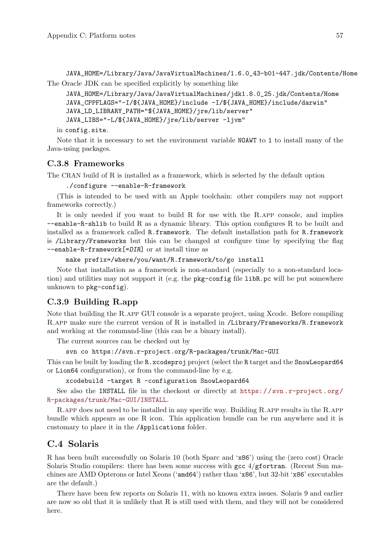JAVA\_HOME=/Library/Java/JavaVirtualMachines/1.6.0\_43-b01-447.jdk/Contents/Home The Oracle JDK can be specified explicitly by something like

```
JAVA_HOME=/Library/Java/JavaVirtualMachines/jdk1.8.0_25.jdk/Contents/Home
JAVA_CPPFLAGS="-I/${JAVA_HOME}/include -I/${JAVA_HOME}/include/darwin"
JAVA_LD_LIBRARY_PATH="${JAVA_HOME}/jre/lib/server"
JAVA_LIBS="-L/${JAVA_HOME}/jre/lib/server -ljvm"
```
in config.site.

Note that it is necessary to set the environment variable NOAWT to 1 to install many of the Java-using packages.

### C.3.8 Frameworks

The CRAN build of R is installed as a framework, which is selected by the default option

./configure --enable-R-framework

(This is intended to be used with an Apple toolchain: other compilers may not support frameworks correctly.)

It is only needed if you want to build R for use with the R.app console, and implies --enable-R-shlib to build R as a dynamic library. This option configures R to be built and installed as a framework called R.framework. The default installation path for R.framework is /Library/Frameworks but this can be changed at configure time by specifying the flag --enable-R-framework[=DIR] or at install time as

```
make prefix=/where/you/want/R.framework/to/go install
```
Note that installation as a framework is non-standard (especially to a non-standard location) and utilities may not support it (e.g. the pkg-config file libR.pc will be put somewhere unknown to pkg-config).

## C.3.9 Building R.app

Note that building the R.app GUI console is a separate project, using Xcode. Before compiling R.app make sure the current version of R is installed in /Library/Frameworks/R.framework and working at the command-line (this can be a binary install).

The current sources can be checked out by

```
svn co https://svn.r-project.org/R-packages/trunk/Mac-GUI
```
This can be built by loading the R.xcodeproj project (select the R target and the SnowLeopard64 or Lion64 configuration), or from the command-line by e.g.

xcodebuild -target R -configuration SnowLeopard64

See also the INSTALL file in the checkout or directly at https://svn.r-project.org/ [R-packages/trunk/Mac-GUI/INSTALL](https://svn.r-project.org/R-packages/trunk/Mac-GUI/INSTALL).

R.app does not need to be installed in any specific way. Building R.app results in the R.app bundle which appears as one R icon. This application bundle can be run anywhere and it is customary to place it in the /Applications folder.

## C.4 Solaris

R has been built successfully on Solaris 10 (both Sparc and 'x86') using the (zero cost) Oracle Solaris Studio compilers: there has been some success with gcc  $4/\text{gfortran}$ . (Recent Sun machines are AMD Opterons or Intel Xeons ('amd64') rather than 'x86', but 32-bit 'x86' executables are the default.)

There have been few reports on Solaris 11, with no known extra issues. Solaris 9 and earlier are now so old that it is unlikely that R is still used with them, and they will not be considered here.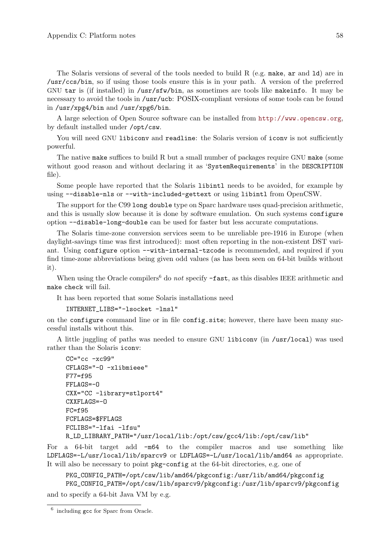The Solaris versions of several of the tools needed to build R (e.g. make, ar and ld) are in /usr/ccs/bin, so if using those tools ensure this is in your path. A version of the preferred GNU tar is (if installed) in /usr/sfw/bin, as sometimes are tools like makeinfo. It may be necessary to avoid the tools in /usr/ucb: POSIX-compliant versions of some tools can be found in /usr/xpg4/bin and /usr/xpg6/bin.

A large selection of Open Source software can be installed from <http://www.opencsw.org>, by default installed under /opt/csw.

You will need GNU libiconv and readline: the Solaris version of iconv is not sufficiently powerful.

The native make suffices to build R but a small number of packages require GNU make (some without good reason and without declaring it as 'SystemRequirements' in the DESCRIPTION file).

Some people have reported that the Solaris libintl needs to be avoided, for example by using --disable-nls or --with-included-gettext or using libintl from OpenCSW.

The support for the C99 long double type on Sparc hardware uses quad-precision arithmetic, and this is usually slow because it is done by software emulation. On such systems configure option --disable-long-double can be used for faster but less accurate computations.

The Solaris time-zone conversion services seem to be unreliable pre-1916 in Europe (when daylight-savings time was first introduced): most often reporting in the non-existent DST variant. Using configure option --with-internal-tzcode is recommended, and required if you find time-zone abbreviations being given odd values (as has been seen on 64-bit builds without it).

When using the Oracle compilers<sup>6</sup> do not specify  $-\text{fast}$ , as this disables IEEE arithmetic and make check will fail.

It has been reported that some Solaris installations need

```
INTERNET_LIBS="-lsocket -lnsl"
```
on the configure command line or in file config.site; however, there have been many successful installs without this.

A little juggling of paths was needed to ensure GNU libiconv (in /usr/local) was used rather than the Solaris iconv:

```
CC="cc -xc99"
CFLAGS="-O -xlibmieee"
F77=f95
FFLAGS=-O
CXX="CC -library=stlport4"
CXXFLAGS=-O
FC=ff95FCFLAGS=$FFLAGS
FCLIBS="-lfai -lfsu"
R_LD_LIBRARY_PATH="/usr/local/lib:/opt/csw/gcc4/lib:/opt/csw/lib"
```
For a 64-bit target add -m64 to the compiler macros and use something like LDFLAGS=-L/usr/local/lib/sparcv9 or LDFLAGS=-L/usr/local/lib/amd64 as appropriate. It will also be necessary to point pkg-config at the 64-bit directories, e.g. one of

PKG\_CONFIG\_PATH=/opt/csw/lib/amd64/pkgconfig:/usr/lib/amd64/pkgconfig PKG\_CONFIG\_PATH=/opt/csw/lib/sparcv9/pkgconfig:/usr/lib/sparcv9/pkgconfig and to specify a 64-bit Java VM by e.g.

<sup>6</sup> including gcc for Sparc from Oracle.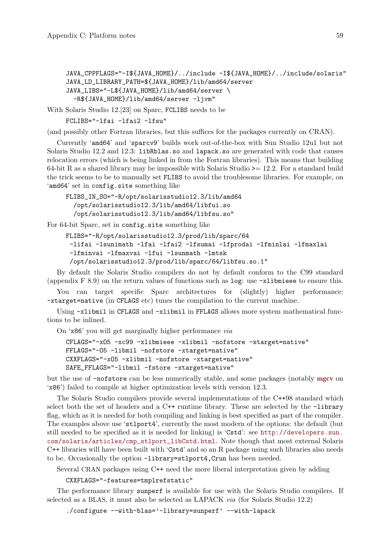```
JAVA_CPPFLAGS="-I${JAVA_HOME}/../include -I${JAVA_HOME}/../include/solaris"
JAVA_LD_LIBRARY_PATH=${JAVA_HOME}/lib/amd64/server
JAVA_LIBS="-L${JAVA_HOME}/lib/amd64/server \
 -R${JAVA_HOME}/lib/amd64/server -ljvm"
```
With Solaris Studio 12.[23] on Sparc, FCLIBS needs to be

```
FCLIBS="-lfai -lfai2 -lfsu"
```
(and possibly other Fortran libraries, but this suffices for the packages currently on CRAN).

Currently 'amd64' and 'sparcv9' builds work out-of-the-box with Sun Studio 12u1 but not Solaris Studio 12.2 and 12.3: libRblas.so and lapack.so are generated with code that causes relocation errors (which is being linked in from the Fortran libraries). This means that building 64-bit R as a shared library may be impossible with Solaris Studio  $\geq$  12.2. For a standard build the trick seems to be to manually set FLIBS to avoid the troublesome libraries. For example, on 'amd64' set in config.site something like

```
FLIBS_IN_SO="-R/opt/solarisstudio12.3/lib/amd64
  /opt/solarisstudio12.3/lib/amd64/libfui.so
  /opt/solarisstudio12.3/lib/amd64/libfsu.so"
```
For 64-bit Sparc, set in config.site something like

```
FLIBS="-R/opt/solarisstudio12.3/prod/lib/sparc/64
 -lifai -lsunimath -lfai -lfai2 -lfsumai -lfprodai -lfminlai -lfmaxlai
 -lfminvai -lfmaxvai -lfui -lsunmath -lmtsk
 /opt/solarisstudio12.3/prod/lib/sparc/64/libfsu.so.1"
```
By default the Solaris Studio compilers do not by default conform to the C99 standard (appendix F 8.9) on the return values of functions such as log: use -xlibmieee to ensure this.

You can target specific Sparc architectures for (slightly) higher performance: -xtarget=native (in CFLAGS etc) tunes the compilation to the current machine.

Using -xlibmil in CFLAGS and -xlibmil in FFLAGS allows more system mathematical functions to be inlined.

On 'x86' you will get marginally higher performance via

```
CFLAGS="-xO5 -xc99 -xlibmieee -xlibmil -nofstore -xtarget=native"
FFLAGS="-O5 -libmil -nofstore -xtarget=native"
CXXFLAGS="-xO5 -xlibmil -nofstore -xtarget=native"
SAFE_FFLAGS="-libmil -fstore -xtarget=native"
```
but the use of -nofstore can be less numerically stable, and some packages (notably [mgcv](http://CRAN.R-project.org/package=mgcv) on 'x86') failed to compile at higher optimization levels with version 12.3.

The Solaris Studio compilers provide several implementations of the C++98 standard which select both the set of headers and a C++ runtime library. These are selected by the -library flag, which as it is needed for both compiling and linking is best specified as part of the compiler. The examples above use 'stlport4', currently the most modern of the options: the default (but still needed to be specified as it is needed for linking) is 'Cstd': see [http://developers.sun.](http://developers.sun.com/solaris/articles/cmp_stlport_libCstd.html) [com/solaris/articles/cmp\\_stlport\\_libCstd.html](http://developers.sun.com/solaris/articles/cmp_stlport_libCstd.html). Note though that most external Solaris C++ libraries will have been built with 'Cstd' and so an R package using such libraries also needs to be. Occasionally the option -library=stlport4, Crun has been needed.

Several CRAN packages using C++ need the more liberal interpretation given by adding

CXXFLAGS="-features=tmplrefstatic"

The performance library sunperf is available for use with the Solaris Studio compilers. If selected as a BLAS, it must also be selected as LAPACK via (for Solaris Studio 12.2)

./configure --with-blas='-library=sunperf' --with-lapack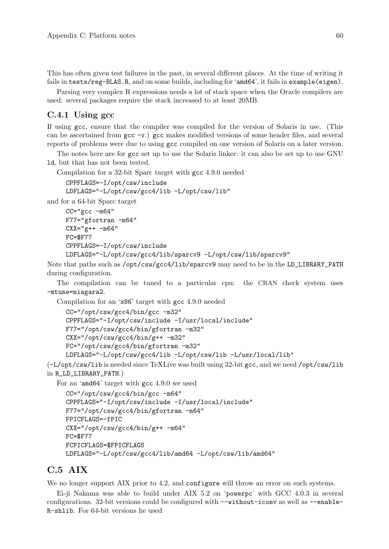This has often given test failures in the past, in several different places. At the time of writing it fails in tests/reg-BLAS.R, and on some builds, including for 'amd64', it fails in example(eigen).

Parsing very complex R expressions needs a lot of stack space when the Oracle compilers are used: several packages require the stack increased to at least 20MB.

### C.4.1 Using gcc

If using gcc, ensure that the compiler was compiled for the version of Solaris in use. (This can be ascertained from gcc -v.) gcc makes modified versions of some header files, and several reports of problems were due to using gcc compiled on one version of Solaris on a later version.

The notes here are for gcc set up to use the Solaris linker: it can also be set up to use GNU ld, but that has not been tested.

Compilation for a 32-bit Sparc target with gcc 4.9.0 needed

```
CPPFLAGS=-I/opt/csw/include
LDFLAGS="-L/opt/csw/gcc4/lib -L/opt/csw/lib"
```
and for a 64-bit Sparc target

```
CC="c = "gcc -m64"F77="gfortran -m64"
CXX = "g++ -m64"FC=$F77
CPPFLAGS=-I/opt/csw/include
LDFLAGS="-L/opt/csw/gcc4/lib/sparcv9 -L/opt/csw/lib/sparcv9"
```
Note that paths such as /opt/csw/gcc4/lib/sparcv9 may need to be in the LD\_LIBRARY\_PATH during configuration.

The compilation can be tuned to a particular cpu: the CRAN check system uses -mtune=niagara2.

Compilation for an 'x86' target with gcc 4.9.0 needed

```
CC="/opt/csw/gcc4/bin/gcc -m32"
CPPFLAGS="-I/opt/csw/include -I/usr/local/include"
F77="/opt/csw/gcc4/bin/gfortran -m32"
CXX="/opt/csw/gcc4/bin/g++ -m32"
FC="/opt/csw/gcc4/bin/gfortran -m32"
LDFLAGS="-L/opt/csw/gcc4/lib -L/opt/csw/lib -L/usr/local/lib"
```
(-L/opt/csw/lib is needed since TeXLive was built using 32-bit gcc, and we need /opt/csw/lib in R\_LD\_LIBRARY\_PATH.)

For an 'amd64' target with gcc 4.9.0 we used

```
CC="/opt/csw/gcc4/bin/gcc -m64"
CPPFLAGS="-I/opt/csw/include -I/usr/local/include"
F77="/opt/csw/gcc4/bin/gfortran -m64"
FPICFLAGS=-fPIC
CXX="/opt/csw/gcc4/bin/g++ -m64"
FC=$F77
FCPICFLAGS=$FPICFLAGS
LDFLAGS="-L/opt/csw/gcc4/lib/amd64 -L/opt/csw/lib/amd64"
```
## C.5 AIX

We no longer support AIX prior to 4.2, and configure will throw an error on such systems.

Ei-ji Nakama was able to build under AIX 5.2 on 'powerpc' with GCC 4.0.3 in several configurations. 32-bit versions could be configured with --without-iconv as well as --enable-R-shlib. For 64-bit versions he used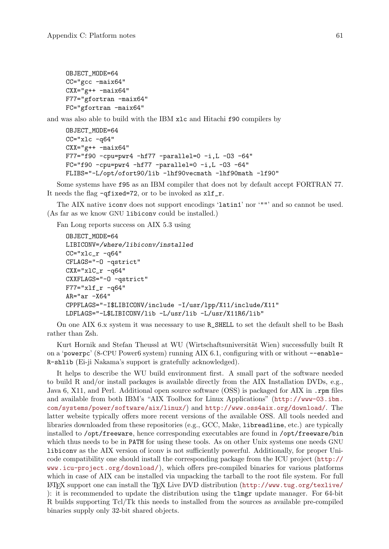```
OBJECT_MODE=64
CC="gcc -maix64"
CXX = "g++ -\text{maix}64"F77="gfortran -maix64"
FC="gfortran -maix64"
```
and was also able to build with the IBM xlc and Hitachi f90 compilers by

```
OBJECT_MODE=64
CC="xlc -q64"CXX = "g++ -{max64"F77="f90 -cpu=pwr4 -hf77 -parallel=0 -i,L -O3 -64"
FC="f90 -cpu=pwr4 -hf77 -parallel=0 -i,L -O3 -64"
FLIBS="-L/opt/ofort90/lib -lhf90vecmath -lhf90math -lf90"
```
Some systems have f95 as an IBM compiler that does not by default accept FORTRAN 77. It needs the flag -qfixed=72, or to be invoked as  $xlf_r$ .

The AIX native iconv does not support encodings 'latin1' nor '""' and so cannot be used. (As far as we know GNU libiconv could be installed.)

Fan Long reports success on AIX 5.3 using

```
OBJECT_MODE=64
LIBICONV=/where/libiconv/installed
CC="xlc_r -q64"
CFLAGS="-O -qstrict"
CXX="x1C_r -q64"CXXFLAGS="-O -qstrict"
F77 = "xlf_r - q64"AR="ar -X64"
CPPFLAGS="-I$LIBICONV/include -I/usr/lpp/X11/include/X11"
LDFLAGS="-L$LIBICONV/lib -L/usr/lib -L/usr/X11R6/lib"
```
On one AIX 6.x system it was necessary to use R\_SHELL to set the default shell to be Bash rather than Zsh.

Kurt Hornik and Stefan Theussl at WU (Wirtschaftsuniversität Wien) successfully built R on a 'powerpc' (8-CPU Power6 system) running AIX 6.1, configuring with or without --enable-R-shlib (Ei-ji Nakama's support is gratefully acknowledged).

It helps to describe the WU build environment first. A small part of the software needed to build R and/or install packages is available directly from the AIX Installation DVDs, e.g., Java 6, X11, and Perl. Additional open source software (OSS) is packaged for AIX in .rpm files and available from both IBM's "AIX Toolbox for Linux Applications" ([http://www-03.ibm.](http://www-03.ibm.com/systems/power/software/aix/linux/) [com/systems/power/software/aix/linux/](http://www-03.ibm.com/systems/power/software/aix/linux/)) and <http://www.oss4aix.org/download/>. The latter website typically offers more recent versions of the available OSS. All tools needed and libraries downloaded from these repositories (e.g., GCC, Make, libreadline, etc.) are typically installed to /opt/freeware, hence corresponding executables are found in /opt/freeware/bin which thus needs to be in PATH for using these tools. As on other Unix systems one needs GNU libiconv as the AIX version of iconv is not sufficiently powerful. Additionally, for proper Unicode compatibility one should install the corresponding package from the ICU project ([http://](http://www.icu-project.org/download/) [www.icu-project.org/download/](http://www.icu-project.org/download/)), which offers pre-compiled binaries for various platforms which in case of AIX can be installed via unpacking the tarball to the root file system. For full  $\Delta E$ FEX support one can install the TEX Live DVD distribution (<http://www.tug.org/texlive/> ): it is recommended to update the distribution using the tlmgr update manager. For 64-bit R builds supporting Tcl/Tk this needs to installed from the sources as available pre-compiled binaries supply only 32-bit shared objects.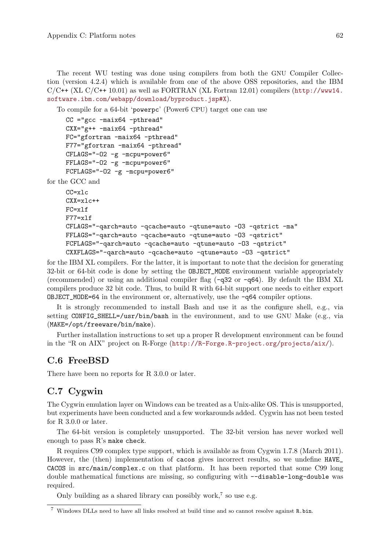The recent WU testing was done using compilers from both the GNU Compiler Collection (version 4.2.4) which is available from one of the above OSS repositories, and the IBM  $C/C++$  (XL  $C/C++$  10.01) as well as FORTRAN (XL Fortran 12.01) compilers ([http://www14.](http://www14.software.ibm.com/webapp/download/byproduct.jsp#X) [software.ibm.com/webapp/download/byproduct.jsp#X](http://www14.software.ibm.com/webapp/download/byproduct.jsp#X)).

To compile for a 64-bit 'powerpc' (Power6 CPU) target one can use

```
CC ="gcc -maix64 -pthread"
CXX="g++ -maix64 -pthread"
FC="gfortran -maix64 -pthread"
F77="gfortran -maix64 -pthread"
CFLAGS="-O2 -g -mcpu=power6"
FFLAGS="-O2 -g -mcpu=power6"
FCFLAGS="-O2 -g -mcpu=power6"
```
for the GCC and

```
CC=xlc
CXX=xlc++
FC=xlf
F77 = x1fCFLAGS="-qarch=auto -qcache=auto -qtune=auto -O3 -qstrict -ma"
FFLAGS="-qarch=auto -qcache=auto -qtune=auto -O3 -qstrict"
FCFLAGS="-qarch=auto -qcache=auto -qtune=auto -O3 -qstrict"
CXXFLAGS="-qarch=auto -qcache=auto -qtune=auto -O3 -qstrict"
```
for the IBM XL compilers. For the latter, it is important to note that the decision for generating 32-bit or 64-bit code is done by setting the OBJECT\_MODE environment variable appropriately (recommended) or using an additional compiler flag (-q32 or -q64). By default the IBM XL compilers produce 32 bit code. Thus, to build R with 64-bit support one needs to either export OBJECT\_MODE=64 in the environment or, alternatively, use the -q64 compiler options.

It is strongly recommended to install Bash and use it as the configure shell, e.g., via setting CONFIG\_SHELL=/usr/bin/bash in the environment, and to use GNU Make (e.g., via (MAKE=/opt/freeware/bin/make).

Further installation instructions to set up a proper R development environment can be found in the "R on AIX" project on R-Forge (<http://R-Forge.R-project.org/projects/aix/>).

## C.6 FreeBSD

There have been no reports for R 3.0.0 or later.

## C.7 Cygwin

The Cygwin emulation layer on Windows can be treated as a Unix-alike OS. This is unsupported, but experiments have been conducted and a few workarounds added. Cygwin has not been tested for R 3.0.0 or later.

The 64-bit version is completely unsupported. The 32-bit version has never worked well enough to pass R's make check.

R requires C99 complex type support, which is available as from Cygwin 1.7.8 (March 2011). However, the (then) implementation of cacos gives incorrect results, so we undefine HAVE\_ CACOS in src/main/complex.c on that platform. It has been reported that some C99 long double mathematical functions are missing, so configuring with --disable-long-double was required.

Only building as a shared library can possibly work,<sup>7</sup> so use e.g.

 $^7\,$  Windows DLLs need to have all links resolved at build time and so cannot resolve against  $\hbox{\tt R}.\hbox{\tt bin}.$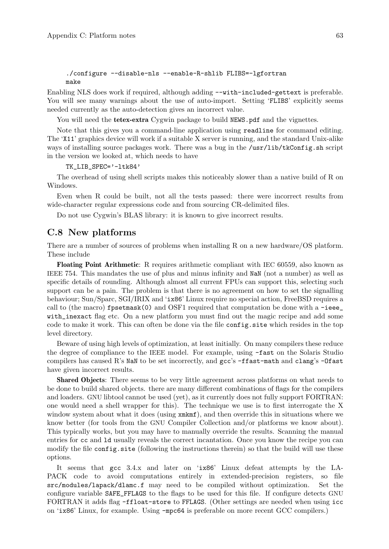```
./configure --disable-nls --enable-R-shlib FLIBS=-lgfortran
make
```
Enabling NLS does work if required, although adding --with-included-gettext is preferable. You will see many warnings about the use of auto-import. Setting 'FLIBS' explicitly seems needed currently as the auto-detection gives an incorrect value.

You will need the **tetex-extra** Cygwin package to build NEWS.pdf and the vignettes.

Note that this gives you a command-line application using readline for command editing. The 'X11' graphics device will work if a suitable X server is running, and the standard Unix-alike ways of installing source packages work. There was a bug in the /usr/lib/tkConfig.sh script in the version we looked at, which needs to have

TK\_LIB\_SPEC='-ltk84'

The overhead of using shell scripts makes this noticeably slower than a native build of R on Windows.

Even when R could be built, not all the tests passed: there were incorrect results from wide-character regular expressions code and from sourcing CR-delimited files.

Do not use Cygwin's BLAS library: it is known to give incorrect results.

## C.8 New platforms

There are a number of sources of problems when installing R on a new hardware/OS platform. These include

Floating Point Arithmetic: R requires arithmetic compliant with IEC 60559, also known as IEEE 754. This mandates the use of plus and minus infinity and NaN (not a number) as well as specific details of rounding. Although almost all current FPUs can support this, selecting such support can be a pain. The problem is that there is no agreement on how to set the signalling behaviour; Sun/Sparc, SGI/IRIX and 'ix86' Linux require no special action, FreeBSD requires a call to (the macro)  $f$ psetmask(0) and OSF1 required that computation be done with a -ieee\_ with\_inexact flag etc. On a new platform you must find out the magic recipe and add some code to make it work. This can often be done via the file config.site which resides in the top level directory.

Beware of using high levels of optimization, at least initially. On many compilers these reduce the degree of compliance to the IEEE model. For example, using -fast on the Solaris Studio compilers has caused R's NaN to be set incorrectly, and  $\texttt{ecc's -ffast-math}$  and  $\texttt{clang's -Ofast}$ have given incorrect results.

Shared Objects: There seems to be very little agreement across platforms on what needs to be done to build shared objects. there are many different combinations of flags for the compilers and loaders. GNU libtool cannot be used (yet), as it currently does not fully support FORTRAN: one would need a shell wrapper for this). The technique we use is to first interrogate the X window system about what it does (using  $xmkmf$ ), and then override this in situations where we know better (for tools from the GNU Compiler Collection and/or platforms we know about). This typically works, but you may have to manually override the results. Scanning the manual entries for cc and ld usually reveals the correct incantation. Once you know the recipe you can modify the file config.site (following the instructions therein) so that the build will use these options.

It seems that gcc 3.4.x and later on 'ix86' Linux defeat attempts by the LA-PACK code to avoid computations entirely in extended-precision registers, so file src/modules/lapack/dlamc.f may need to be compiled without optimization. Set the configure variable SAFE\_FFLAGS to the flags to be used for this file. If configure detects GNU FORTRAN it adds flag -ffloat-store to FFLAGS. (Other settings are needed when using icc on 'ix86' Linux, for example. Using -mpc64 is preferable on more recent GCC compilers.)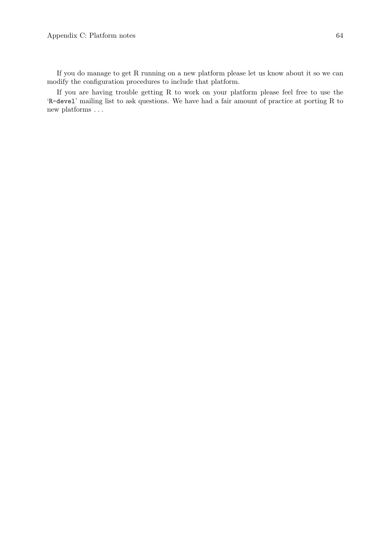If you do manage to get R running on a new platform please let us know about it so we can modify the configuration procedures to include that platform.

If you are having trouble getting R to work on your platform please feel free to use the 'R-devel' mailing list to ask questions. We have had a fair amount of practice at porting R to new platforms . . .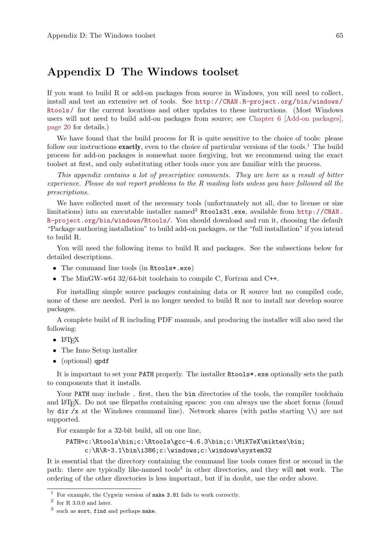# Appendix D The Windows toolset

If you want to build R or add-on packages from source in Windows, you will need to collect, install and test an extensive set of tools. See [http://CRAN.R-project.org/bin/windows/](http://CRAN.R-project.org/bin/windows/Rtools/) [Rtools/](http://CRAN.R-project.org/bin/windows/Rtools/) for the current locations and other updates to these instructions. (Most Windows users will not need to build add-on packages from source; see [Chapter 6 \[Add-on packages\],](#page-24-0) [page 20](#page-24-0) for details.)

We have found that the build process for R is quite sensitive to the choice of tools: please follow our instructions **exactly**, even to the choice of particular versions of the tools.<sup>1</sup> The build process for add-on packages is somewhat more forgiving, but we recommend using the exact toolset at first, and only substituting other tools once you are familiar with the process.

This appendix contains a lot of prescriptive comments. They are here as a result of bitter experience. Please do not report problems to the R mailing lists unless you have followed all the prescriptions.

We have collected most of the necessary tools (unfortunately not all, due to license or size limitations) into an executable installer named<sup>2</sup> Rtools31.exe, available from [http://CRAN.](http://CRAN.R-project.org/bin/windows/Rtools/) [R-project.org/bin/windows/Rtools/](http://CRAN.R-project.org/bin/windows/Rtools/). You should download and run it, choosing the default "Package authoring installation" to build add-on packages, or the "full installation" if you intend to build R.

You will need the following items to build R and packages. See the subsections below for detailed descriptions.

- The command line tools (in Rtools\*.exe)
- The MinGW-w64 32/64-bit toolchain to compile C, Fortran and C++.

For installing simple source packages containing data or R source but no compiled code, none of these are needed. Perl is no longer needed to build R nor to install nor develop source packages.

A complete build of R including PDF manuals, and producing the installer will also need the following:

- $\bullet$  LATEX
- The Inno Setup installer
- (optional) gpdf

It is important to set your PATH properly. The installer Rtools\*.exe optionally sets the path to components that it installs.

Your PATH may include. first, then the bin directories of the tools, the compiler toolchain and LAT<sub>EX</sub>. Do not use filepaths containing spaces: you can always use the short forms (found by dir /x at the Windows command line). Network shares (with paths starting  $\setminus \setminus$ ) are not supported.

For example for a 32-bit build, all on one line,

### PATH=c:\Rtools\bin;c:\Rtools\gcc-4.6.3\bin;c:\MiKTeX\miktex\bin; c:\R\R-3.1\bin\i386;c:\windows;c:\windows\system32

It is essential that the directory containing the command line tools comes first or second in the path: there are typically like-named tools<sup>3</sup> in other directories, and they will **not** work. The ordering of the other directories is less important, but if in doubt, use the order above.

 $^{\rm 1}$  For example, the Cygwin version of make 3.81 fails to work correctly.

 $^2$  for R 3.0.0 and later.

 $3$  such as sort, find and perhaps make.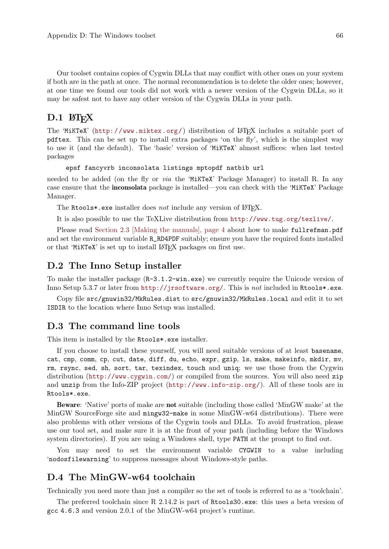Our toolset contains copies of Cygwin DLLs that may conflict with other ones on your system if both are in the path at once. The normal recommendation is to delete the older ones; however, at one time we found our tools did not work with a newer version of the Cygwin DLLs, so it may be safest not to have any other version of the Cygwin DLLs in your path.

## $D.1$  LAT<sub>E</sub>X

The 'MiKTeX' (<http://www.miktex.org/>) distribution of  $\mathbb{F}$ F<sub>IF</sub>X includes a suitable port of pdftex. This can be set up to install extra packages 'on the fly', which is the simplest way to use it (and the default). The 'basic' version of 'MiKTeX' almost suffices: when last tested packages

epsf fancyvrb inconsolata listings mptopdf natbib url

needed to be added (on the fly or via the 'MiKTeX' Package Manager) to install R. In any case ensure that the inconsolata package is installed—you can check with the 'MiKTeX' Package Manager.

The Rtools\*.exe installer does not include any version of  $\mathbb{F}$ F<sub>F</sub>X.

It is also possible to use the TeXLive distribution from <http://www.tug.org/texlive/>.

Please read [Section 2.3 \[Making the manuals\], page 4](#page-8-0) about how to make fullrefman.pdf and set the environment variable R\_RD4PDF suitably; ensure you have the required fonts installed or that 'MiKTeX' is set up to install LATEX packages on first use.

### D.2 The Inno Setup installer

To make the installer package (R-3.1.2-win.exe) we currently require the Unicode version of Inno Setup 5.3.7 or later from <http://jrsoftware.org/>. This is not included in Rtools\*.exe.

Copy file src/gnuwin32/MkRules.dist to src/gnuwin32/MkRules.local and edit it to set ISDIR to the location where Inno Setup was installed.

### D.3 The command line tools

This item is installed by the Rtools\*.exe installer.

If you choose to install these yourself, you will need suitable versions of at least basename, cat, cmp, comm, cp, cut, date, diff, du, echo, expr, gzip, ls, make, makeinfo, mkdir, mv, rm, rsync, sed, sh, sort, tar, texindex, touch and uniq; we use those from the Cygwin distribution (<http://www.cygwin.com/>) or compiled from the sources. You will also need zip and unzip from the Info-ZIP project (<http://www.info-zip.org/>). All of these tools are in Rtools\*.exe.

Beware: 'Native' ports of make are not suitable (including those called 'MinGW make' at the MinGW SourceForge site and mingw32-make in some MinGW-w64 distributions). There were also problems with other versions of the Cygwin tools and DLLs. To avoid frustration, please use our tool set, and make sure it is at the front of your path (including before the Windows system directories). If you are using a Windows shell, type PATH at the prompt to find out.

You may need to set the environment variable CYGWIN to a value including 'nodosfilewarning' to suppress messages about Windows-style paths.

### D.4 The MinGW-w64 toolchain

Technically you need more than just a compiler so the set of tools is referred to as a 'toolchain'.

The preferred toolchain since R 2.14.2 is part of Rtools30.exe: this uses a beta version of gcc 4.6.3 and version 2.0.1 of the MinGW-w64 project's runtime.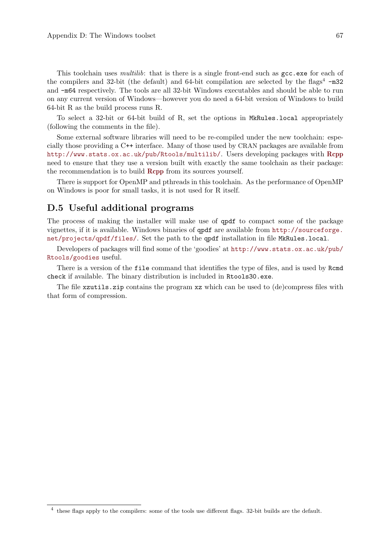This toolchain uses *multilib*: that is there is a single front-end such as  $\gcd$ . exercise for each of the compilers and 32-bit (the default) and 64-bit compilation are selected by the flags<sup>4</sup>  $-m32$ and -m64 respectively. The tools are all 32-bit Windows executables and should be able to run on any current version of Windows—however you do need a 64-bit version of Windows to build 64-bit R as the build process runs R.

To select a 32-bit or 64-bit build of R, set the options in MkRules.local appropriately (following the comments in the file).

Some external software libraries will need to be re-compiled under the new toolchain: especially those providing a C++ interface. Many of those used by CRAN packages are available from <http://www.stats.ox.ac.uk/pub/Rtools/multilib/>. Users developing packages with [Rcpp](http://CRAN.R-project.org/package=Rcpp) need to ensure that they use a version built with exactly the same toolchain as their package: the recommendation is to build **[Rcpp](http://CRAN.R-project.org/package=Rcpp)** from its sources yourself.

There is support for OpenMP and pthreads in this toolchain. As the performance of OpenMP on Windows is poor for small tasks, it is not used for R itself.

## D.5 Useful additional programs

The process of making the installer will make use of qpdf to compact some of the package vignettes, if it is available. Windows binaries of qpdf are available from [http://sourceforge.](http://sourceforge.net/projects/qpdf/files/) [net/projects/qpdf/files/](http://sourceforge.net/projects/qpdf/files/). Set the path to the qpdf installation in file MkRules.local.

Developers of packages will find some of the 'goodies' at [http://www.stats.ox.ac.uk/pub/](http://www.stats.ox.ac.uk/pub/Rtools/goodies) [Rtools/goodies](http://www.stats.ox.ac.uk/pub/Rtools/goodies) useful.

There is a version of the file command that identifies the type of files, and is used by Rcmd check if available. The binary distribution is included in Rtools30.exe.

The file xzutils.zip contains the program xz which can be used to (de)compress files with that form of compression.

 $4$  these flags apply to the compilers: some of the tools use different flags. 32-bit builds are the default.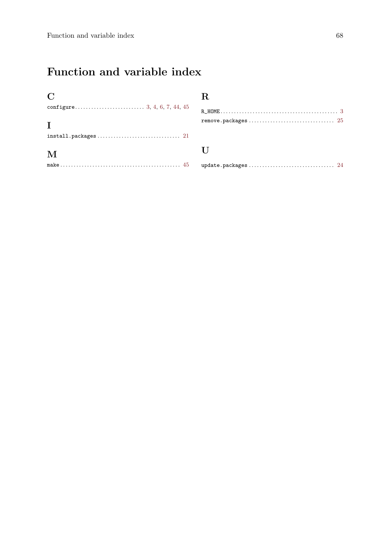# Function and variable index

| $\mathbf C$ | R.                       |
|-------------|--------------------------|
| T           | $R_HOME$<br>remove.packa |
|             |                          |
| M           | $\mathbf{L}$             |
|             | update.packa             |

|--|--|--|--|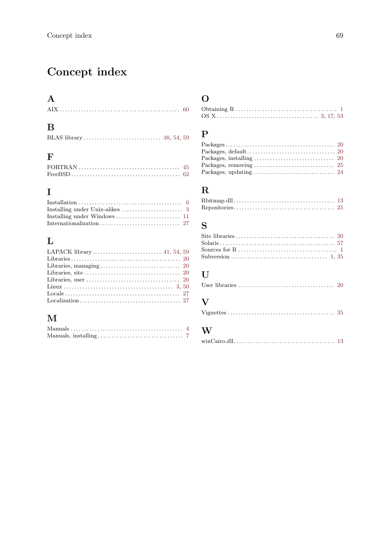# Concept index

### $\overline{\mathbf{A}}$

| <u> 1 P</u> |  |
|-------------|--|
|             |  |

# $\overline{\mathbf{B}}$

# $\mathbf{F}$

| FORTRAN $\ldots \ldots \ldots \ldots \ldots \ldots \ldots \ldots \ldots \ldots$ 45 |  |
|------------------------------------------------------------------------------------|--|
|                                                                                    |  |

# $\overline{I}$

| Installing under Windows $\dots\dots\dots\dots\dots\dots\dots \quad 11$ |  |
|-------------------------------------------------------------------------|--|
|                                                                         |  |

# $\mathbf{L}%$

### $\mathbf{M}$

# $\overline{O}$

#### $\mathbf P$

| Packages, removing $\ldots \ldots \ldots \ldots \ldots \ldots \ldots \ldots \ldots$ 25 |  |
|----------------------------------------------------------------------------------------|--|
|                                                                                        |  |

# $\mathbf R$

# $\mathbf S$

### $\mathbf{U}%$

|--|--|

#### $\overline{\mathbf{V}}$

|--|--|--|--|--|--|--|--|--|--|--|--|--|--|--|--|--|--|--|--|--|--|--|--|--|--|--|--|--|--|--|--|--|--|--|

#### $\overline{\mathbf{W}}$